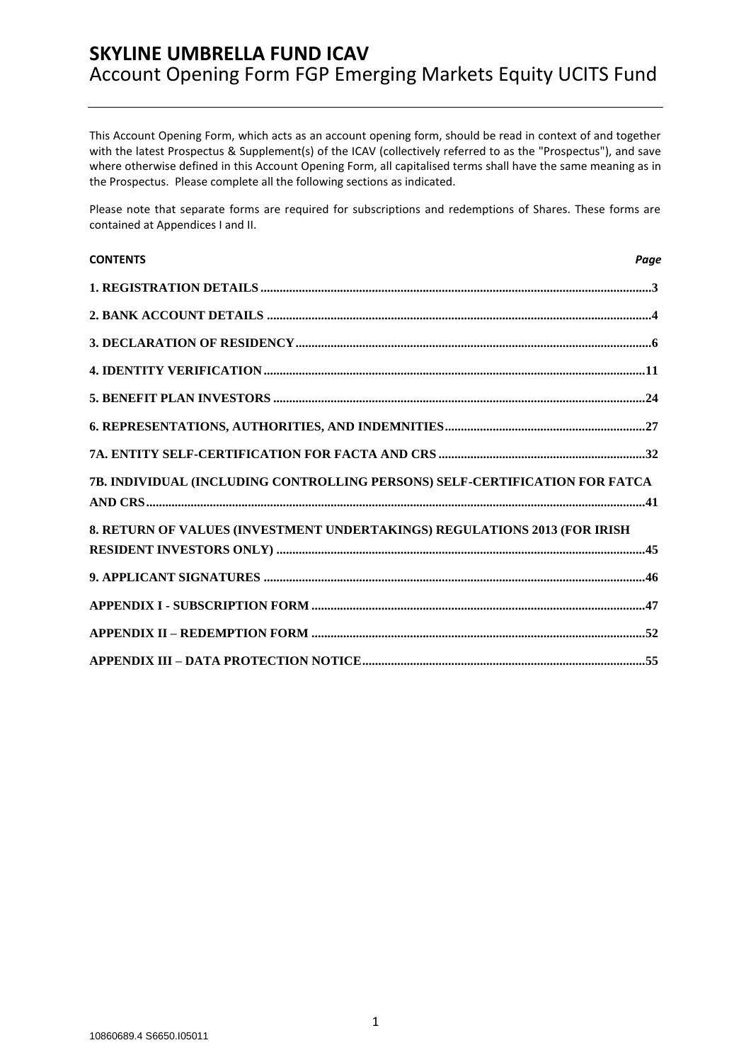This Account Opening Form, which acts as an account opening form, should be read in context of and together with the latest Prospectus & Supplement(s) of the ICAV (collectively referred to as the "Prospectus"), and save where otherwise defined in this Account Opening Form, all capitalised terms shall have the same meaning as in the Prospectus. Please complete all the following sections as indicated.

Please note that separate forms are required for subscriptions and redemptions of Shares. These forms are contained at Appendices I and II.

| <b>CONTENTS</b>                                                             | Page |
|-----------------------------------------------------------------------------|------|
|                                                                             |      |
|                                                                             |      |
|                                                                             |      |
|                                                                             |      |
|                                                                             |      |
|                                                                             |      |
|                                                                             |      |
| 7B. INDIVIDUAL (INCLUDING CONTROLLING PERSONS) SELF-CERTIFICATION FOR FATCA |      |
| 8. RETURN OF VALUES (INVESTMENT UNDERTAKINGS) REGULATIONS 2013 (FOR IRISH   |      |
|                                                                             |      |
|                                                                             |      |
|                                                                             |      |
|                                                                             |      |
|                                                                             |      |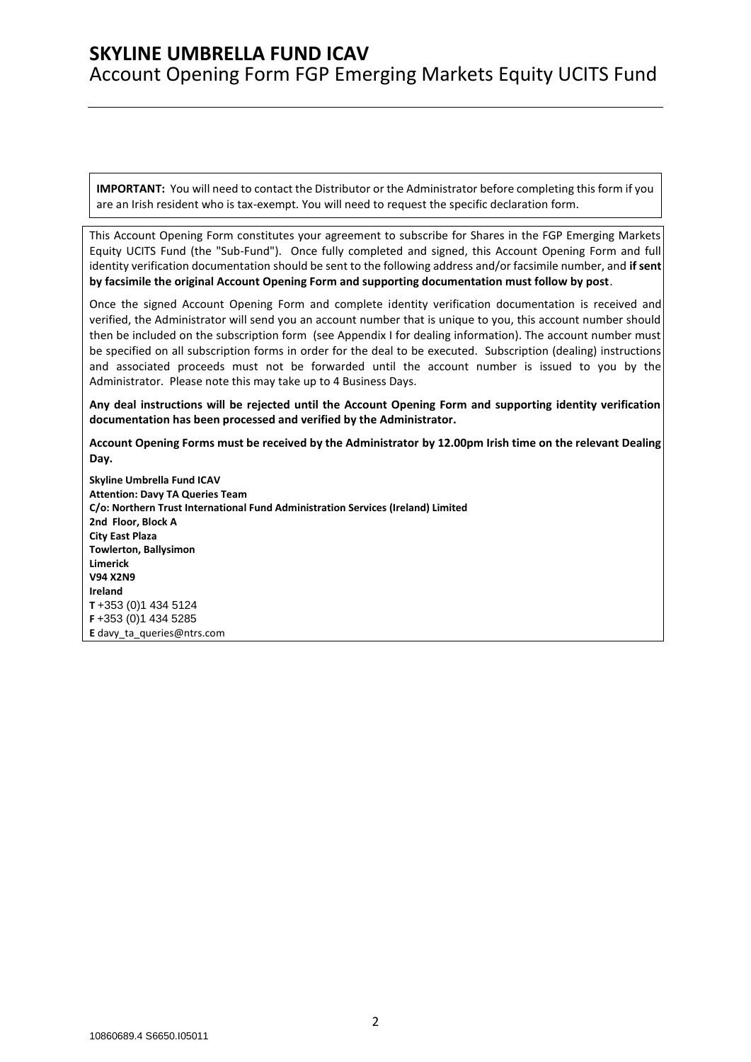**IMPORTANT:** You will need to contact the Distributor or the Administrator before completing this form if you are an Irish resident who is tax-exempt. You will need to request the specific declaration form.

This Account Opening Form constitutes your agreement to subscribe for Shares in the FGP Emerging Markets Equity UCITS Fund (the "Sub-Fund"). Once fully completed and signed, this Account Opening Form and full identity verification documentation should be sent to the following address and/or facsimile number, and **if sent by facsimile the original Account Opening Form and supporting documentation must follow by post**.

Once the signed Account Opening Form and complete identity verification documentation is received and verified, the Administrator will send you an account number that is unique to you, this account number should then be included on the subscription form (see Appendix I for dealing information). The account number must be specified on all subscription forms in order for the deal to be executed. Subscription (dealing) instructions and associated proceeds must not be forwarded until the account number is issued to you by the Administrator. Please note this may take up to 4 Business Days.

**Any deal instructions will be rejected until the Account Opening Form and supporting identity verification documentation has been processed and verified by the Administrator.**

**Account Opening Forms must be received by the Administrator by 12.00pm Irish time on the relevant Dealing Day.**

**Skyline Umbrella Fund ICAV Attention: Davy TA Queries Team C/o: Northern Trust International Fund Administration Services (Ireland) Limited 2nd Floor, Block A City East Plaza Towlerton, Ballysimon Limerick V94 X2N9 Ireland T** +353 (0)1 434 5124 **F** +353 (0)1 434 5285 **E** [davy\\_ta\\_queries@ntrs.com](mailto:davy_ta_queries@ntrs.com)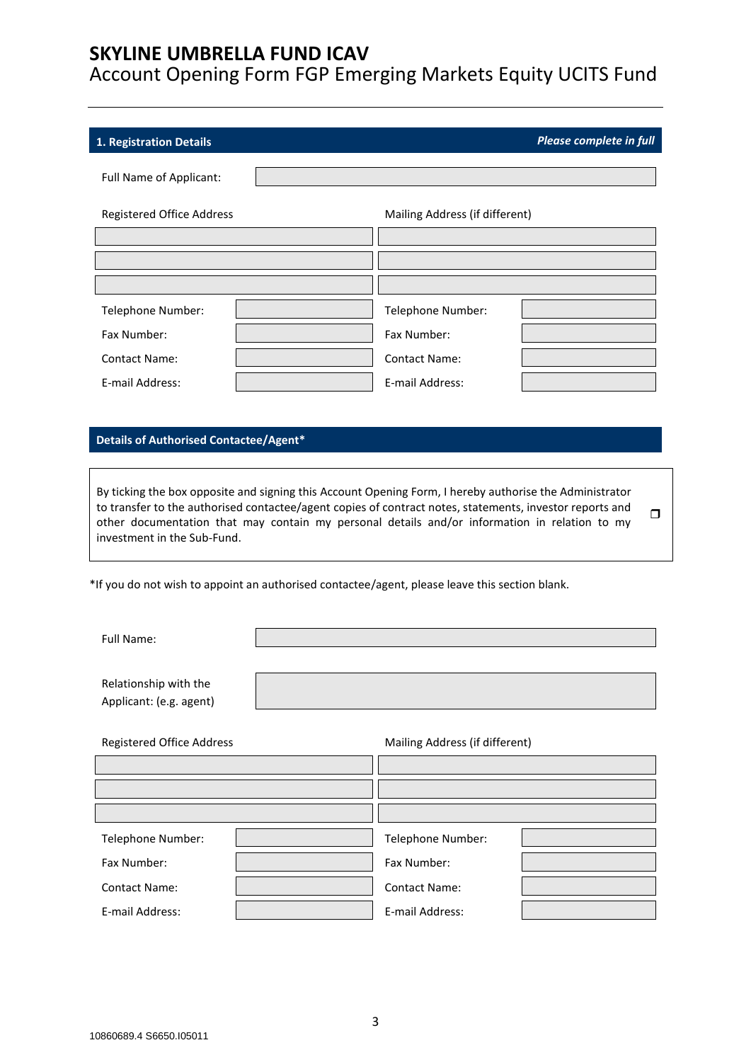Account Opening Form FGP Emerging Markets Equity UCITS Fund

### <span id="page-2-0"></span>**1. Registration Details** *Please complete in full*

Full Name of Applicant:

| <b>Registered Office Address</b> |  | Mailing Address (if different) |  |
|----------------------------------|--|--------------------------------|--|
|                                  |  |                                |  |
|                                  |  |                                |  |
|                                  |  |                                |  |
| Telephone Number:                |  | Telephone Number:              |  |
| Fax Number:                      |  | Fax Number:                    |  |
| <b>Contact Name:</b>             |  | <b>Contact Name:</b>           |  |
| E-mail Address:                  |  | E-mail Address:                |  |

#### **Details of Authorised Contactee/Agent\***

By ticking the box opposite and signing this Account Opening Form, I hereby authorise the Administrator to transfer to the authorised contactee/agent copies of contract notes, statements, investor reports and other documentation that may contain my personal details and/or information in relation to my investment in the Sub-Fund.  $\Box$ 

\*If you do not wish to appoint an authorised contactee/agent, please leave this section blank.

Full Name:

Relationship with the Applicant: (e.g. agent)

| <b>Registered Office Address</b> |  | Mailing Address (if different) |  |
|----------------------------------|--|--------------------------------|--|
|                                  |  |                                |  |
|                                  |  |                                |  |
|                                  |  |                                |  |
| Telephone Number:                |  | Telephone Number:              |  |
| Fax Number:                      |  | Fax Number:                    |  |
| <b>Contact Name:</b>             |  | <b>Contact Name:</b>           |  |
| E-mail Address:                  |  | E-mail Address:                |  |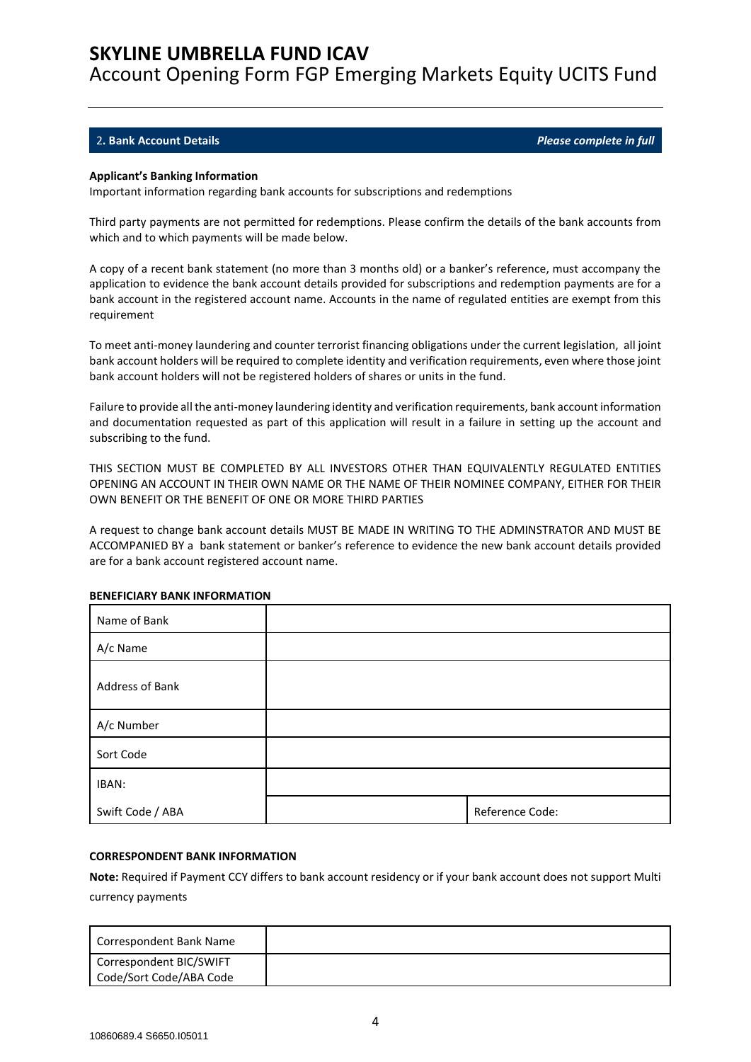Account Opening Form FGP Emerging Markets Equity UCITS Fund

### <span id="page-3-0"></span>2**. Bank Account Details** *Please complete in full*

#### **Applicant's Banking Information**

Important information regarding bank accounts for subscriptions and redemptions

Third party payments are not permitted for redemptions. Please confirm the details of the bank accounts from which and to which payments will be made below.

A copy of a recent bank statement (no more than 3 months old) or a banker's reference, must accompany the application to evidence the bank account details provided for subscriptions and redemption payments are for a bank account in the registered account name. Accounts in the name of regulated entities are exempt from this requirement

To meet anti-money laundering and counter terrorist financing obligations under the current legislation, all joint bank account holders will be required to complete identity and verification requirements, even where those joint bank account holders will not be registered holders of shares or units in the fund.

Failure to provide all the anti-money laundering identity and verification requirements, bank account information and documentation requested as part of this application will result in a failure in setting up the account and subscribing to the fund.

THIS SECTION MUST BE COMPLETED BY ALL INVESTORS OTHER THAN EQUIVALENTLY REGULATED ENTITIES OPENING AN ACCOUNT IN THEIR OWN NAME OR THE NAME OF THEIR NOMINEE COMPANY, EITHER FOR THEIR OWN BENEFIT OR THE BENEFIT OF ONE OR MORE THIRD PARTIES

A request to change bank account details MUST BE MADE IN WRITING TO THE ADMINSTRATOR AND MUST BE ACCOMPANIED BY a bank statement or banker's reference to evidence the new bank account details provided are for a bank account registered account name.

| Name of Bank     |                 |
|------------------|-----------------|
| A/c Name         |                 |
| Address of Bank  |                 |
| A/c Number       |                 |
| Sort Code        |                 |
| IBAN:            |                 |
| Swift Code / ABA | Reference Code: |

#### **BENEFICIARY BANK INFORMATION**

#### **CORRESPONDENT BANK INFORMATION**

**Note:** Required if Payment CCY differs to bank account residency or if your bank account does not support Multi currency payments

| Correspondent Bank Name                            |  |
|----------------------------------------------------|--|
| Correspondent BIC/SWIFT<br>Code/Sort Code/ABA Code |  |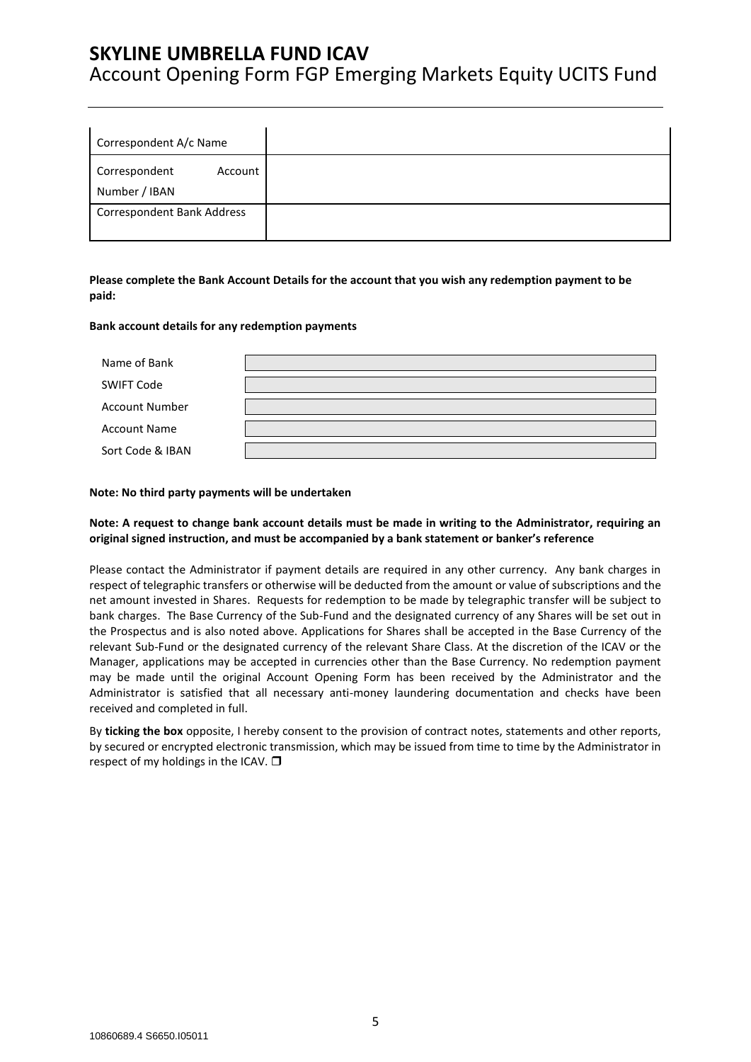# Account Opening Form FGP Emerging Markets Equity UCITS Fund

| Correspondent A/c Name                    |  |
|-------------------------------------------|--|
| Correspondent<br>Account<br>Number / IBAN |  |
| <b>Correspondent Bank Address</b>         |  |

### **Please complete the Bank Account Details for the account that you wish any redemption payment to be paid:**

#### **Bank account details for any redemption payments**

| Name of Bank          |  |
|-----------------------|--|
| <b>SWIFT Code</b>     |  |
| <b>Account Number</b> |  |
| <b>Account Name</b>   |  |
| Sort Code & IBAN      |  |

#### **Note: No third party payments will be undertaken**

### **Note: A request to change bank account details must be made in writing to the Administrator, requiring an original signed instruction, and must be accompanied by a bank statement or banker's reference**

Please contact the Administrator if payment details are required in any other currency. Any bank charges in respect of telegraphic transfers or otherwise will be deducted from the amount or value of subscriptions and the net amount invested in Shares. Requests for redemption to be made by telegraphic transfer will be subject to bank charges. The Base Currency of the Sub-Fund and the designated currency of any Shares will be set out in the Prospectus and is also noted above. Applications for Shares shall be accepted in the Base Currency of the relevant Sub-Fund or the designated currency of the relevant Share Class. At the discretion of the ICAV or the Manager, applications may be accepted in currencies other than the Base Currency. No redemption payment may be made until the original Account Opening Form has been received by the Administrator and the Administrator is satisfied that all necessary anti-money laundering documentation and checks have been received and completed in full.

By **ticking the box** opposite, I hereby consent to the provision of contract notes, statements and other reports, by secured or encrypted electronic transmission, which may be issued from time to time by the Administrator in respect of my holdings in the ICAV.  $\square$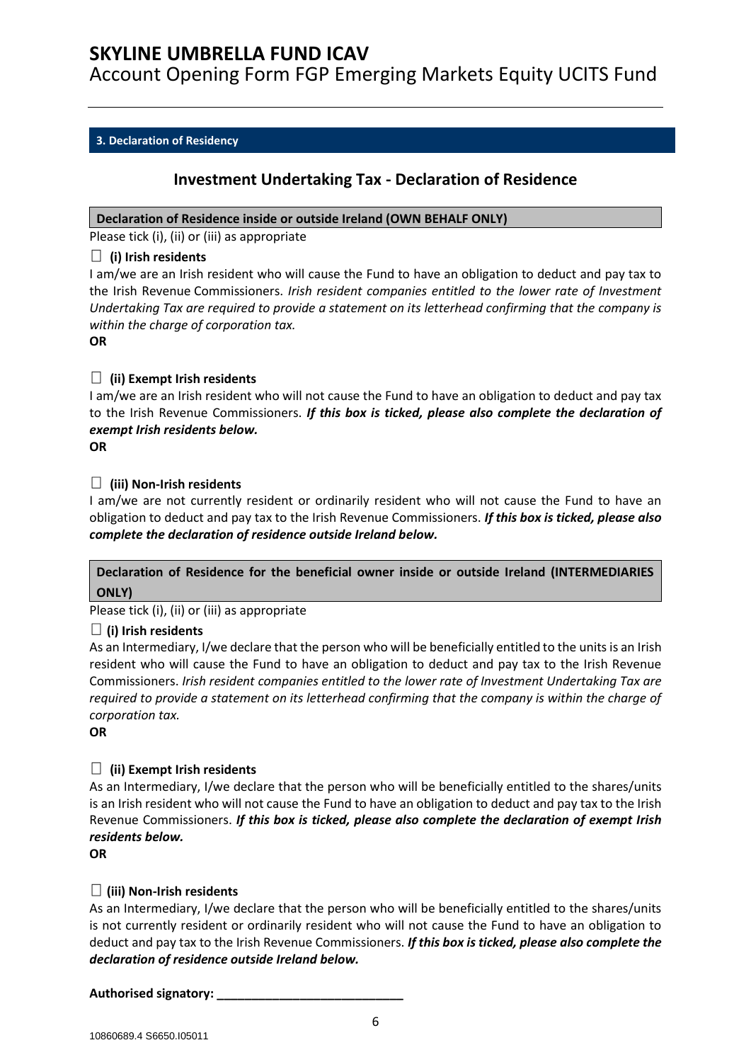Account Opening Form FGP Emerging Markets Equity UCITS Fund

## <span id="page-5-0"></span>**3. Declaration of Residency**

## **Investment Undertaking Tax - Declaration of Residence**

### **Declaration of Residence inside or outside Ireland (OWN BEHALF ONLY)**

Please tick (i), (ii) or (iii) as appropriate

### **(i) Irish residents**

I am/we are an Irish resident who will cause the Fund to have an obligation to deduct and pay tax to the Irish Revenue Commissioners. *Irish resident companies entitled to the lower rate of Investment Undertaking Tax are required to provide a statement on its letterhead confirming that the company is within the charge of corporation tax.*

**OR**

## **(ii) Exempt Irish residents**

I am/we are an Irish resident who will not cause the Fund to have an obligation to deduct and pay tax to the Irish Revenue Commissioners. *If this box is ticked, please also complete the declaration of exempt Irish residents below.*

**OR**

## **(iii) Non-Irish residents**

I am/we are not currently resident or ordinarily resident who will not cause the Fund to have an obligation to deduct and pay tax to the Irish Revenue Commissioners. *If this box is ticked, please also complete the declaration of residence outside Ireland below.*

## **Declaration of Residence for the beneficial owner inside or outside Ireland (INTERMEDIARIES ONLY)**

Please tick (i), (ii) or (iii) as appropriate

## **(i) Irish residents**

As an Intermediary, I/we declare that the person who will be beneficially entitled to the units is an Irish resident who will cause the Fund to have an obligation to deduct and pay tax to the Irish Revenue Commissioners. *Irish resident companies entitled to the lower rate of Investment Undertaking Tax are required to provide a statement on its letterhead confirming that the company is within the charge of corporation tax.*

**OR**

## **(ii) Exempt Irish residents**

As an Intermediary, I/we declare that the person who will be beneficially entitled to the shares/units is an Irish resident who will not cause the Fund to have an obligation to deduct and pay tax to the Irish Revenue Commissioners. *If this box is ticked, please also complete the declaration of exempt Irish residents below.*

**OR**

## **(iii) Non-Irish residents**

As an Intermediary, I/we declare that the person who will be beneficially entitled to the shares/units is not currently resident or ordinarily resident who will not cause the Fund to have an obligation to deduct and pay tax to the Irish Revenue Commissioners. *If this box is ticked, please also complete the declaration of residence outside Ireland below.*

**Authorised signatory: \_\_\_\_\_\_\_\_\_\_\_\_\_\_\_\_\_\_\_\_\_\_\_\_\_\_\_**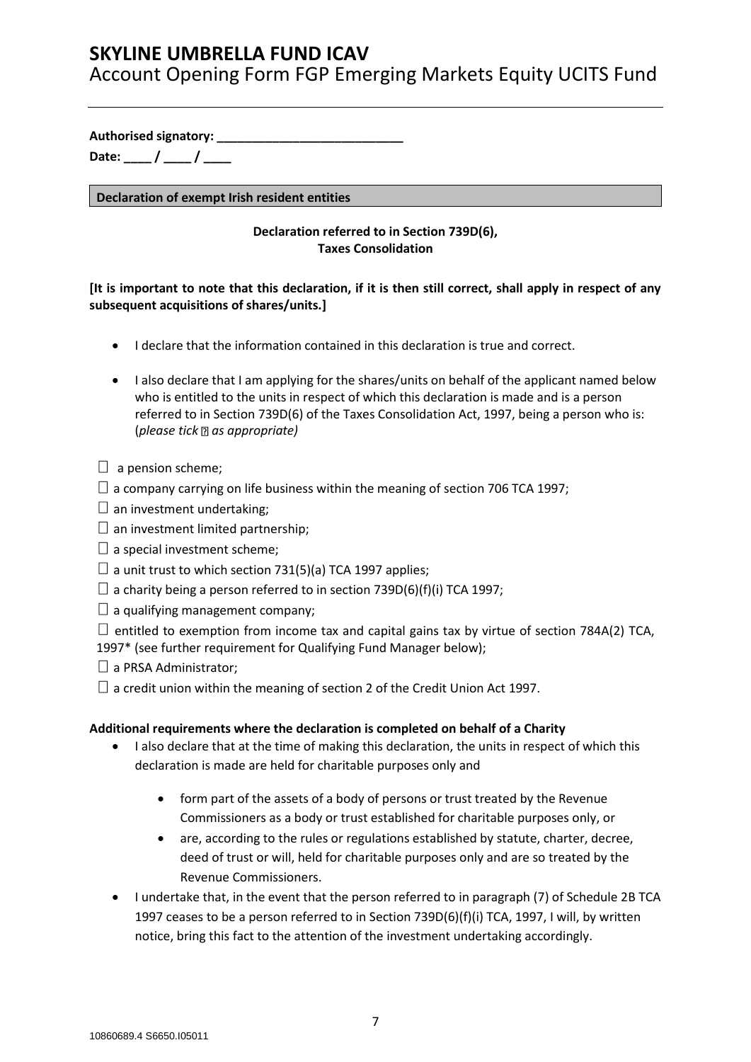Account Opening Form FGP Emerging Markets Equity UCITS Fund

**Authorised signatory: \_\_\_\_\_\_\_\_\_\_\_\_\_\_\_\_\_\_\_\_\_\_\_\_\_\_\_**

**Date: \_\_\_\_ / \_\_\_\_ / \_\_\_\_**

**Declaration of exempt Irish resident entities**

## **Declaration referred to in Section 739D(6), Taxes Consolidation**

## **[It is important to note that this declaration, if it is then still correct, shall apply in respect of any subsequent acquisitions of shares/units.]**

- I declare that the information contained in this declaration is true and correct.
- I also declare that I am applying for the shares/units on behalf of the applicant named below who is entitled to the units in respect of which this declaration is made and is a person referred to in Section 739D(6) of the Taxes Consolidation Act, 1997, being a person who is: (*please tick as appropriate)*
- $\Box$  a pension scheme;
- $\Box$  a company carrying on life business within the meaning of section 706 TCA 1997;
- $\square$  an investment undertaking;
- $\square$  an investment limited partnership;
- $\square$  a special investment scheme;
- $\Box$  a unit trust to which section 731(5)(a) TCA 1997 applies;
- $\Box$  a charity being a person referred to in section 739D(6)(f)(i) TCA 1997;
- $\Box$  a qualifying management company;
- $\Box$  entitled to exemption from income tax and capital gains tax by virtue of section 784A(2) TCA,
- 1997\* (see further requirement for Qualifying Fund Manager below);
- $\Box$  a PRSA Administrator;
- $\Box$  a credit union within the meaning of section 2 of the Credit Union Act 1997.

## **Additional requirements where the declaration is completed on behalf of a Charity**

- I also declare that at the time of making this declaration, the units in respect of which this declaration is made are held for charitable purposes only and
	- form part of the assets of a body of persons or trust treated by the Revenue Commissioners as a body or trust established for charitable purposes only, or
	- are, according to the rules or regulations established by statute, charter, decree, deed of trust or will, held for charitable purposes only and are so treated by the Revenue Commissioners.
- I undertake that, in the event that the person referred to in paragraph (7) of Schedule 2B TCA 1997 ceases to be a person referred to in Section 739D(6)(f)(i) TCA, 1997, I will, by written notice, bring this fact to the attention of the investment undertaking accordingly.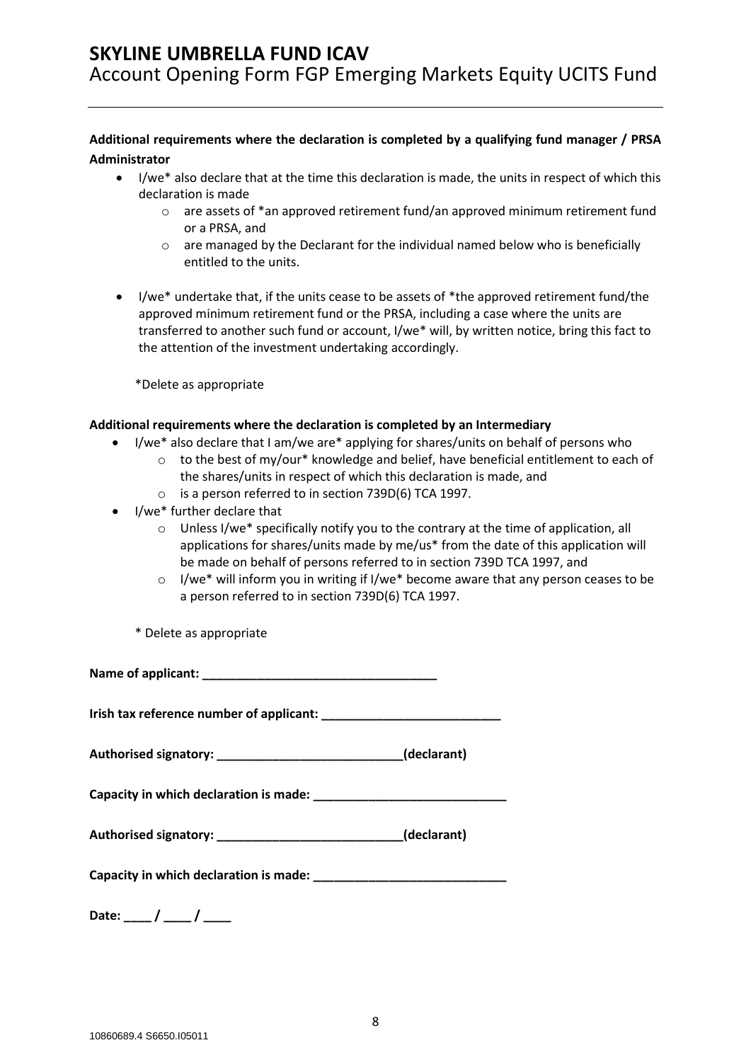**Additional requirements where the declaration is completed by a qualifying fund manager / PRSA Administrator**

- I/we\* also declare that at the time this declaration is made, the units in respect of which this declaration is made
	- $\circ$  are assets of \*an approved retirement fund/an approved minimum retirement fund or a PRSA, and
	- $\circ$  are managed by the Declarant for the individual named below who is beneficially entitled to the units.
- I/we\* undertake that, if the units cease to be assets of \*the approved retirement fund/the approved minimum retirement fund or the PRSA, including a case where the units are transferred to another such fund or account, I/we\* will, by written notice, bring this fact to the attention of the investment undertaking accordingly.

\*Delete as appropriate

### **Additional requirements where the declaration is completed by an Intermediary**

- I/we\* also declare that I am/we are\* applying for shares/units on behalf of persons who
	- $\circ$  to the best of my/our\* knowledge and belief, have beneficial entitlement to each of the shares/units in respect of which this declaration is made, and
		- o is a person referred to in section 739D(6) TCA 1997.
- I/we\* further declare that
	- $\circ$  Unless I/we\* specifically notify you to the contrary at the time of application, all applications for shares/units made by me/us\* from the date of this application will be made on behalf of persons referred to in section 739D TCA 1997, and
	- $\circ$  I/we\* will inform you in writing if I/we\* become aware that any person ceases to be a person referred to in section 739D(6) TCA 1997.
	- \* Delete as appropriate

**Name of applicant: \_\_\_\_\_\_\_\_\_\_\_\_\_\_\_\_\_\_\_\_\_\_\_\_\_\_\_\_\_\_\_\_\_\_**

**Irish tax reference number of applicant:** 

**Authorised signatory: \_\_\_\_\_\_\_\_\_\_\_\_\_\_\_\_\_\_\_\_\_\_\_\_\_\_\_(declarant)**

**Capacity in which declaration is made: \_\_\_\_\_\_\_\_\_\_\_\_\_\_\_\_\_\_\_\_\_\_\_\_\_\_\_\_**

| Authorised signatory: |  | (declarant) |
|-----------------------|--|-------------|
|-----------------------|--|-------------|

| Capacity in which declaration is made: |  |
|----------------------------------------|--|
|                                        |  |

Date: / /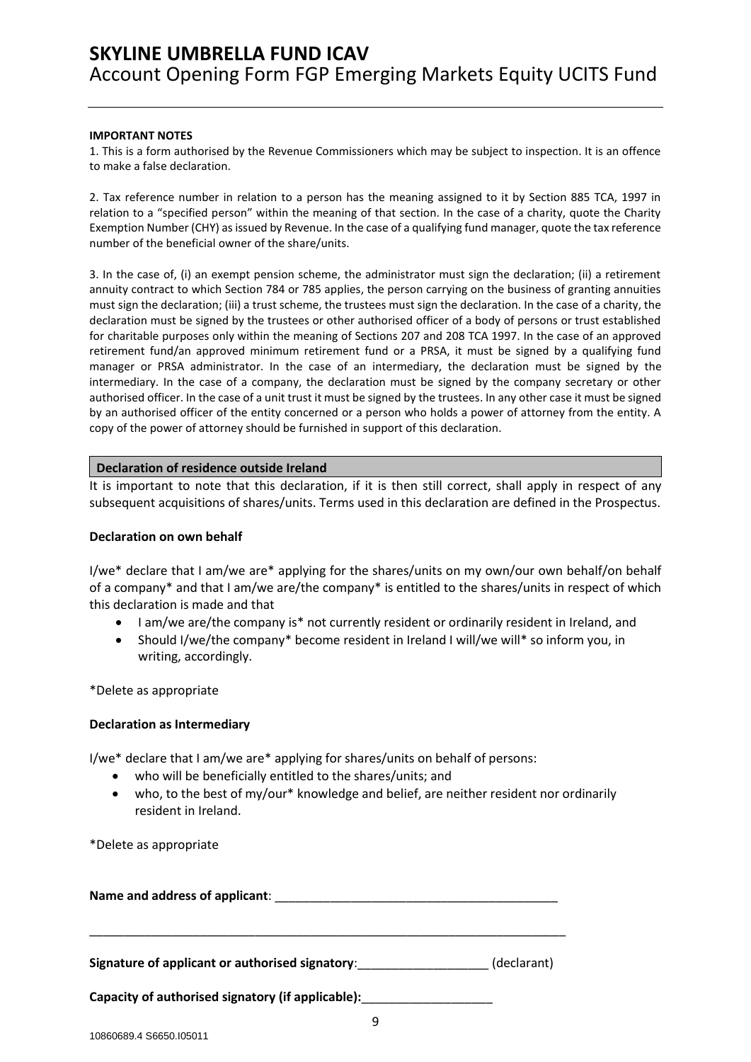#### **IMPORTANT NOTES**

1. This is a form authorised by the Revenue Commissioners which may be subject to inspection. It is an offence to make a false declaration.

2. Tax reference number in relation to a person has the meaning assigned to it by Section 885 TCA, 1997 in relation to a "specified person" within the meaning of that section. In the case of a charity, quote the Charity Exemption Number (CHY) as issued by Revenue. In the case of a qualifying fund manager, quote the tax reference number of the beneficial owner of the share/units.

3. In the case of, (i) an exempt pension scheme, the administrator must sign the declaration; (ii) a retirement annuity contract to which Section 784 or 785 applies, the person carrying on the business of granting annuities must sign the declaration; (iii) a trust scheme, the trustees must sign the declaration. In the case of a charity, the declaration must be signed by the trustees or other authorised officer of a body of persons or trust established for charitable purposes only within the meaning of Sections 207 and 208 TCA 1997. In the case of an approved retirement fund/an approved minimum retirement fund or a PRSA, it must be signed by a qualifying fund manager or PRSA administrator. In the case of an intermediary, the declaration must be signed by the intermediary. In the case of a company, the declaration must be signed by the company secretary or other authorised officer. In the case of a unit trust it must be signed by the trustees. In any other case it must be signed by an authorised officer of the entity concerned or a person who holds a power of attorney from the entity. A copy of the power of attorney should be furnished in support of this declaration.

#### **Declaration of residence outside Ireland**

It is important to note that this declaration, if it is then still correct, shall apply in respect of any subsequent acquisitions of shares/units. Terms used in this declaration are defined in the Prospectus.

#### **Declaration on own behalf**

I/we\* declare that I am/we are\* applying for the shares/units on my own/our own behalf/on behalf of a company\* and that I am/we are/the company\* is entitled to the shares/units in respect of which this declaration is made and that

- I am/we are/the company is\* not currently resident or ordinarily resident in Ireland, and
- Should I/we/the company\* become resident in Ireland I will/we will\* so inform you, in writing, accordingly.

\*Delete as appropriate

#### **Declaration as Intermediary**

I/we\* declare that I am/we are\* applying for shares/units on behalf of persons:

- who will be beneficially entitled to the shares/units; and
- who, to the best of my/our\* knowledge and belief, are neither resident nor ordinarily resident in Ireland.

\*Delete as appropriate

**Name and address of applicant**: \_\_\_\_\_\_\_\_\_\_\_\_\_\_\_\_\_\_\_\_\_\_\_\_\_\_\_\_\_\_\_\_\_\_\_\_\_\_\_\_\_

\_\_\_\_\_\_\_\_\_\_\_\_\_\_\_\_\_\_\_\_\_\_\_\_\_\_\_\_\_\_\_\_\_\_\_\_\_\_\_\_\_\_\_\_\_\_\_\_\_\_\_\_\_\_\_\_\_\_\_\_\_\_\_\_\_\_\_\_\_

**Signature of applicant or authorised signatory**:\_\_\_\_\_\_\_\_\_\_\_\_\_\_\_\_\_\_\_ (declarant)

**Capacity of authorised signatory (if applicable):**\_\_\_\_\_\_\_\_\_\_\_\_\_\_\_\_\_\_\_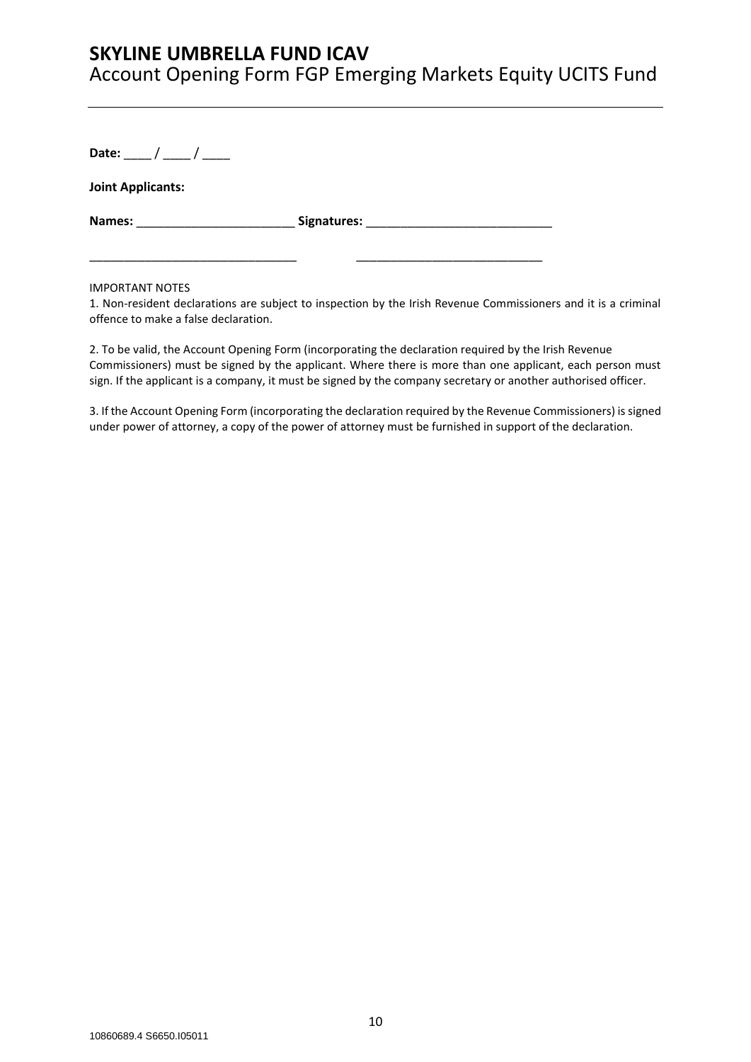**Date:** \_\_\_\_ / \_\_\_\_ / \_\_\_\_

**Joint Applicants:**

**Names:** \_\_\_\_\_\_\_\_\_\_\_\_\_\_\_\_\_\_\_\_\_\_\_ **Signatures:** \_\_\_\_\_\_\_\_\_\_\_\_\_\_\_\_\_\_\_\_\_\_\_\_\_\_\_

\_\_\_\_\_\_\_\_\_\_\_\_\_\_\_\_\_\_\_\_\_\_\_\_\_\_\_\_\_\_ \_\_\_\_\_\_\_\_\_\_\_\_\_\_\_\_\_\_\_\_\_\_\_\_\_\_\_

IMPORTANT NOTES

1. Non-resident declarations are subject to inspection by the Irish Revenue Commissioners and it is a criminal offence to make a false declaration.

2. To be valid, the Account Opening Form (incorporating the declaration required by the Irish Revenue Commissioners) must be signed by the applicant. Where there is more than one applicant, each person must sign. If the applicant is a company, it must be signed by the company secretary or another authorised officer.

3. If the Account Opening Form (incorporating the declaration required by the Revenue Commissioners) is signed under power of attorney, a copy of the power of attorney must be furnished in support of the declaration.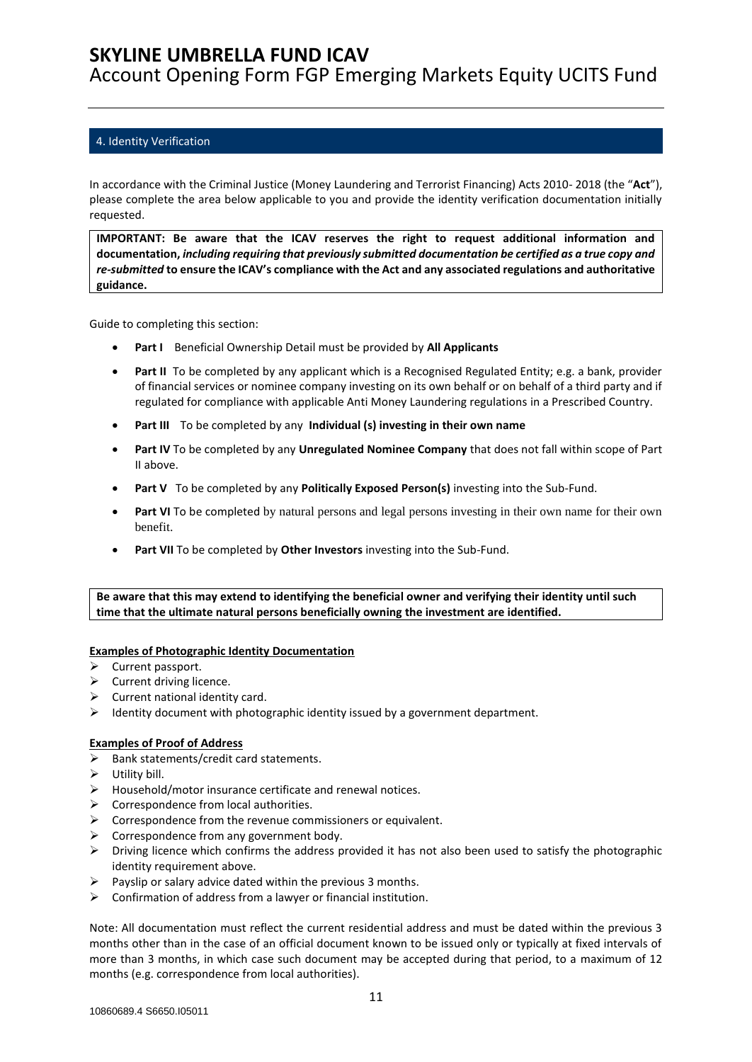Account Opening Form FGP Emerging Markets Equity UCITS Fund

### <span id="page-10-0"></span>4. Identity Verification

In accordance with the Criminal Justice (Money Laundering and Terrorist Financing) Acts 2010- 2018 (the "**Act**"), please complete the area below applicable to you and provide the identity verification documentation initially requested.

**IMPORTANT: Be aware that the ICAV reserves the right to request additional information and documentation,** *including requiring that previously submitted documentation be certified as a true copy and re-submitted* **to ensure the ICAV's compliance with the Act and any associated regulations and authoritative guidance.**

Guide to completing this section:

- **Part I** Beneficial Ownership Detail must be provided by **All Applicants**
- **Part II** To be completed by any applicant which is a Recognised Regulated Entity; e.g. a bank, provider of financial services or nominee company investing on its own behalf or on behalf of a third party and if regulated for compliance with applicable Anti Money Laundering regulations in a Prescribed Country.
- **Part III** To be completed by any **Individual (s) investing in their own name**
- **Part IV** To be completed by any **Unregulated Nominee Company** that does not fall within scope of Part II above.
- **Part V** To be completed by any **Politically Exposed Person(s)** investing into the Sub-Fund.
- **Part VI** To be completed by natural persons and legal persons investing in their own name for their own benefit.
- **Part VII** To be completed by **Other Investors** investing into the Sub-Fund.

**Be aware that this may extend to identifying the beneficial owner and verifying their identity until such time that the ultimate natural persons beneficially owning the investment are identified.**

### **Examples of Photographic Identity Documentation**

- ➢ Current passport.
- ➢ Current driving licence.
- $\triangleright$  Current national identity card.
- ➢ Identity document with photographic identity issued by a government department.

#### **Examples of Proof of Address**

- $\triangleright$  Bank statements/credit card statements.
- $\triangleright$  Utility bill.
- ➢ Household/motor insurance certificate and renewal notices.
- $\triangleright$  Correspondence from local authorities.
- $\triangleright$  Correspondence from the revenue commissioners or equivalent.
- $\triangleright$  Correspondence from any government body.
- $\triangleright$  Driving licence which confirms the address provided it has not also been used to satisfy the photographic identity requirement above.
- $\triangleright$  Payslip or salary advice dated within the previous 3 months.
- $\triangleright$  Confirmation of address from a lawyer or financial institution.

Note: All documentation must reflect the current residential address and must be dated within the previous 3 months other than in the case of an official document known to be issued only or typically at fixed intervals of more than 3 months, in which case such document may be accepted during that period, to a maximum of 12 months (e.g. correspondence from local authorities).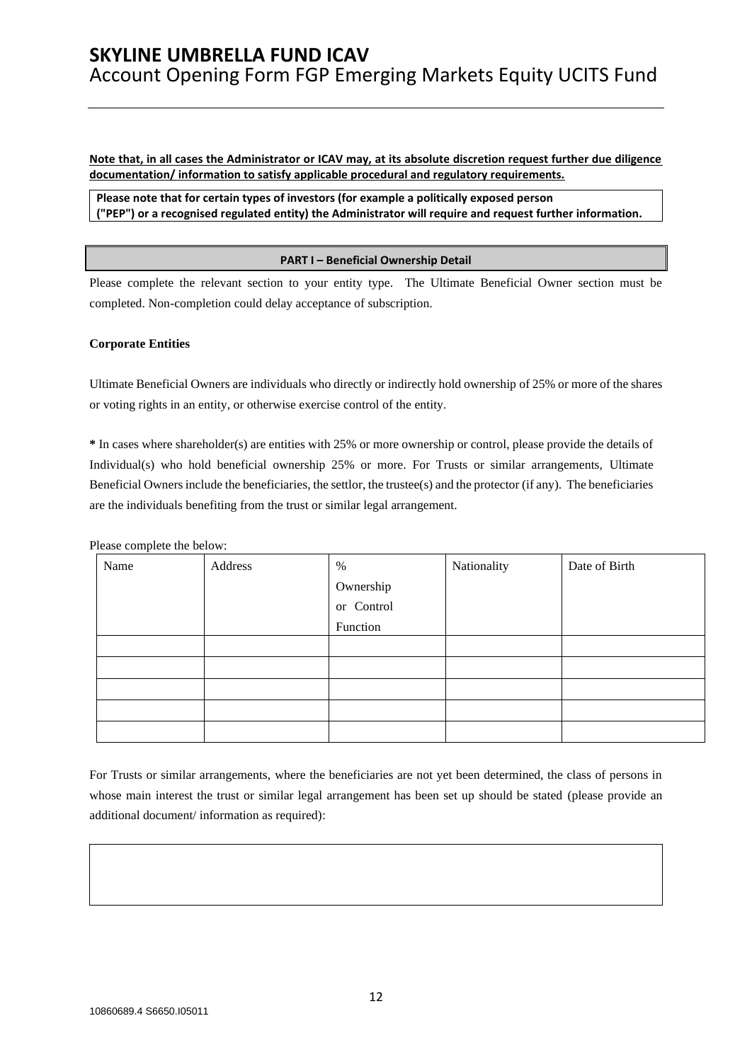**Note that, in all cases the Administrator or ICAV may, at its absolute discretion request further due diligence documentation/ information to satisfy applicable procedural and regulatory requirements.** 

**Please note that for certain types of investors (for example a politically exposed person ("PEP") or a recognised regulated entity) the Administrator will require and request further information.**

#### **PART I – Beneficial Ownership Detail**

Please complete the relevant section to your entity type. The Ultimate Beneficial Owner section must be completed. Non-completion could delay acceptance of subscription.

#### **Corporate Entities**

Ultimate Beneficial Owners are individuals who directly or indirectly hold ownership of 25% or more of the shares or voting rights in an entity, or otherwise exercise control of the entity.

**\*** In cases where shareholder(s) are entities with 25% or more ownership or control, please provide the details of Individual(s) who hold beneficial ownership 25% or more. For Trusts or similar arrangements, Ultimate Beneficial Owners include the beneficiaries, the settlor, the trustee(s) and the protector (if any). The beneficiaries are the individuals benefiting from the trust or similar legal arrangement.

Please complete the below:

| Name | Address | $\%$       | Nationality | Date of Birth |
|------|---------|------------|-------------|---------------|
|      |         | Ownership  |             |               |
|      |         | or Control |             |               |
|      |         | Function   |             |               |
|      |         |            |             |               |
|      |         |            |             |               |
|      |         |            |             |               |
|      |         |            |             |               |
|      |         |            |             |               |

For Trusts or similar arrangements, where the beneficiaries are not yet been determined, the class of persons in whose main interest the trust or similar legal arrangement has been set up should be stated (please provide an additional document/ information as required):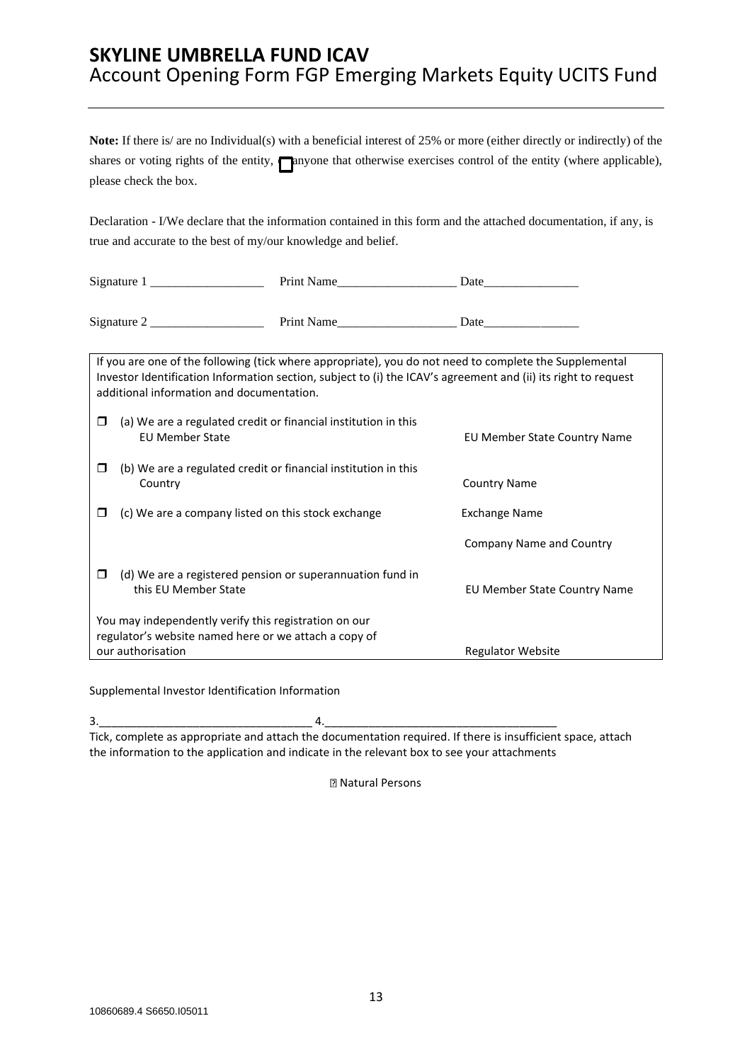|   | please check the box.                                                                                                                 | Note: If there is/ are no Individual(s) with a beneficial interest of 25% or more (either directly or indirectly) of the<br>shares or voting rights of the entity, naryone that otherwise exercises control of the entity (where applicable),            |
|---|---------------------------------------------------------------------------------------------------------------------------------------|----------------------------------------------------------------------------------------------------------------------------------------------------------------------------------------------------------------------------------------------------------|
|   | true and accurate to the best of my/our knowledge and belief.                                                                         | Declaration - I/We declare that the information contained in this form and the attached documentation, if any, is                                                                                                                                        |
|   |                                                                                                                                       |                                                                                                                                                                                                                                                          |
|   |                                                                                                                                       |                                                                                                                                                                                                                                                          |
| □ | additional information and documentation.<br>(a) We are a regulated credit or financial institution in this<br><b>EU Member State</b> | If you are one of the following (tick where appropriate), you do not need to complete the Supplemental<br>Investor Identification Information section, subject to (i) the ICAV's agreement and (ii) its right to request<br>EU Member State Country Name |
| □ | (b) We are a regulated credit or financial institution in this<br>Country                                                             | <b>Country Name</b>                                                                                                                                                                                                                                      |
| ◻ | (c) We are a company listed on this stock exchange                                                                                    | <b>Exchange Name</b>                                                                                                                                                                                                                                     |
|   |                                                                                                                                       | Company Name and Country                                                                                                                                                                                                                                 |
| □ | (d) We are a registered pension or superannuation fund in<br>this EU Member State                                                     | EU Member State Country Name                                                                                                                                                                                                                             |
|   | You may independently verify this registration on our<br>regulator's website named here or we attach a copy of<br>our authorisation   | <b>Regulator Website</b>                                                                                                                                                                                                                                 |

Supplemental Investor Identification Information

3.\_\_\_\_\_\_\_\_\_\_\_\_\_\_\_\_\_\_\_\_\_\_\_\_\_\_\_\_\_\_\_\_\_\_ 4.\_\_\_\_\_\_\_\_\_\_\_\_\_\_\_\_\_\_\_\_\_\_\_\_\_\_\_\_\_\_\_\_\_\_\_\_\_ Tick, complete as appropriate and attach the documentation required. If there is insufficient space, attach the information to the application and indicate in the relevant box to see your attachments

Natural Persons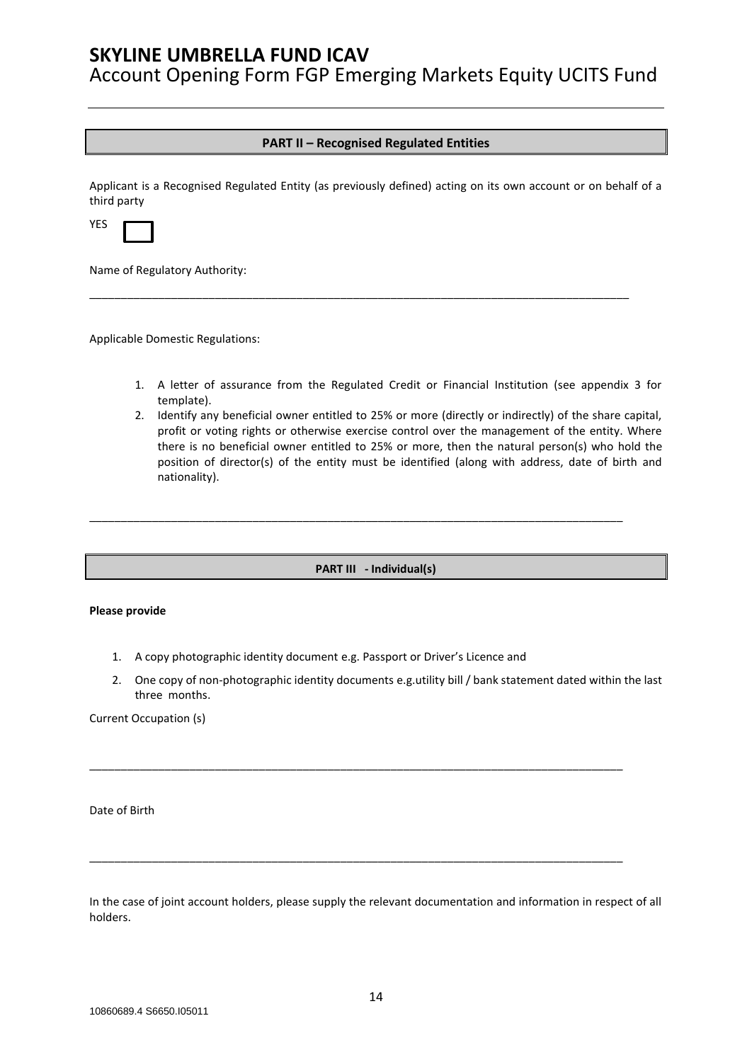Account Opening Form FGP Emerging Markets Equity UCITS Fund

### **PART II – Recognised Regulated Entities**

Applicant is a Recognised Regulated Entity (as previously defined) acting on its own account or on behalf of a third party

\_\_\_\_\_\_\_\_\_\_\_\_\_\_\_\_\_\_\_\_\_\_\_\_\_\_\_\_\_\_\_\_\_\_\_\_\_\_\_\_\_\_\_\_\_\_\_\_\_\_\_\_\_\_\_\_\_\_\_\_\_\_\_\_\_\_\_\_\_\_\_\_\_\_\_\_\_\_\_\_\_\_\_\_\_\_

| and the |  |
|---------|--|

Name of Regulatory Authority:

Applicable Domestic Regulations:

- 1. A letter of assurance from the Regulated Credit or Financial Institution (see appendix 3 for template).
- 2. Identify any beneficial owner entitled to 25% or more (directly or indirectly) of the share capital, profit or voting rights or otherwise exercise control over the management of the entity. Where there is no beneficial owner entitled to 25% or more, then the natural person(s) who hold the position of director(s) of the entity must be identified (along with address, date of birth and nationality).

**PART III - Individual(s)**

\_\_\_\_\_\_\_\_\_\_\_\_\_\_\_\_\_\_\_\_\_\_\_\_\_\_\_\_\_\_\_\_\_\_\_\_\_\_\_\_\_\_\_\_\_\_\_\_\_\_\_\_\_\_\_\_\_\_\_\_\_\_\_\_\_\_\_\_\_\_\_\_\_\_\_\_\_\_\_\_\_\_\_\_\_

#### **Please provide**

- 1. A copy photographic identity document e.g. Passport or Driver's Licence and
- 2. One copy of non-photographic identity documents e.g.utility bill / bank statement dated within the last three months.

\_\_\_\_\_\_\_\_\_\_\_\_\_\_\_\_\_\_\_\_\_\_\_\_\_\_\_\_\_\_\_\_\_\_\_\_\_\_\_\_\_\_\_\_\_\_\_\_\_\_\_\_\_\_\_\_\_\_\_\_\_\_\_\_\_\_\_\_\_\_\_\_\_\_\_\_\_\_\_\_\_\_\_\_\_

\_\_\_\_\_\_\_\_\_\_\_\_\_\_\_\_\_\_\_\_\_\_\_\_\_\_\_\_\_\_\_\_\_\_\_\_\_\_\_\_\_\_\_\_\_\_\_\_\_\_\_\_\_\_\_\_\_\_\_\_\_\_\_\_\_\_\_\_\_\_\_\_\_\_\_\_\_\_\_\_\_\_\_\_\_

Current Occupation (s)

Date of Birth

In the case of joint account holders, please supply the relevant documentation and information in respect of all holders.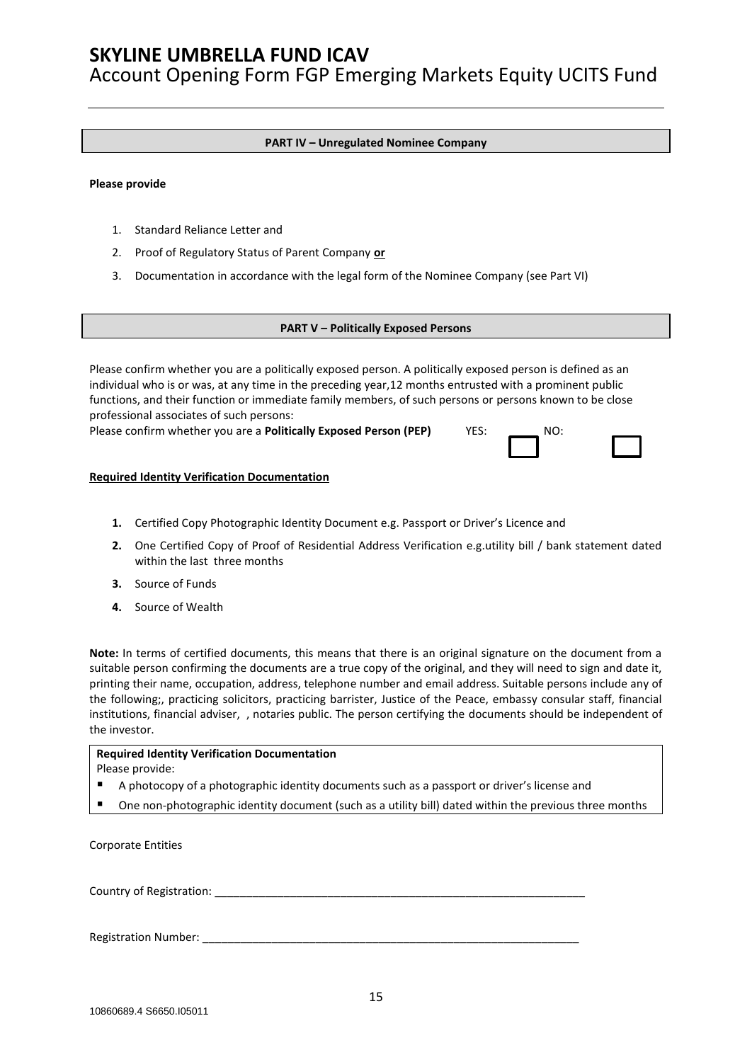Account Opening Form FGP Emerging Markets Equity UCITS Fund

#### **PART IV – Unregulated Nominee Company**

#### **Please provide**

- 1. Standard Reliance Letter and
- 2. Proof of Regulatory Status of Parent Company **or**
- 3. Documentation in accordance with the legal form of the Nominee Company (see Part VI)

#### **PART V – Politically Exposed Persons**

Please confirm whether you are a politically exposed person. A politically exposed person is defined as an individual who is or was, at any time in the preceding year,12 months entrusted with a prominent public functions, and their function or immediate family members, of such persons or persons known to be close professional associates of such persons:

Please confirm whether you are a **Politically Exposed Person (PEP)** YES:

| NO: |  |
|-----|--|
|     |  |

#### **Required Identity Verification Documentation**

- **1.** Certified Copy Photographic Identity Document e.g. Passport or Driver's Licence and
- **2.** One Certified Copy of Proof of Residential Address Verification e.g.utility bill / bank statement dated within the last three months
- **3.** Source of Funds
- **4.** Source of Wealth

**Note:** In terms of certified documents, this means that there is an original signature on the document from a suitable person confirming the documents are a true copy of the original, and they will need to sign and date it, printing their name, occupation, address, telephone number and email address. Suitable persons include any of the following;, practicing solicitors, practicing barrister, Justice of the Peace, embassy consular staff, financial institutions, financial adviser, , notaries public. The person certifying the documents should be independent of the investor.

#### **Required Identity Verification Documentation** Please provide:

- A photocopy of a photographic identity documents such as a passport or driver's license and
- One non-photographic identity document (such as a utility bill) dated within the previous three months

Corporate Entities

Country of Registration:

Registration Number: \_\_\_\_\_\_\_\_\_\_\_\_\_\_\_\_\_\_\_\_\_\_\_\_\_\_\_\_\_\_\_\_\_\_\_\_\_\_\_\_\_\_\_\_\_\_\_\_\_\_\_\_\_\_\_\_\_\_\_\_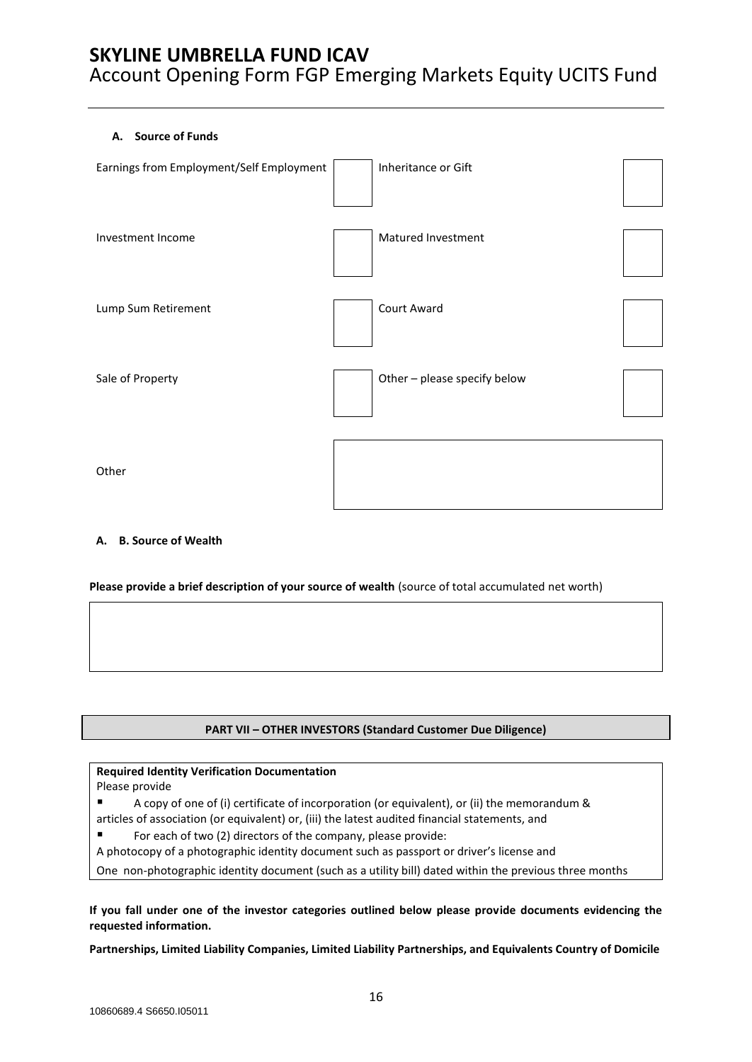### **A. Source of Funds**

| Earnings from Employment/Self Employment | Inheritance or Gift          |  |
|------------------------------------------|------------------------------|--|
| Investment Income                        | Matured Investment           |  |
| Lump Sum Retirement                      | Court Award                  |  |
| Sale of Property                         | Other - please specify below |  |
| Other                                    |                              |  |

### **A. B. Source of Wealth**

**Please provide a brief description of your source of wealth** (source of total accumulated net worth)

### **PART VII – OTHER INVESTORS (Standard Customer Due Diligence)**

#### **Required Identity Verification Documentation**

Please provide

- A copy of one of (i) certificate of incorporation (or equivalent), or (ii) the memorandum & articles of association (or equivalent) or, (iii) the latest audited financial statements, and
- For each of two (2) directors of the company, please provide:
- A photocopy of a photographic identity document such as passport or driver's license and

One non-photographic identity document (such as a utility bill) dated within the previous three months

**If you fall under one of the investor categories outlined below please provide documents evidencing the requested information.** 

**Partnerships, Limited Liability Companies, Limited Liability Partnerships, and Equivalents Country of Domicile**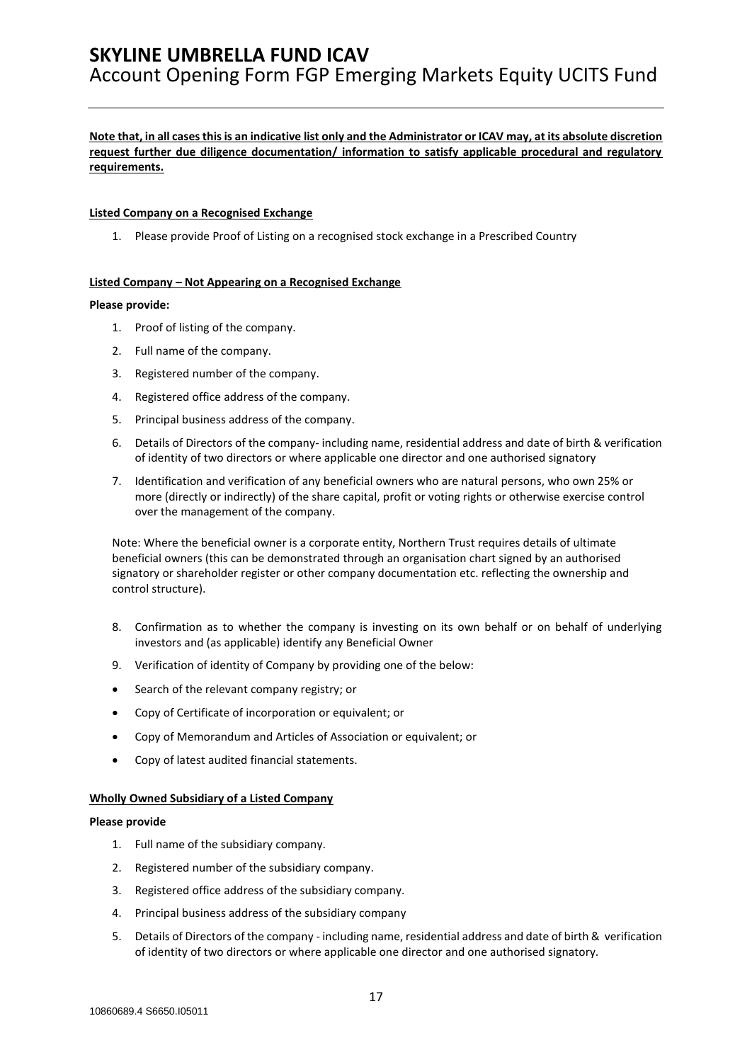### **Note that, in all cases this is an indicative list only and the Administrator or ICAV may, at its absolute discretion request further due diligence documentation/ information to satisfy applicable procedural and regulatory requirements.**

#### **Listed Company on a Recognised Exchange**

1. Please provide Proof of Listing on a recognised stock exchange in a Prescribed Country

#### **Listed Company – Not Appearing on a Recognised Exchange**

#### **Please provide:**

- 1. Proof of listing of the company.
- 2. Full name of the company.
- 3. Registered number of the company.
- 4. Registered office address of the company.
- 5. Principal business address of the company.
- 6. Details of Directors of the company- including name, residential address and date of birth & verification of identity of two directors or where applicable one director and one authorised signatory
- 7. Identification and verification of any beneficial owners who are natural persons, who own 25% or more (directly or indirectly) of the share capital, profit or voting rights or otherwise exercise control over the management of the company.

Note: Where the beneficial owner is a corporate entity, Northern Trust requires details of ultimate beneficial owners (this can be demonstrated through an organisation chart signed by an authorised signatory or shareholder register or other company documentation etc. reflecting the ownership and control structure).

- 8. Confirmation as to whether the company is investing on its own behalf or on behalf of underlying investors and (as applicable) identify any Beneficial Owner
- 9. Verification of identity of Company by providing one of the below:
- Search of the relevant company registry; or
- Copy of Certificate of incorporation or equivalent; or
- Copy of Memorandum and Articles of Association or equivalent; or
- Copy of latest audited financial statements.

#### **Wholly Owned Subsidiary of a Listed Company**

#### **Please provide**

- 1. Full name of the subsidiary company.
- 2. Registered number of the subsidiary company.
- 3. Registered office address of the subsidiary company.
- 4. Principal business address of the subsidiary company
- 5. Details of Directors of the company including name, residential address and date of birth & verification of identity of two directors or where applicable one director and one authorised signatory.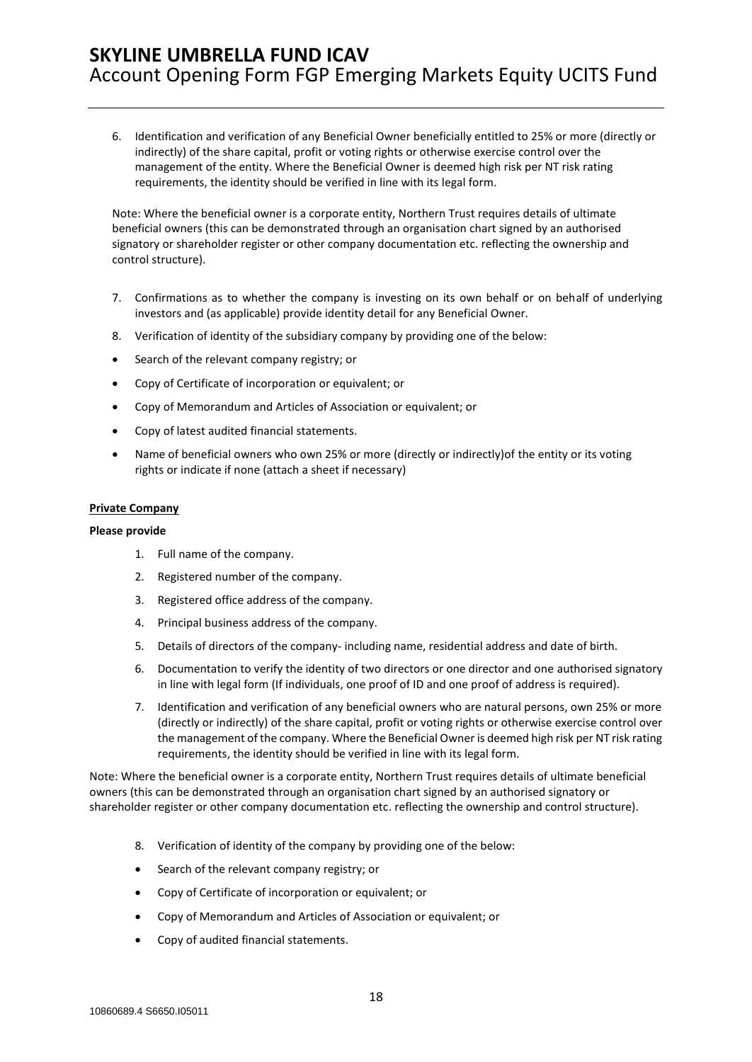6. Identification and verification of any Beneficial Owner beneficially entitled to 25% or more (directly or indirectly) of the share capital, profit or voting rights or otherwise exercise control over the management of the entity. Where the Beneficial Owner is deemed high risk per NT risk rating requirements, the identity should be verified in line with its legal form.

Note: Where the beneficial owner is a corporate entity, Northern Trust requires details of ultimate beneficial owners (this can be demonstrated through an organisation chart signed by an authorised signatory or shareholder register or other company documentation etc. reflecting the ownership and control structure).

- 7. Confirmations as to whether the company is investing on its own behalf or on behalf of underlying investors and (as applicable) provide identity detail for any Beneficial Owner.
- 8. Verification of identity of the subsidiary company by providing one of the below:
- Search of the relevant company registry; or
- Copy of Certificate of incorporation or equivalent; or
- Copy of Memorandum and Articles of Association or equivalent; or
- Copy of latest audited financial statements.
- Name of beneficial owners who own 25% or more (directly or indirectly)of the entity or its voting rights or indicate if none (attach a sheet if necessary)

#### **Private Company**

#### **Please provide**

- 1. Full name of the company.
- 2. Registered number of the company.
- 3. Registered office address of the company.
- 4. Principal business address of the company.
- 5. Details of directors of the company- including name, residential address and date of birth.
- 6. Documentation to verify the identity of two directors or one director and one authorised signatory in line with legal form (If individuals, one proof of ID and one proof of address is required).
- 7. Identification and verification of any beneficial owners who are natural persons, own 25% or more (directly or indirectly) of the share capital, profit or voting rights or otherwise exercise control over the management of the company. Where the Beneficial Owner is deemed high risk per NT risk rating requirements, the identity should be verified in line with its legal form.

Note: Where the beneficial owner is a corporate entity, Northern Trust requires details of ultimate beneficial owners (this can be demonstrated through an organisation chart signed by an authorised signatory or shareholder register or other company documentation etc. reflecting the ownership and control structure).

- 8. Verification of identity of the company by providing one of the below:
- Search of the relevant company registry; or
- Copy of Certificate of incorporation or equivalent; or
- Copy of Memorandum and Articles of Association or equivalent; or
- Copy of audited financial statements.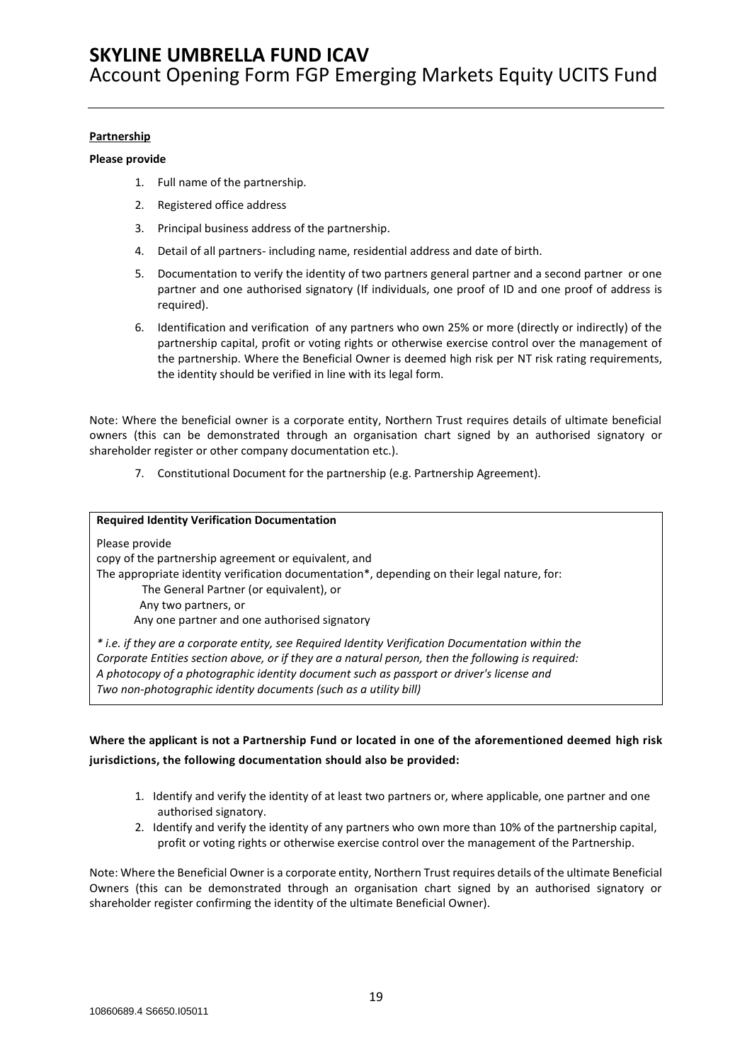#### **Partnership**

#### **Please provide**

- 1. Full name of the partnership.
- 2. Registered office address
- 3. Principal business address of the partnership.
- 4. Detail of all partners- including name, residential address and date of birth.
- 5. Documentation to verify the identity of two partners general partner and a second partner or one partner and one authorised signatory (If individuals, one proof of ID and one proof of address is required).
- 6. Identification and verification of any partners who own 25% or more (directly or indirectly) of the partnership capital, profit or voting rights or otherwise exercise control over the management of the partnership. Where the Beneficial Owner is deemed high risk per NT risk rating requirements, the identity should be verified in line with its legal form.

Note: Where the beneficial owner is a corporate entity, Northern Trust requires details of ultimate beneficial owners (this can be demonstrated through an organisation chart signed by an authorised signatory or shareholder register or other company documentation etc.).

7. Constitutional Document for the partnership (e.g. Partnership Agreement).

| <b>Required Identity Verification Documentation</b>                                                |
|----------------------------------------------------------------------------------------------------|
| Please provide                                                                                     |
| copy of the partnership agreement or equivalent, and                                               |
| The appropriate identity verification documentation*, depending on their legal nature, for:        |
| The General Partner (or equivalent), or                                                            |
| Any two partners, or                                                                               |
| Any one partner and one authorised signatory                                                       |
| * i.e. if they are a corporate entity, see Required Identity Verification Documentation within the |
| Corporate Entities section above, or if they are a natural person, then the following is required: |
| A photocopy of a photographic identity document such as passport or driver's license and           |

*Two non-photographic identity documents (such as a utility bill)*

## **Where the applicant is not a Partnership Fund or located in one of the aforementioned deemed high risk jurisdictions, the following documentation should also be provided:**

- 1. Identify and verify the identity of at least two partners or, where applicable, one partner and one authorised signatory.
- 2. Identify and verify the identity of any partners who own more than 10% of the partnership capital, profit or voting rights or otherwise exercise control over the management of the Partnership.

Note: Where the Beneficial Owner is a corporate entity, Northern Trust requires details of the ultimate Beneficial Owners (this can be demonstrated through an organisation chart signed by an authorised signatory or shareholder register confirming the identity of the ultimate Beneficial Owner).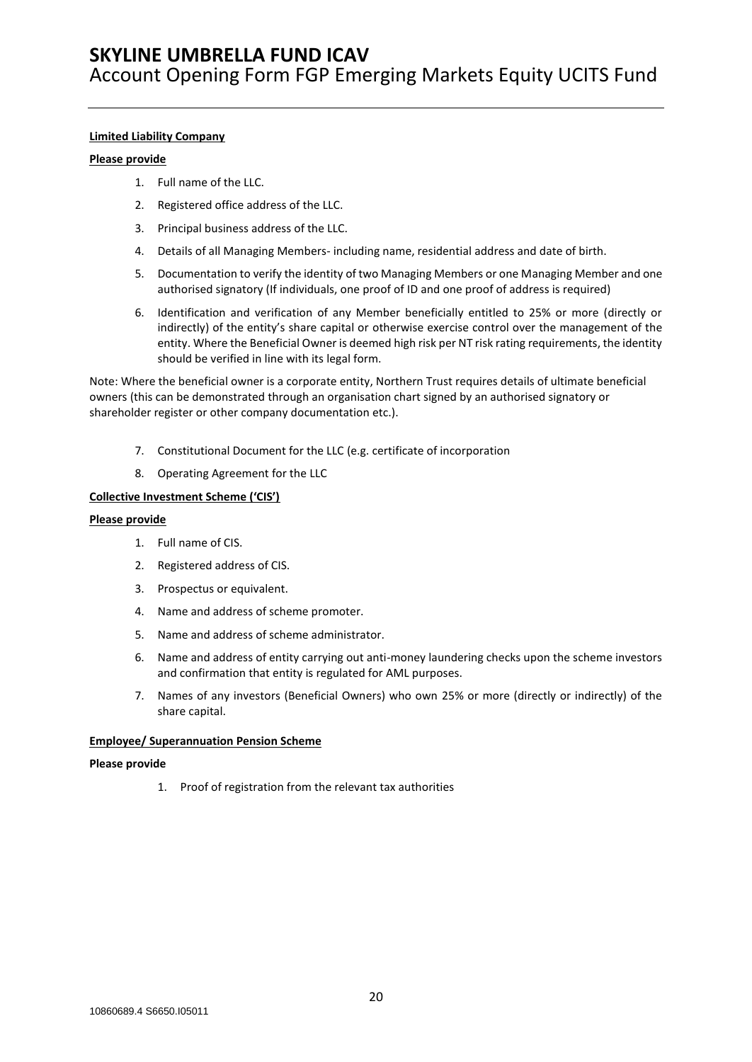#### **Limited Liability Company**

#### **Please provide**

- 1. Full name of the LLC.
- 2. Registered office address of the LLC.
- 3. Principal business address of the LLC.
- 4. Details of all Managing Members- including name, residential address and date of birth.
- 5. Documentation to verify the identity of two Managing Members or one Managing Member and one authorised signatory (If individuals, one proof of ID and one proof of address is required)
- 6. Identification and verification of any Member beneficially entitled to 25% or more (directly or indirectly) of the entity's share capital or otherwise exercise control over the management of the entity. Where the Beneficial Owner is deemed high risk per NT risk rating requirements, the identity should be verified in line with its legal form.

Note: Where the beneficial owner is a corporate entity, Northern Trust requires details of ultimate beneficial owners (this can be demonstrated through an organisation chart signed by an authorised signatory or shareholder register or other company documentation etc.).

- 7. Constitutional Document for the LLC (e.g. certificate of incorporation
- 8. Operating Agreement for the LLC

#### **Collective Investment Scheme ('CIS')**

#### **Please provide**

- 1. Full name of CIS.
- 2. Registered address of CIS.
- 3. Prospectus or equivalent.
- 4. Name and address of scheme promoter.
- 5. Name and address of scheme administrator.
- 6. Name and address of entity carrying out anti-money laundering checks upon the scheme investors and confirmation that entity is regulated for AML purposes.
- 7. Names of any investors (Beneficial Owners) who own 25% or more (directly or indirectly) of the share capital.

#### **Employee/ Superannuation Pension Scheme**

#### **Please provide**

1. Proof of registration from the relevant tax authorities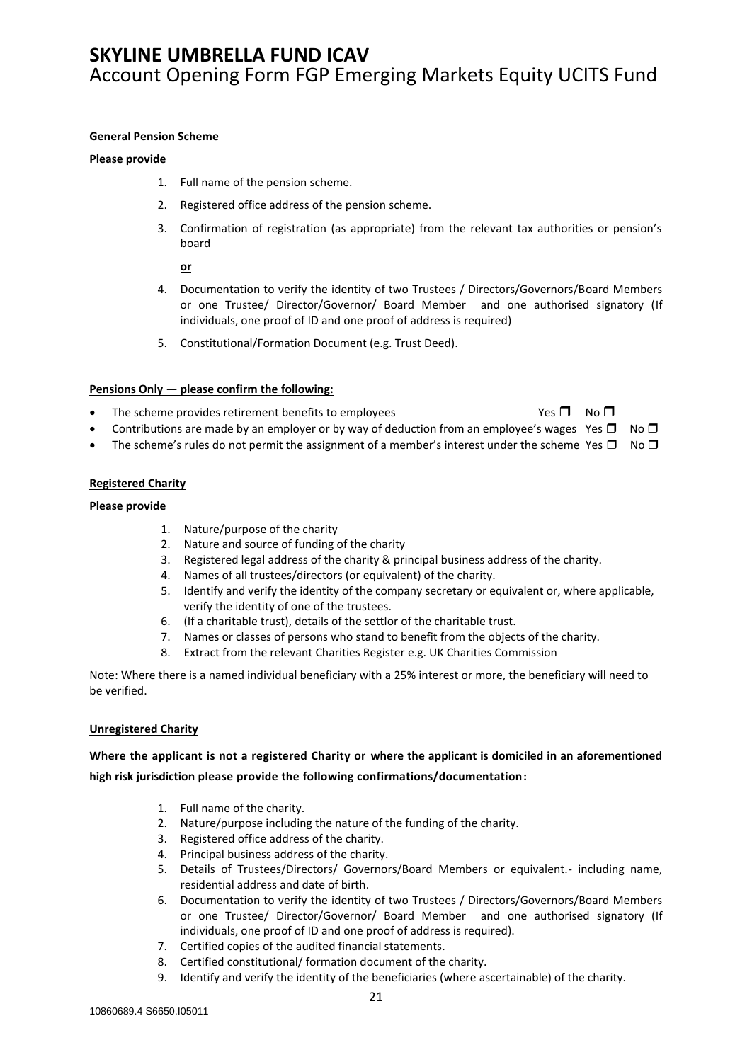#### **General Pension Scheme**

#### **Please provide**

- 1. Full name of the pension scheme.
- 2. Registered office address of the pension scheme.
- 3. Confirmation of registration (as appropriate) from the relevant tax authorities or pension's board

#### **or**

- 4. Documentation to verify the identity of two Trustees / Directors/Governors/Board Members or one Trustee/ Director/Governor/ Board Member and one authorised signatory (If individuals, one proof of ID and one proof of address is required)
- 5. Constitutional/Formation Document (e.g. Trust Deed).

#### **Pensions Only — please confirm the following:**

- The scheme provides retirement benefits to employees  $\Box$  No  $\Box$  No  $\Box$
- 
- Contributions are made by an employer or by way of deduction from an employee's wages Yes  $\Box$  No  $\Box$
- The scheme's rules do not permit the assignment of a member's interest under the scheme Yes  $\Box$  No  $\Box$

#### **Registered Charity**

#### **Please provide**

- 1. Nature/purpose of the charity
- 2. Nature and source of funding of the charity
- 3. Registered legal address of the charity & principal business address of the charity.
- 4. Names of all trustees/directors (or equivalent) of the charity.
- 5. Identify and verify the identity of the company secretary or equivalent or, where applicable, verify the identity of one of the trustees.
- 6. (If a charitable trust), details of the settlor of the charitable trust.
- 7. Names or classes of persons who stand to benefit from the objects of the charity.
- 8. Extract from the relevant Charities Register e.g. UK Charities Commission

Note: Where there is a named individual beneficiary with a 25% interest or more, the beneficiary will need to be verified.

#### **Unregistered Charity**

### **Where the applicant is not a registered Charity or where the applicant is domiciled in an aforementioned high risk jurisdiction please provide the following confirmations/documentation:**

- 1. Full name of the charity.
- 2. Nature/purpose including the nature of the funding of the charity.
- 3. Registered office address of the charity.
- 4. Principal business address of the charity.
- 5. Details of Trustees/Directors/ Governors/Board Members or equivalent.- including name, residential address and date of birth.
- 6. Documentation to verify the identity of two Trustees / Directors/Governors/Board Members or one Trustee/ Director/Governor/ Board Member and one authorised signatory (If individuals, one proof of ID and one proof of address is required).
- 7. Certified copies of the audited financial statements.
- 8. Certified constitutional/ formation document of the charity.
- 9. Identify and verify the identity of the beneficiaries (where ascertainable) of the charity.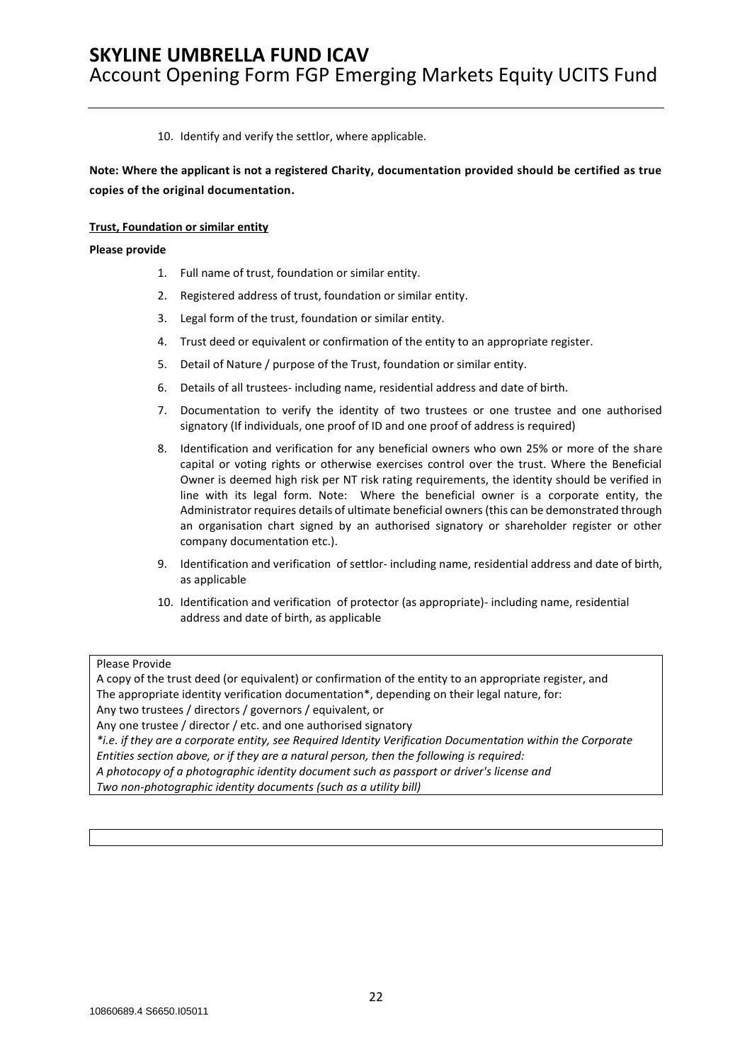10. Identify and verify the settlor, where applicable.

**Note: Where the applicant is not a registered Charity, documentation provided should be certified as true copies of the original documentation.**

#### **Trust, Foundation or similar entity**

#### **Please provide**

- 1. Full name of trust, foundation or similar entity.
- 2. Registered address of trust, foundation or similar entity.
- 3. Legal form of the trust, foundation or similar entity.
- 4. Trust deed or equivalent or confirmation of the entity to an appropriate register.
- 5. Detail of Nature / purpose of the Trust, foundation or similar entity.
- 6. Details of all trustees- including name, residential address and date of birth.
- 7. Documentation to verify the identity of two trustees or one trustee and one authorised signatory (If individuals, one proof of ID and one proof of address is required)
- 8. Identification and verification for any beneficial owners who own 25% or more of the share capital or voting rights or otherwise exercises control over the trust. Where the Beneficial Owner is deemed high risk per NT risk rating requirements, the identity should be verified in line with its legal form. Note: Where the beneficial owner is a corporate entity, the Administrator requires details of ultimate beneficial owners (this can be demonstrated through an organisation chart signed by an authorised signatory or shareholder register or other company documentation etc.).
- 9. Identification and verification of settlor- including name, residential address and date of birth, as applicable
- 10. Identification and verification of protector (as appropriate)- including name, residential address and date of birth, as applicable

### Please Provide

A copy of the trust deed (or equivalent) or confirmation of the entity to an appropriate register, and The appropriate identity verification documentation\*, depending on their legal nature, for: Any two trustees / directors / governors / equivalent, or Any one trustee / director / etc. and one authorised signatory *\*i.e. if they are a corporate entity, see Required Identity Verification Documentation within the Corporate Entities section above, or if they are a natural person, then the following is required: A photocopy of a photographic identity document such as passport or driver's license and Two non-photographic identity documents (such as a utility bill)*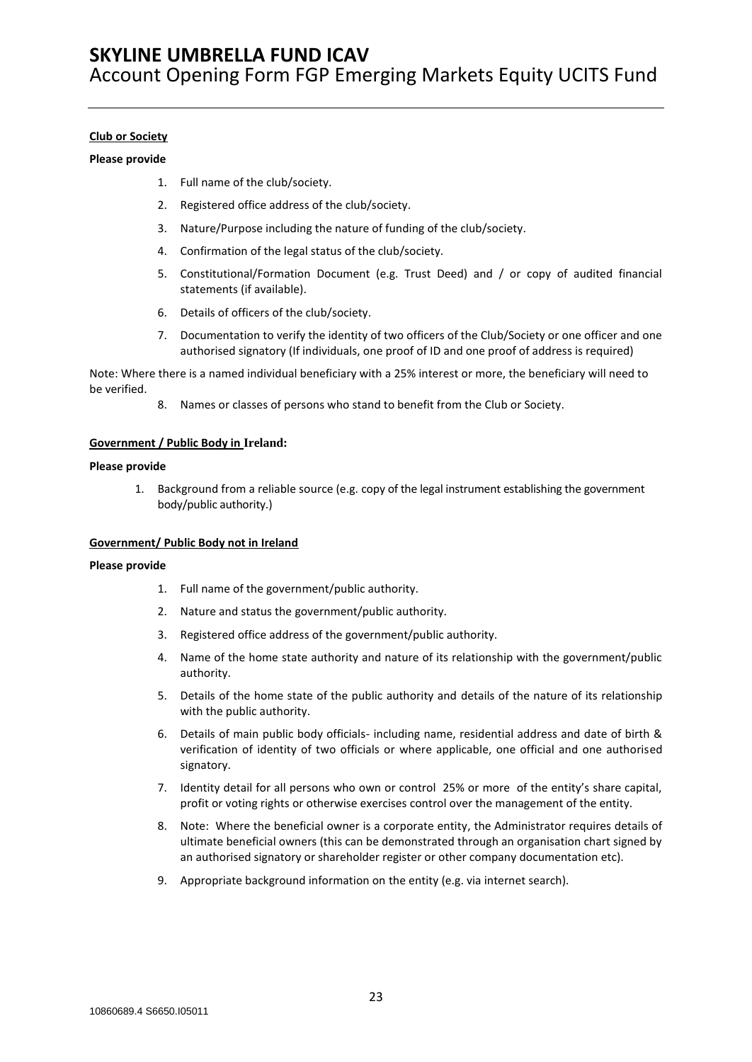#### **Club or Society**

#### **Please provide**

- 1. Full name of the club/society.
- 2. Registered office address of the club/society.
- 3. Nature/Purpose including the nature of funding of the club/society.
- 4. Confirmation of the legal status of the club/society.
- 5. Constitutional/Formation Document (e.g. Trust Deed) and / or copy of audited financial statements (if available).
- 6. Details of officers of the club/society.
- 7. Documentation to verify the identity of two officers of the Club/Society or one officer and one authorised signatory (If individuals, one proof of ID and one proof of address is required)

Note: Where there is a named individual beneficiary with a 25% interest or more, the beneficiary will need to be verified.

8. Names or classes of persons who stand to benefit from the Club or Society.

#### **Government / Public Body in Ireland:**

#### **Please provide**

1. Background from a reliable source (e.g. copy of the legal instrument establishing the government body/public authority.)

#### **Government/ Public Body not in Ireland**

#### **Please provide**

- 1. Full name of the government/public authority.
- 2. Nature and status the government/public authority.
- 3. Registered office address of the government/public authority.
- 4. Name of the home state authority and nature of its relationship with the government/public authority.
- 5. Details of the home state of the public authority and details of the nature of its relationship with the public authority.
- 6. Details of main public body officials- including name, residential address and date of birth & verification of identity of two officials or where applicable, one official and one authorised signatory.
- 7. Identity detail for all persons who own or control 25% or more of the entity's share capital, profit or voting rights or otherwise exercises control over the management of the entity.
- 8. Note: Where the beneficial owner is a corporate entity, the Administrator requires details of ultimate beneficial owners (this can be demonstrated through an organisation chart signed by an authorised signatory or shareholder register or other company documentation etc).
- 9. Appropriate background information on the entity (e.g. via internet search).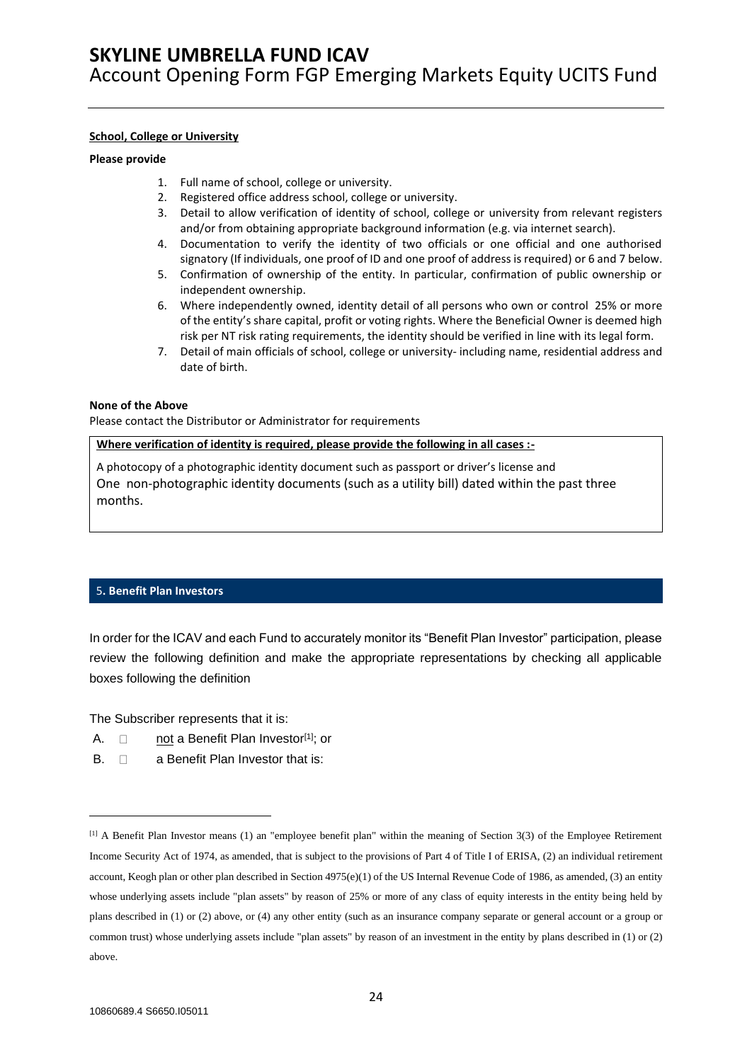#### **School, College or University**

#### **Please provide**

- 1. Full name of school, college or university.
- 2. Registered office address school, college or university.
- 3. Detail to allow verification of identity of school, college or university from relevant registers and/or from obtaining appropriate background information (e.g. via internet search).
- 4. Documentation to verify the identity of two officials or one official and one authorised signatory (If individuals, one proof of ID and one proof of address is required) or 6 and 7 below.
- 5. Confirmation of ownership of the entity. In particular, confirmation of public ownership or independent ownership.
- 6. Where independently owned, identity detail of all persons who own or control 25% or more of the entity's share capital, profit or voting rights. Where the Beneficial Owner is deemed high risk per NT risk rating requirements, the identity should be verified in line with its legal form.
- 7. Detail of main officials of school, college or university- including name, residential address and date of birth.

#### **None of the Above**

Please contact the Distributor or Administrator for requirements

#### **Where verification of identity is required, please provide the following in all cases :-**

A photocopy of a photographic identity document such as passport or driver's license and One non-photographic identity documents (such as a utility bill) dated within the past three months.

### <span id="page-23-0"></span>5**. Benefit Plan Investors**

In order for the ICAV and each Fund to accurately monitor its "Benefit Plan Investor" participation, please review the following definition and make the appropriate representations by checking all applicable boxes following the definition

The Subscriber represents that it is:

- A.  $\Box$  not a Benefit Plan Investor<sup>[1]</sup>; or
- $B. \quad \Box \quad$  a Benefit Plan Investor that is:

<sup>[1]</sup> A Benefit Plan Investor means (1) an "employee benefit plan" within the meaning of Section 3(3) of the Employee Retirement Income Security Act of 1974, as amended, that is subject to the provisions of Part 4 of Title I of ERISA, (2) an individual retirement account, Keogh plan or other plan described in Section 4975(e)(1) of the US Internal Revenue Code of 1986, as amended, (3) an entity whose underlying assets include "plan assets" by reason of 25% or more of any class of equity interests in the entity being held by plans described in (1) or (2) above, or (4) any other entity (such as an insurance company separate or general account or a group or common trust) whose underlying assets include "plan assets" by reason of an investment in the entity by plans described in (1) or (2) above.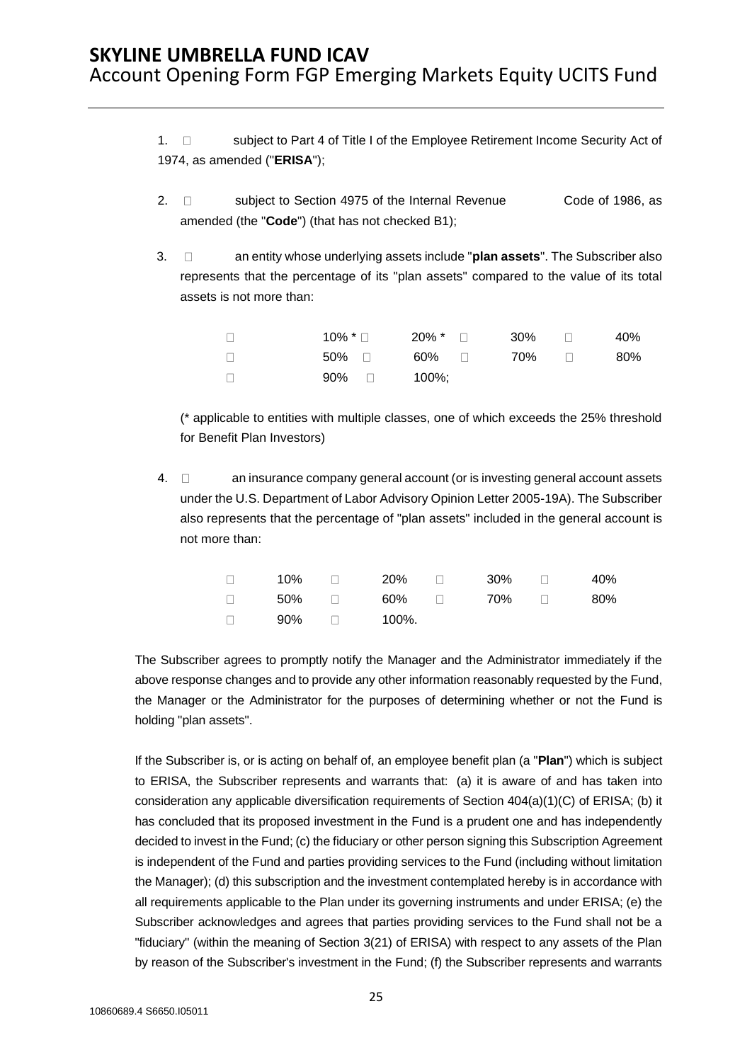1.  $\Box$  subject to Part 4 of Title I of the Employee Retirement Income Security Act of 1974, as amended ("**ERISA**");

- 2. □ subject to Section 4975 of the Internal Revenue Code of 1986, as amended (the "**Code**") (that has not checked B1);
- 3. an entity whose underlying assets include "**plan assets**". The Subscriber also represents that the percentage of its "plan assets" compared to the value of its total assets is not more than:

| $\Box$ | 10% * □      | 20% * □ 30% □ |       | 40% |
|--------|--------------|---------------|-------|-----|
| $\Box$ | 50% ⊓        | 60% □         | 70% □ | 80% |
| $\Box$ | $90\%$ 100%; |               |       |     |

(\* applicable to entities with multiple classes, one of which exceeds the 25% threshold for Benefit Plan Investors)

4.  $\Box$  an insurance company general account (or is investing general account assets under the U.S. Department of Labor Advisory Opinion Letter 2005-19A). The Subscriber also represents that the percentage of "plan assets" included in the general account is not more than:

| $\Box$ | 10% | $\Box$         | 20%       | $\Box$ . The set of $\Box$ | 30% | 40% |
|--------|-----|----------------|-----------|----------------------------|-----|-----|
| $\Box$ |     |                | 50% a 60% | $\Box$ $\Box$              | 70% | 80% |
| $\Box$ | 90% | $\blacksquare$ | 100%.     |                            |     |     |

The Subscriber agrees to promptly notify the Manager and the Administrator immediately if the above response changes and to provide any other information reasonably requested by the Fund, the Manager or the Administrator for the purposes of determining whether or not the Fund is holding "plan assets".

If the Subscriber is, or is acting on behalf of, an employee benefit plan (a "**Plan**") which is subject to ERISA, the Subscriber represents and warrants that: (a) it is aware of and has taken into consideration any applicable diversification requirements of Section 404(a)(1)(C) of ERISA; (b) it has concluded that its proposed investment in the Fund is a prudent one and has independently decided to invest in the Fund; (c) the fiduciary or other person signing this Subscription Agreement is independent of the Fund and parties providing services to the Fund (including without limitation the Manager); (d) this subscription and the investment contemplated hereby is in accordance with all requirements applicable to the Plan under its governing instruments and under ERISA; (e) the Subscriber acknowledges and agrees that parties providing services to the Fund shall not be a "fiduciary" (within the meaning of Section 3(21) of ERISA) with respect to any assets of the Plan by reason of the Subscriber's investment in the Fund; (f) the Subscriber represents and warrants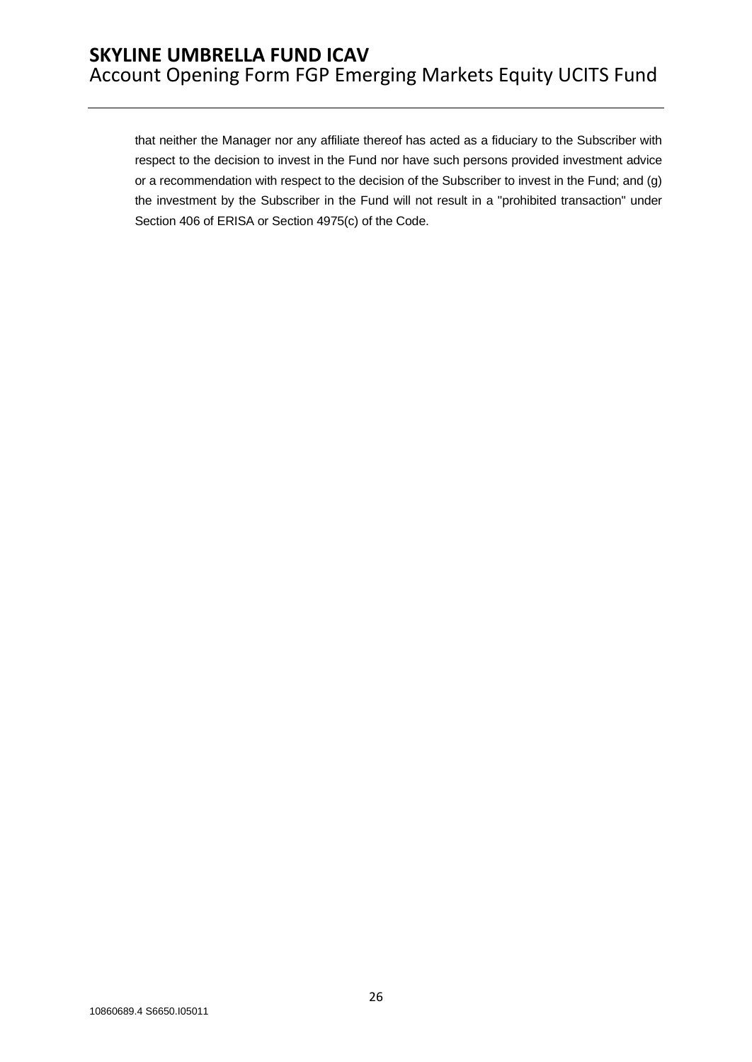that neither the Manager nor any affiliate thereof has acted as a fiduciary to the Subscriber with respect to the decision to invest in the Fund nor have such persons provided investment advice or a recommendation with respect to the decision of the Subscriber to invest in the Fund; and (g) the investment by the Subscriber in the Fund will not result in a "prohibited transaction" under Section 406 of ERISA or Section 4975(c) of the Code.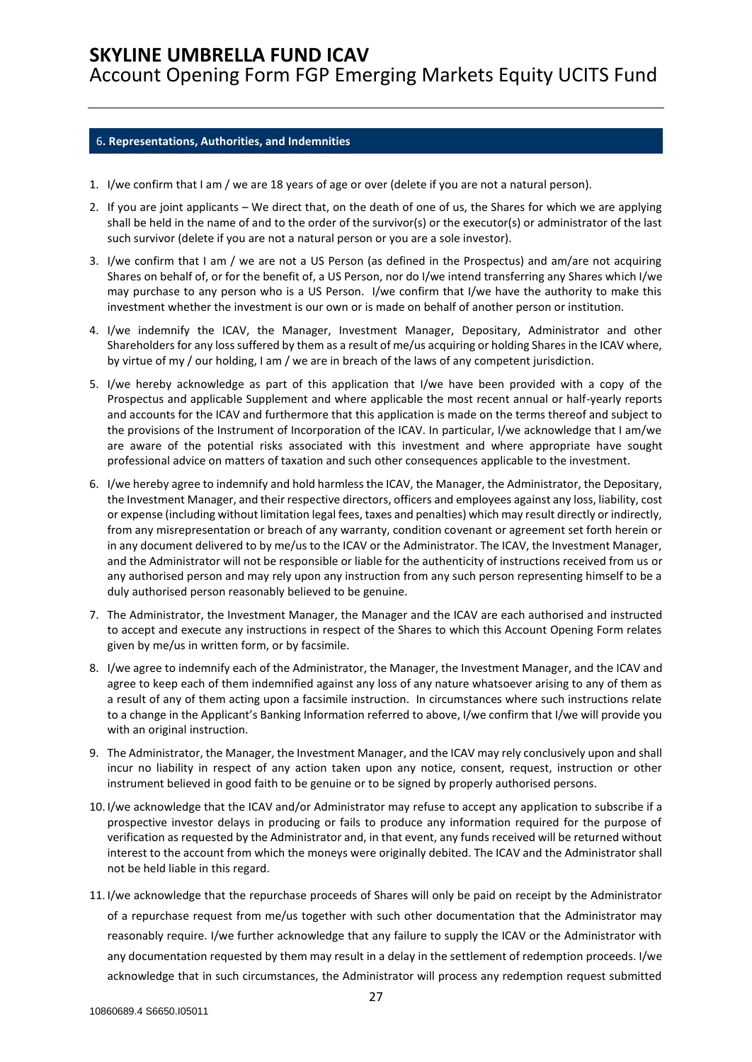Account Opening Form FGP Emerging Markets Equity UCITS Fund

#### <span id="page-26-0"></span>6**. Representations, Authorities, and Indemnities**

- 1. I/we confirm that I am / we are 18 years of age or over (delete if you are not a natural person).
- 2. If you are joint applicants We direct that, on the death of one of us, the Shares for which we are applying shall be held in the name of and to the order of the survivor(s) or the executor(s) or administrator of the last such survivor (delete if you are not a natural person or you are a sole investor).
- 3. I/we confirm that I am / we are not a US Person (as defined in the Prospectus) and am/are not acquiring Shares on behalf of, or for the benefit of, a US Person, nor do I/we intend transferring any Shares which I/we may purchase to any person who is a US Person. I/we confirm that I/we have the authority to make this investment whether the investment is our own or is made on behalf of another person or institution.
- 4. I/we indemnify the ICAV, the Manager, Investment Manager, Depositary, Administrator and other Shareholders for any loss suffered by them as a result of me/us acquiring or holding Shares in the ICAV where, by virtue of my / our holding, I am / we are in breach of the laws of any competent jurisdiction.
- 5. I/we hereby acknowledge as part of this application that I/we have been provided with a copy of the Prospectus and applicable Supplement and where applicable the most recent annual or half-yearly reports and accounts for the ICAV and furthermore that this application is made on the terms thereof and subject to the provisions of the Instrument of Incorporation of the ICAV. In particular, I/we acknowledge that I am/we are aware of the potential risks associated with this investment and where appropriate have sought professional advice on matters of taxation and such other consequences applicable to the investment.
- 6. I/we hereby agree to indemnify and hold harmless the ICAV, the Manager, the Administrator, the Depositary, the Investment Manager, and their respective directors, officers and employees against any loss, liability, cost or expense (including without limitation legal fees, taxes and penalties) which may result directly or indirectly, from any misrepresentation or breach of any warranty, condition covenant or agreement set forth herein or in any document delivered to by me/us to the ICAV or the Administrator. The ICAV, the Investment Manager, and the Administrator will not be responsible or liable for the authenticity of instructions received from us or any authorised person and may rely upon any instruction from any such person representing himself to be a duly authorised person reasonably believed to be genuine.
- 7. The Administrator, the Investment Manager, the Manager and the ICAV are each authorised and instructed to accept and execute any instructions in respect of the Shares to which this Account Opening Form relates given by me/us in written form, or by facsimile.
- 8. I/we agree to indemnify each of the Administrator, the Manager, the Investment Manager, and the ICAV and agree to keep each of them indemnified against any loss of any nature whatsoever arising to any of them as a result of any of them acting upon a facsimile instruction. In circumstances where such instructions relate to a change in the Applicant's Banking Information referred to above, I/we confirm that I/we will provide you with an original instruction.
- 9. The Administrator, the Manager, the Investment Manager, and the ICAV may rely conclusively upon and shall incur no liability in respect of any action taken upon any notice, consent, request, instruction or other instrument believed in good faith to be genuine or to be signed by properly authorised persons.
- 10. I/we acknowledge that the ICAV and/or Administrator may refuse to accept any application to subscribe if a prospective investor delays in producing or fails to produce any information required for the purpose of verification as requested by the Administrator and, in that event, any funds received will be returned without interest to the account from which the moneys were originally debited. The ICAV and the Administrator shall not be held liable in this regard.
- 11. I/we acknowledge that the repurchase proceeds of Shares will only be paid on receipt by the Administrator of a repurchase request from me/us together with such other documentation that the Administrator may reasonably require. I/we further acknowledge that any failure to supply the ICAV or the Administrator with any documentation requested by them may result in a delay in the settlement of redemption proceeds. I/we acknowledge that in such circumstances, the Administrator will process any redemption request submitted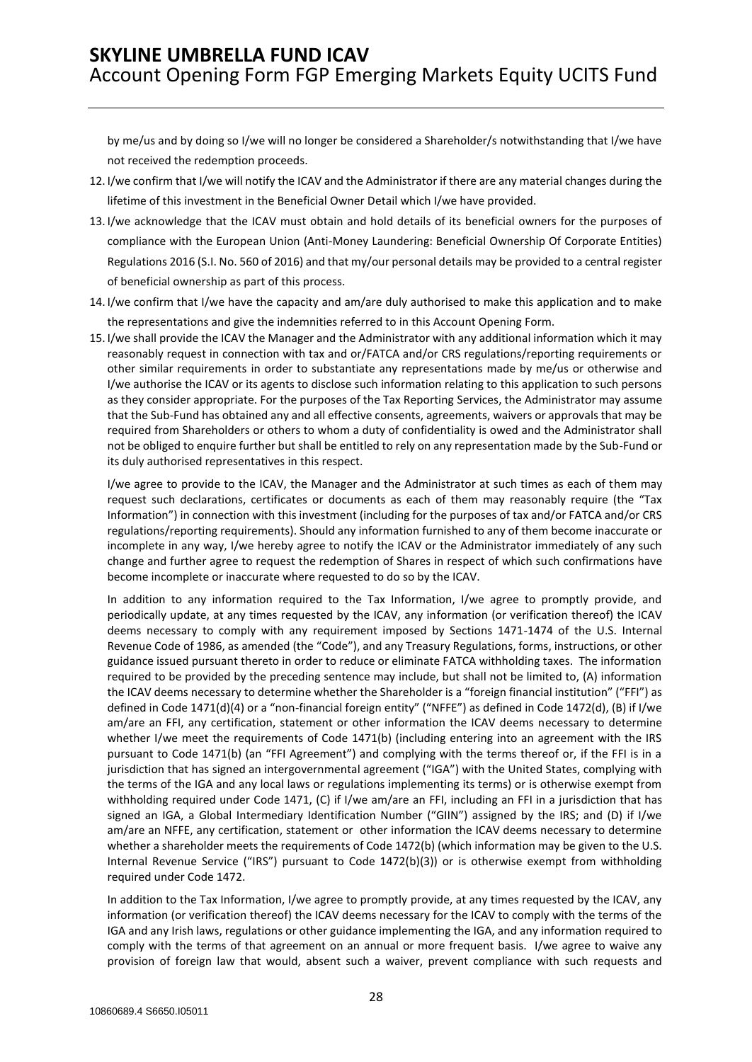by me/us and by doing so I/we will no longer be considered a Shareholder/s notwithstanding that I/we have not received the redemption proceeds.

- 12. I/we confirm that I/we will notify the ICAV and the Administrator if there are any material changes during the lifetime of this investment in the Beneficial Owner Detail which I/we have provided.
- 13. I/we acknowledge that the ICAV must obtain and hold details of its beneficial owners for the purposes of compliance with the European Union (Anti-Money Laundering: Beneficial Ownership Of Corporate Entities) Regulations 2016 (S.I. No. 560 of 2016) and that my/our personal details may be provided to a central register of beneficial ownership as part of this process.
- 14. I/we confirm that I/we have the capacity and am/are duly authorised to make this application and to make the representations and give the indemnities referred to in this Account Opening Form.
- 15. I/we shall provide the ICAV the Manager and the Administrator with any additional information which it may reasonably request in connection with tax and or/FATCA and/or CRS regulations/reporting requirements or other similar requirements in order to substantiate any representations made by me/us or otherwise and I/we authorise the ICAV or its agents to disclose such information relating to this application to such persons as they consider appropriate. For the purposes of the Tax Reporting Services, the Administrator may assume that the Sub-Fund has obtained any and all effective consents, agreements, waivers or approvals that may be required from Shareholders or others to whom a duty of confidentiality is owed and the Administrator shall not be obliged to enquire further but shall be entitled to rely on any representation made by the Sub-Fund or its duly authorised representatives in this respect.

I/we agree to provide to the ICAV, the Manager and the Administrator at such times as each of them may request such declarations, certificates or documents as each of them may reasonably require (the "Tax Information") in connection with this investment (including for the purposes of tax and/or FATCA and/or CRS regulations/reporting requirements). Should any information furnished to any of them become inaccurate or incomplete in any way, I/we hereby agree to notify the ICAV or the Administrator immediately of any such change and further agree to request the redemption of Shares in respect of which such confirmations have become incomplete or inaccurate where requested to do so by the ICAV.

In addition to any information required to the Tax Information, I/we agree to promptly provide, and periodically update, at any times requested by the ICAV, any information (or verification thereof) the ICAV deems necessary to comply with any requirement imposed by Sections 1471-1474 of the U.S. Internal Revenue Code of 1986, as amended (the "Code"), and any Treasury Regulations, forms, instructions, or other guidance issued pursuant thereto in order to reduce or eliminate FATCA withholding taxes. The information required to be provided by the preceding sentence may include, but shall not be limited to, (A) information the ICAV deems necessary to determine whether the Shareholder is a "foreign financial institution" ("FFI") as defined in Code 1471(d)(4) or a "non-financial foreign entity" ("NFFE") as defined in Code 1472(d), (B) if I/we am/are an FFI, any certification, statement or other information the ICAV deems necessary to determine whether I/we meet the requirements of Code 1471(b) (including entering into an agreement with the IRS pursuant to Code 1471(b) (an "FFI Agreement") and complying with the terms thereof or, if the FFI is in a jurisdiction that has signed an intergovernmental agreement ("IGA") with the United States, complying with the terms of the IGA and any local laws or regulations implementing its terms) or is otherwise exempt from withholding required under Code 1471, (C) if I/we am/are an FFI, including an FFI in a jurisdiction that has signed an IGA, a Global Intermediary Identification Number ("GIIN") assigned by the IRS; and (D) if I/we am/are an NFFE, any certification, statement or other information the ICAV deems necessary to determine whether a shareholder meets the requirements of Code 1472(b) (which information may be given to the U.S. Internal Revenue Service ("IRS") pursuant to Code 1472(b)(3)) or is otherwise exempt from withholding required under Code 1472.

In addition to the Tax Information, I/we agree to promptly provide, at any times requested by the ICAV, any information (or verification thereof) the ICAV deems necessary for the ICAV to comply with the terms of the IGA and any Irish laws, regulations or other guidance implementing the IGA, and any information required to comply with the terms of that agreement on an annual or more frequent basis. I/we agree to waive any provision of foreign law that would, absent such a waiver, prevent compliance with such requests and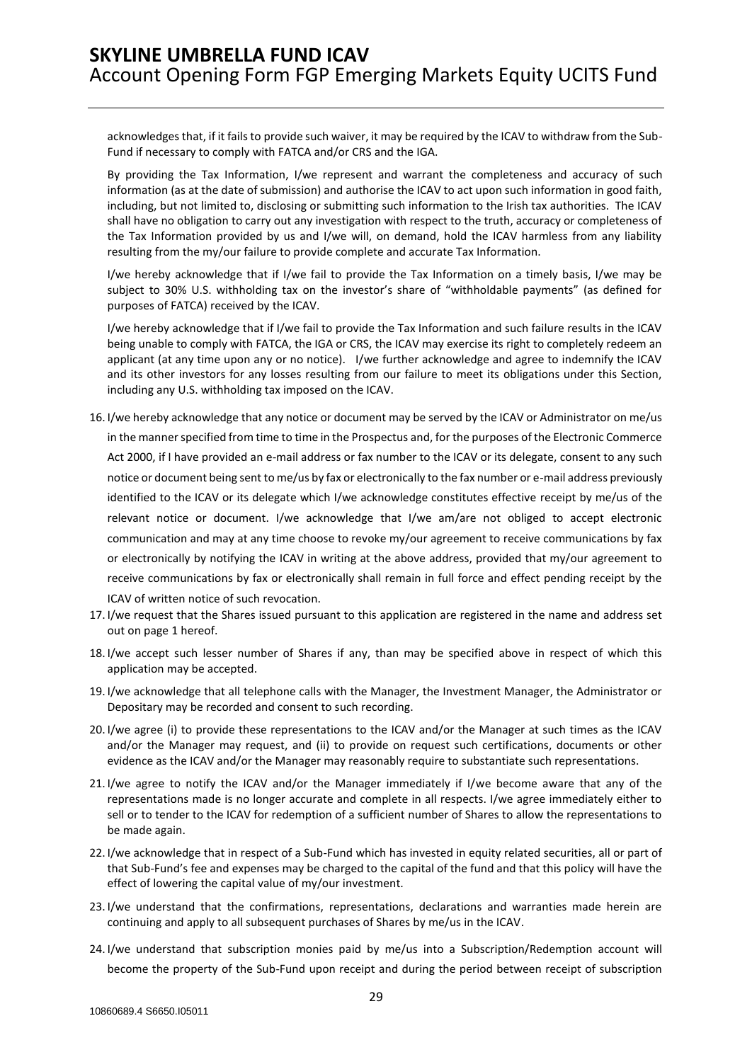acknowledges that, if it fails to provide such waiver, it may be required by the ICAV to withdraw from the Sub-Fund if necessary to comply with FATCA and/or CRS and the IGA.

By providing the Tax Information, I/we represent and warrant the completeness and accuracy of such information (as at the date of submission) and authorise the ICAV to act upon such information in good faith, including, but not limited to, disclosing or submitting such information to the Irish tax authorities. The ICAV shall have no obligation to carry out any investigation with respect to the truth, accuracy or completeness of the Tax Information provided by us and I/we will, on demand, hold the ICAV harmless from any liability resulting from the my/our failure to provide complete and accurate Tax Information.

I/we hereby acknowledge that if I/we fail to provide the Tax Information on a timely basis, I/we may be subject to 30% U.S. withholding tax on the investor's share of "withholdable payments" (as defined for purposes of FATCA) received by the ICAV.

I/we hereby acknowledge that if I/we fail to provide the Tax Information and such failure results in the ICAV being unable to comply with FATCA, the IGA or CRS, the ICAV may exercise its right to completely redeem an applicant (at any time upon any or no notice). I/we further acknowledge and agree to indemnify the ICAV and its other investors for any losses resulting from our failure to meet its obligations under this Section, including any U.S. withholding tax imposed on the ICAV.

- 16. I/we hereby acknowledge that any notice or document may be served by the ICAV or Administrator on me/us in the manner specified from time to time in the Prospectus and, for the purposes of the Electronic Commerce Act 2000, if I have provided an e-mail address or fax number to the ICAV or its delegate, consent to any such notice or document being sent to me/us by fax or electronically to the fax number or e-mail address previously identified to the ICAV or its delegate which I/we acknowledge constitutes effective receipt by me/us of the relevant notice or document. I/we acknowledge that I/we am/are not obliged to accept electronic communication and may at any time choose to revoke my/our agreement to receive communications by fax or electronically by notifying the ICAV in writing at the above address, provided that my/our agreement to receive communications by fax or electronically shall remain in full force and effect pending receipt by the ICAV of written notice of such revocation.
- 17. I/we request that the Shares issued pursuant to this application are registered in the name and address set out on page 1 hereof.
- 18. I/we accept such lesser number of Shares if any, than may be specified above in respect of which this application may be accepted.
- 19. I/we acknowledge that all telephone calls with the Manager, the Investment Manager, the Administrator or Depositary may be recorded and consent to such recording.
- 20. I/we agree (i) to provide these representations to the ICAV and/or the Manager at such times as the ICAV and/or the Manager may request, and (ii) to provide on request such certifications, documents or other evidence as the ICAV and/or the Manager may reasonably require to substantiate such representations.
- 21. I/we agree to notify the ICAV and/or the Manager immediately if I/we become aware that any of the representations made is no longer accurate and complete in all respects. I/we agree immediately either to sell or to tender to the ICAV for redemption of a sufficient number of Shares to allow the representations to be made again.
- 22. I/we acknowledge that in respect of a Sub-Fund which has invested in equity related securities, all or part of that Sub-Fund's fee and expenses may be charged to the capital of the fund and that this policy will have the effect of lowering the capital value of my/our investment.
- 23. I/we understand that the confirmations, representations, declarations and warranties made herein are continuing and apply to all subsequent purchases of Shares by me/us in the ICAV.
- 24. I/we understand that subscription monies paid by me/us into a Subscription/Redemption account will become the property of the Sub-Fund upon receipt and during the period between receipt of subscription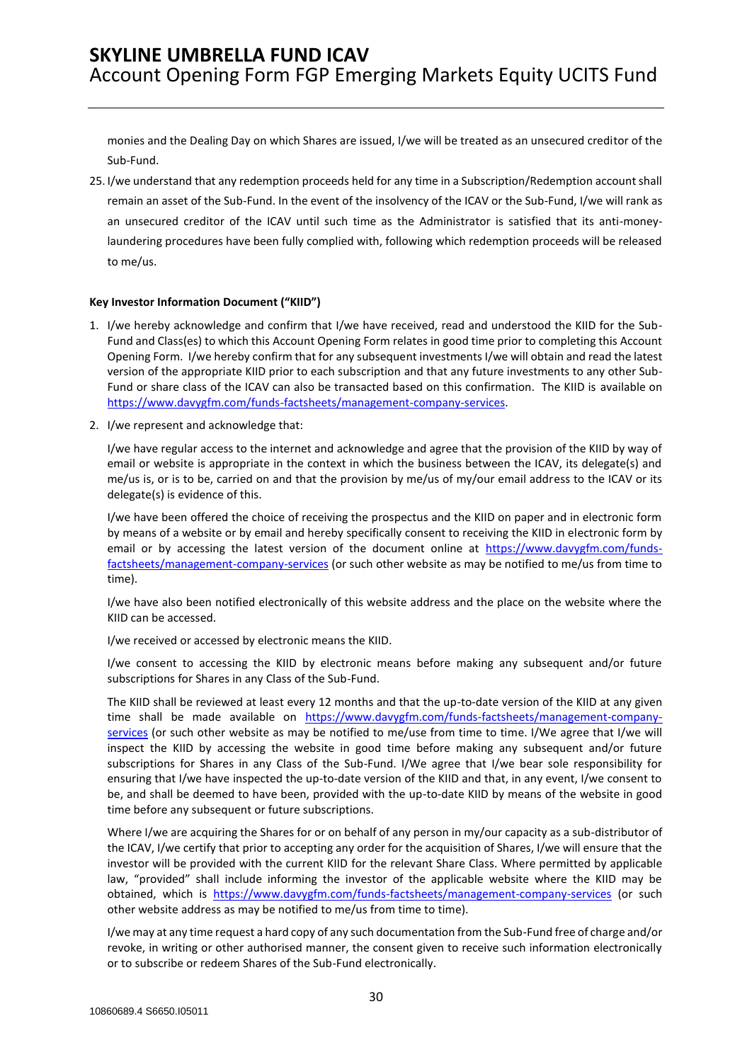monies and the Dealing Day on which Shares are issued, I/we will be treated as an unsecured creditor of the Sub-Fund.

25. I/we understand that any redemption proceeds held for any time in a Subscription/Redemption account shall remain an asset of the Sub-Fund. In the event of the insolvency of the ICAV or the Sub-Fund, I/we will rank as an unsecured creditor of the ICAV until such time as the Administrator is satisfied that its anti-moneylaundering procedures have been fully complied with, following which redemption proceeds will be released to me/us.

#### **Key Investor Information Document ("KIID")**

- 1. I/we hereby acknowledge and confirm that I/we have received, read and understood the KIID for the Sub-Fund and Class(es) to which this Account Opening Form relates in good time prior to completing this Account Opening Form. I/we hereby confirm that for any subsequent investments I/we will obtain and read the latest version of the appropriate KIID prior to each subscription and that any future investments to any other Sub-Fund or share class of the ICAV can also be transacted based on this confirmation. The KIID is available on [https://www.davygfm.com/funds-factsheets/management-company-services.](https://www.davygfm.com/funds-factsheets/management-company-services)
- 2. I/we represent and acknowledge that:

I/we have regular access to the internet and acknowledge and agree that the provision of the KIID by way of email or website is appropriate in the context in which the business between the ICAV, its delegate(s) and me/us is, or is to be, carried on and that the provision by me/us of my/our email address to the ICAV or its delegate(s) is evidence of this.

I/we have been offered the choice of receiving the prospectus and the KIID on paper and in electronic form by means of a website or by email and hereby specifically consent to receiving the KIID in electronic form by email or by accessing the latest version of the document online at [https://www.davygfm.com/funds](https://www.davygfm.com/funds-factsheets/management-company-services)[factsheets/management-company-services](https://www.davygfm.com/funds-factsheets/management-company-services) (or such other website as may be notified to me/us from time to time).

I/we have also been notified electronically of this website address and the place on the website where the KIID can be accessed.

I/we received or accessed by electronic means the KIID.

I/we consent to accessing the KIID by electronic means before making any subsequent and/or future subscriptions for Shares in any Class of the Sub-Fund.

The KIID shall be reviewed at least every 12 months and that the up-to-date version of the KIID at any given time shall be made available on [https://www.davygfm.com/funds-factsheets/management-company](https://www.davygfm.com/funds-factsheets/management-company-services)[services](https://www.davygfm.com/funds-factsheets/management-company-services) (or such other website as may be notified to me/use from time to time. I/We agree that I/we will inspect the KIID by accessing the website in good time before making any subsequent and/or future subscriptions for Shares in any Class of the Sub-Fund. I/We agree that I/we bear sole responsibility for ensuring that I/we have inspected the up-to-date version of the KIID and that, in any event, I/we consent to be, and shall be deemed to have been, provided with the up-to-date KIID by means of the website in good time before any subsequent or future subscriptions.

Where I/we are acquiring the Shares for or on behalf of any person in my/our capacity as a sub-distributor of the ICAV, I/we certify that prior to accepting any order for the acquisition of Shares, I/we will ensure that the investor will be provided with the current KIID for the relevant Share Class. Where permitted by applicable law, "provided" shall include informing the investor of the applicable website where the KIID may be obtained, which is <https://www.davygfm.com/funds-factsheets/management-company-services> (or such other website address as may be notified to me/us from time to time).

I/we may at any time request a hard copy of any such documentation from the Sub-Fund free of charge and/or revoke, in writing or other authorised manner, the consent given to receive such information electronically or to subscribe or redeem Shares of the Sub-Fund electronically.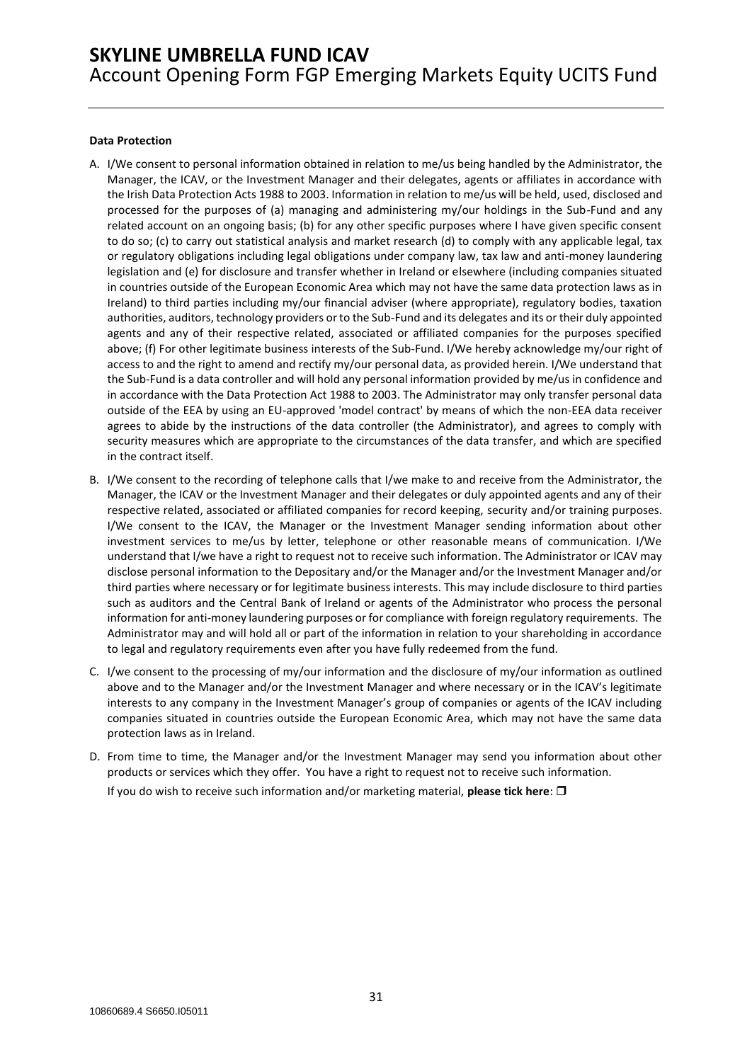#### **Data Protection**

- A. I/We consent to personal information obtained in relation to me/us being handled by the Administrator, the Manager, the ICAV, or the Investment Manager and their delegates, agents or affiliates in accordance with the Irish Data Protection Acts 1988 to 2003. Information in relation to me/us will be held, used, disclosed and processed for the purposes of (a) managing and administering my/our holdings in the Sub-Fund and any related account on an ongoing basis; (b) for any other specific purposes where I have given specific consent to do so; (c) to carry out statistical analysis and market research (d) to comply with any applicable legal, tax or regulatory obligations including legal obligations under company law, tax law and anti-money laundering legislation and (e) for disclosure and transfer whether in Ireland or elsewhere (including companies situated in countries outside of the European Economic Area which may not have the same data protection laws as in Ireland) to third parties including my/our financial adviser (where appropriate), regulatory bodies, taxation authorities, auditors, technology providers or to the Sub-Fund and its delegates and its or their duly appointed agents and any of their respective related, associated or affiliated companies for the purposes specified above; (f) For other legitimate business interests of the Sub-Fund. I/We hereby acknowledge my/our right of access to and the right to amend and rectify my/our personal data, as provided herein. I/We understand that the Sub-Fund is a data controller and will hold any personal information provided by me/us in confidence and in accordance with the Data Protection Act 1988 to 2003. The Administrator may only transfer personal data outside of the EEA by using an EU-approved 'model contract' by means of which the non-EEA data receiver agrees to abide by the instructions of the data controller (the Administrator), and agrees to comply with security measures which are appropriate to the circumstances of the data transfer, and which are specified in the contract itself.
- B. I/We consent to the recording of telephone calls that I/we make to and receive from the Administrator, the Manager, the ICAV or the Investment Manager and their delegates or duly appointed agents and any of their respective related, associated or affiliated companies for record keeping, security and/or training purposes. I/We consent to the ICAV, the Manager or the Investment Manager sending information about other investment services to me/us by letter, telephone or other reasonable means of communication. I/We understand that I/we have a right to request not to receive such information. The Administrator or ICAV may disclose personal information to the Depositary and/or the Manager and/or the Investment Manager and/or third parties where necessary or for legitimate business interests. This may include disclosure to third parties such as auditors and the Central Bank of Ireland or agents of the Administrator who process the personal information for anti-money laundering purposes or for compliance with foreign regulatory requirements. The Administrator may and will hold all or part of the information in relation to your shareholding in accordance to legal and regulatory requirements even after you have fully redeemed from the fund.
- C. I/we consent to the processing of my/our information and the disclosure of my/our information as outlined above and to the Manager and/or the Investment Manager and where necessary or in the ICAV's legitimate interests to any company in the Investment Manager's group of companies or agents of the ICAV including companies situated in countries outside the European Economic Area, which may not have the same data protection laws as in Ireland.
- D. From time to time, the Manager and/or the Investment Manager may send you information about other products or services which they offer. You have a right to request not to receive such information. If you do wish to receive such information and/or marketing material, **please tick here**: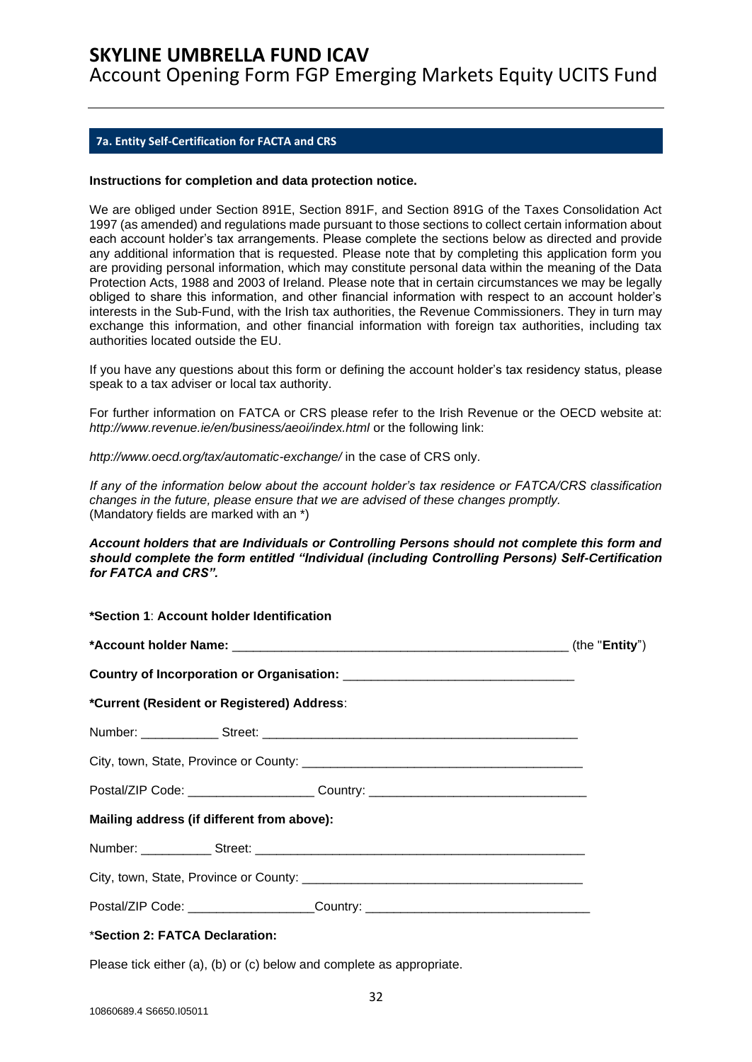Account Opening Form FGP Emerging Markets Equity UCITS Fund

### <span id="page-31-0"></span>**7a. Entity Self-Certification for FACTA and CRS**

#### **Instructions for completion and data protection notice.**

We are obliged under Section 891E, Section 891F, and Section 891G of the Taxes Consolidation Act 1997 (as amended) and regulations made pursuant to those sections to collect certain information about each account holder's tax arrangements. Please complete the sections below as directed and provide any additional information that is requested. Please note that by completing this application form you are providing personal information, which may constitute personal data within the meaning of the Data Protection Acts, 1988 and 2003 of Ireland. Please note that in certain circumstances we may be legally obliged to share this information, and other financial information with respect to an account holder's interests in the Sub-Fund, with the Irish tax authorities, the Revenue Commissioners. They in turn may exchange this information, and other financial information with foreign tax authorities, including tax authorities located outside the EU.

If you have any questions about this form or defining the account holder's tax residency status, please speak to a tax adviser or local tax authority.

For further information on FATCA or CRS please refer to the Irish Revenue or the OECD website at: http://www.revenue.ie/en/business/aeoi/index.html or the following link:

*http://www.oecd.org/tax/automatic-exchange/* in the case of CRS only.

*If any of the information below about the account holder's tax residence or FATCA/CRS classification changes in the future, please ensure that we are advised of these changes promptly.*  (Mandatory fields are marked with an \*)

#### *Account holders that are Individuals or Controlling Persons should not complete this form and should complete the form entitled "Individual (including Controlling Persons) Self-Certification for FATCA and CRS".*

| *Section 1: Account holder Identification  |                                                                                  |  |
|--------------------------------------------|----------------------------------------------------------------------------------|--|
|                                            |                                                                                  |  |
|                                            |                                                                                  |  |
| *Current (Resident or Registered) Address: |                                                                                  |  |
|                                            |                                                                                  |  |
|                                            |                                                                                  |  |
|                                            | Postal/ZIP Code: ____________________Country: __________________________________ |  |
| Mailing address (if different from above): |                                                                                  |  |
|                                            |                                                                                  |  |
|                                            |                                                                                  |  |
|                                            | Postal/ZIP Code: ______________________Country: ________________________________ |  |
| *Section 2: FATCA Declaration:             |                                                                                  |  |

Please tick either (a), (b) or (c) below and complete as appropriate.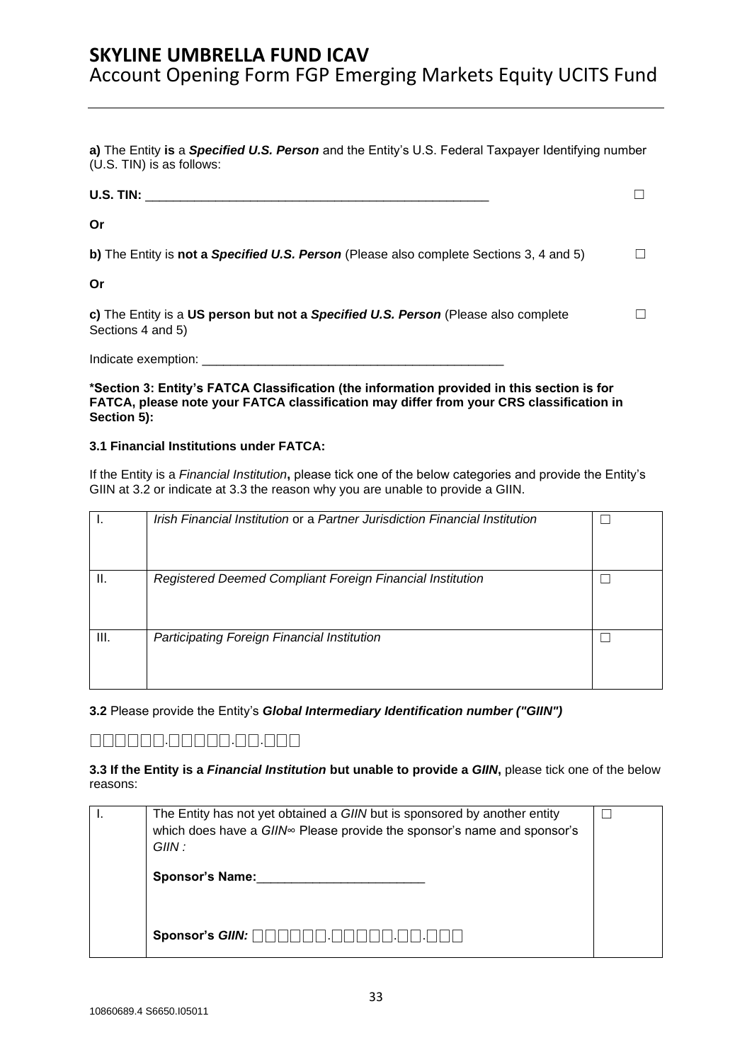**a)** The Entity **is** a *Specified U.S. Person* and the Entity's U.S. Federal Taxpayer Identifying number (U.S. TIN) is as follows:

| $U.S.$ TIN:                                                                                             |  |
|---------------------------------------------------------------------------------------------------------|--|
| Or                                                                                                      |  |
| b) The Entity is not a Specified U.S. Person (Please also complete Sections 3, 4 and 5)                 |  |
| Or                                                                                                      |  |
| c) The Entity is a US person but not a Specified U.S. Person (Please also complete<br>Sections 4 and 5) |  |

Indicate exemption: \_\_\_\_\_\_\_\_\_\_\_\_\_\_\_\_\_\_\_\_\_\_\_\_\_\_\_\_\_\_\_\_\_\_\_\_\_\_\_\_\_\_\_

**\*Section 3: Entity's FATCA Classification (the information provided in this section is for FATCA, please note your FATCA classification may differ from your CRS classification in Section 5):** 

### **3.1 Financial Institutions under FATCA:**

If the Entity is a *Financial Institution***,** please tick one of the below categories and provide the Entity's GIIN at 3.2 or indicate at 3.3 the reason why you are unable to provide a GIIN.

|      | Irish Financial Institution or a Partner Jurisdiction Financial Institution |  |
|------|-----------------------------------------------------------------------------|--|
| Ш.   | Registered Deemed Compliant Foreign Financial Institution                   |  |
| III. | Participating Foreign Financial Institution                                 |  |

**3.2** Please provide the Entity's *Global Intermediary Identification number ("GIIN")* 

## ⎕⎕⎕⎕⎕⎕.⎕⎕⎕⎕⎕.⎕⎕.⎕⎕⎕

**3.3 If the Entity is a** *Financial Institution* **but unable to provide a** *GIIN***,** please tick one of the below reasons:

| The Entity has not yet obtained a GIIN but is sponsored by another entity<br>which does have a GIIN∞ Please provide the sponsor's name and sponsor's<br>GIIN : |  |
|----------------------------------------------------------------------------------------------------------------------------------------------------------------|--|
| <b>Sponsor's Name:</b>                                                                                                                                         |  |
| Sponsor's $GIN: \Box \Box$                                                                                                                                     |  |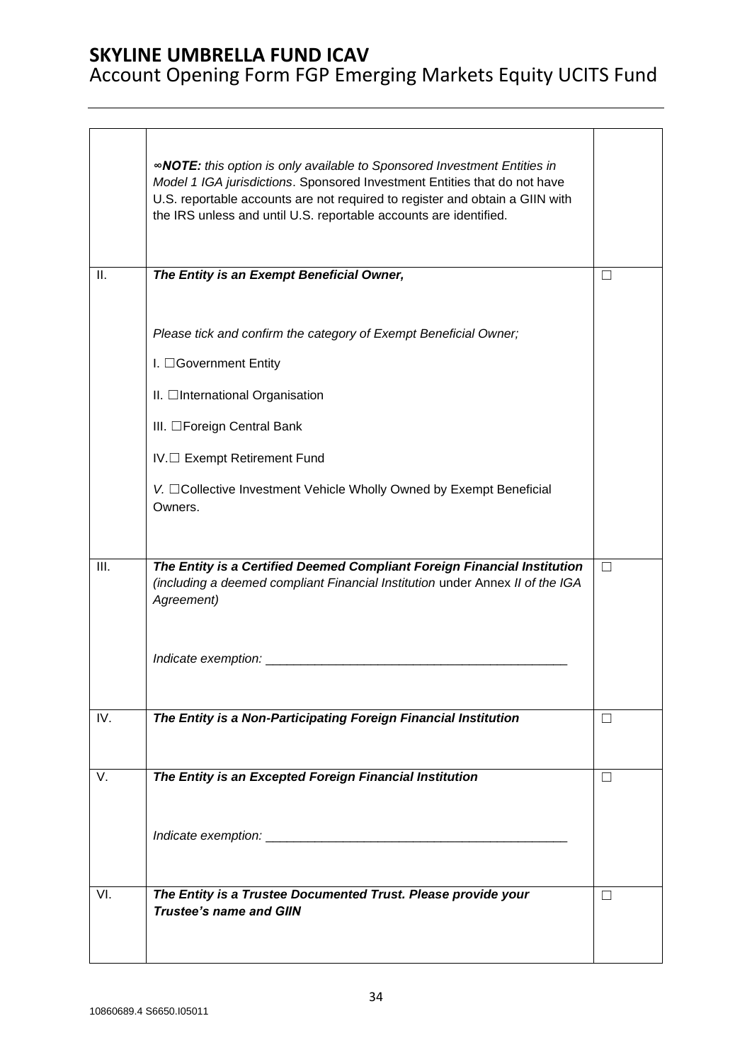# Account Opening Form FGP Emerging Markets Equity UCITS Fund

|      | <b>«NOTE:</b> this option is only available to Sponsored Investment Entities in<br>Model 1 IGA jurisdictions. Sponsored Investment Entities that do not have<br>U.S. reportable accounts are not required to register and obtain a GIIN with<br>the IRS unless and until U.S. reportable accounts are identified. |         |
|------|-------------------------------------------------------------------------------------------------------------------------------------------------------------------------------------------------------------------------------------------------------------------------------------------------------------------|---------|
| ΙΙ.  | The Entity is an Exempt Beneficial Owner,                                                                                                                                                                                                                                                                         |         |
|      | Please tick and confirm the category of Exempt Beneficial Owner;<br>I. □Government Entity<br>II. □International Organisation<br>III. □Foreign Central Bank<br>IV.□ Exempt Retirement Fund<br>V. □ Collective Investment Vehicle Wholly Owned by Exempt Beneficial<br>Owners.                                      |         |
|      |                                                                                                                                                                                                                                                                                                                   |         |
| III. | The Entity is a Certified Deemed Compliant Foreign Financial Institution<br>(including a deemed compliant Financial Institution under Annex II of the IGA<br>Agreement)<br>Indicate exemption:                                                                                                                    | П       |
| IV.  | The Entity is a Non-Participating Foreign Financial Institution                                                                                                                                                                                                                                                   | $\perp$ |
|      |                                                                                                                                                                                                                                                                                                                   |         |
| V.   | The Entity is an Excepted Foreign Financial Institution                                                                                                                                                                                                                                                           | $\perp$ |
|      |                                                                                                                                                                                                                                                                                                                   |         |
| VI.  | The Entity is a Trustee Documented Trust. Please provide your                                                                                                                                                                                                                                                     | П       |
|      | <b>Trustee's name and GIIN</b>                                                                                                                                                                                                                                                                                    |         |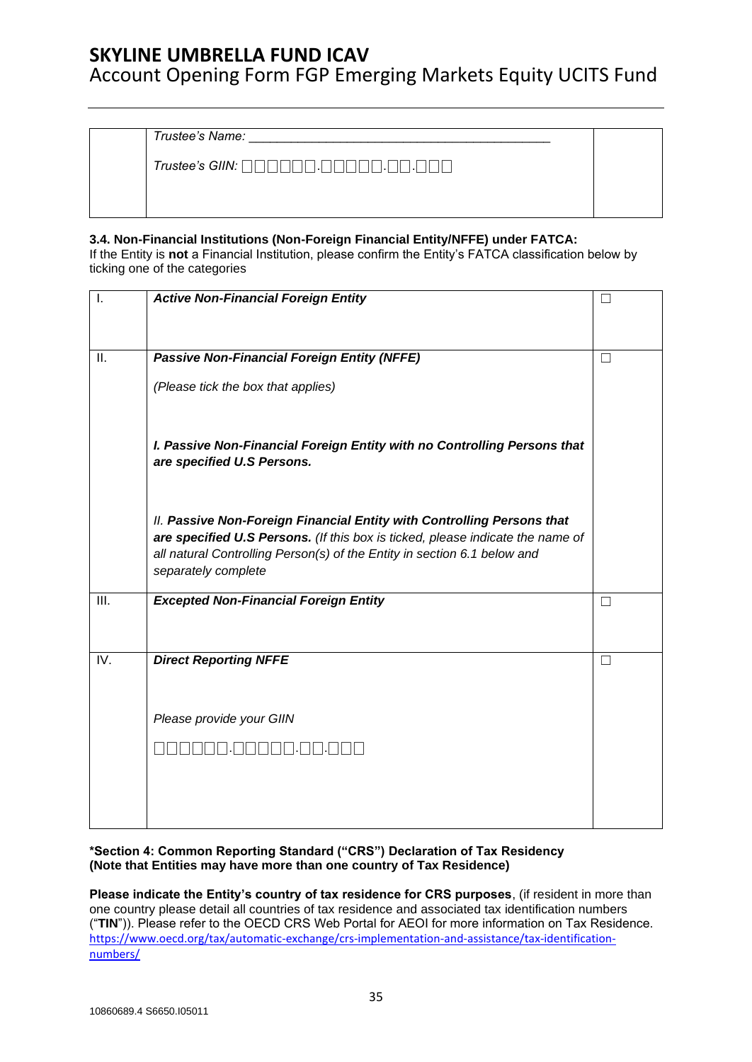Account Opening Form FGP Emerging Markets Equity UCITS Fund

*Trustee's Name:* \_\_\_\_\_\_\_\_\_\_\_\_\_\_\_\_\_\_\_\_\_\_\_\_\_\_\_\_\_\_\_\_\_\_\_\_\_\_\_\_\_\_\_

*Trustee's GIIN:* ⎕⎕⎕⎕⎕⎕.⎕⎕⎕⎕⎕.⎕⎕.⎕⎕⎕

### **3.4. Non-Financial Institutions (Non-Foreign Financial Entity/NFFE) under FATCA:**

If the Entity is **not** a Financial Institution, please confirm the Entity's FATCA classification below by ticking one of the categories

| Ι.   | <b>Active Non-Financial Foreign Entity</b>                                                                                                                 |                   |
|------|------------------------------------------------------------------------------------------------------------------------------------------------------------|-------------------|
|      |                                                                                                                                                            |                   |
| II.  | Passive Non-Financial Foreign Entity (NFFE)                                                                                                                | $\vert \ \ \vert$ |
|      |                                                                                                                                                            |                   |
|      | (Please tick the box that applies)                                                                                                                         |                   |
|      |                                                                                                                                                            |                   |
|      | I. Passive Non-Financial Foreign Entity with no Controlling Persons that<br>are specified U.S Persons.                                                     |                   |
|      |                                                                                                                                                            |                   |
|      | II. Passive Non-Foreign Financial Entity with Controlling Persons that                                                                                     |                   |
|      | are specified U.S Persons. (If this box is ticked, please indicate the name of<br>all natural Controlling Person(s) of the Entity in section 6.1 below and |                   |
|      | separately complete                                                                                                                                        |                   |
| III. | <b>Excepted Non-Financial Foreign Entity</b>                                                                                                               | П                 |
|      |                                                                                                                                                            |                   |
| IV.  | <b>Direct Reporting NFFE</b>                                                                                                                               | П                 |
|      |                                                                                                                                                            |                   |
|      |                                                                                                                                                            |                   |
|      | Please provide your GIIN                                                                                                                                   |                   |
|      |                                                                                                                                                            |                   |
|      |                                                                                                                                                            |                   |
|      |                                                                                                                                                            |                   |
|      |                                                                                                                                                            |                   |

**\*Section 4: Common Reporting Standard ("CRS") Declaration of Tax Residency (Note that Entities may have more than one country of Tax Residence)** 

**Please indicate the Entity's country of tax residence for CRS purposes**, (if resident in more than one country please detail all countries of tax residence and associated tax identification numbers ("**TIN**")). Please refer to the OECD CRS Web Portal for AEOI for more information on Tax Residence. [https://www.oecd.org/tax/automatic-exchange/crs-implementation-and-assistance/tax-identification](https://www.oecd.org/tax/automatic-exchange/crs-implementation-and-assistance/tax-identification-numbers/)[numbers/](https://www.oecd.org/tax/automatic-exchange/crs-implementation-and-assistance/tax-identification-numbers/)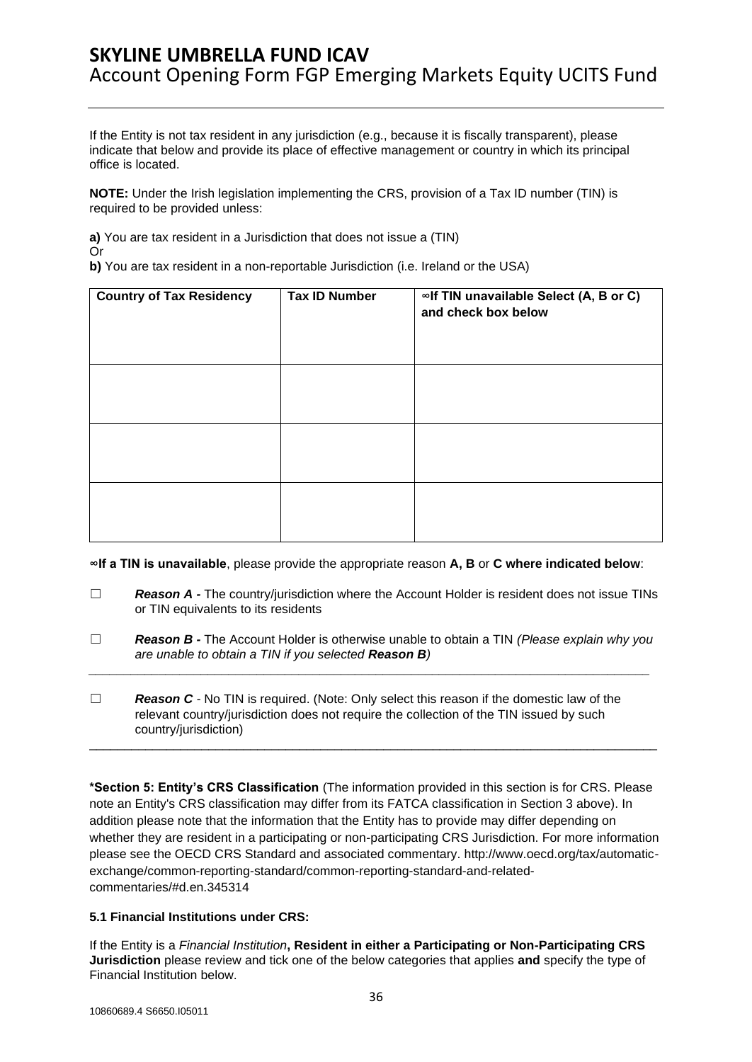If the Entity is not tax resident in any jurisdiction (e.g., because it is fiscally transparent), please indicate that below and provide its place of effective management or country in which its principal office is located.

**NOTE:** Under the Irish legislation implementing the CRS, provision of a Tax ID number (TIN) is required to be provided unless:

**a)** You are tax resident in a Jurisdiction that does not issue a (TIN) Or

**b)** You are tax resident in a non-reportable Jurisdiction (i.e. Ireland or the USA)

| <b>Country of Tax Residency</b> | <b>Tax ID Number</b> | ∞If TIN unavailable Select (A, B or C)<br>and check box below |
|---------------------------------|----------------------|---------------------------------------------------------------|
|                                 |                      |                                                               |
|                                 |                      |                                                               |
|                                 |                      |                                                               |

**∞If a TIN is unavailable**, please provide the appropriate reason **A, B** or **C where indicated below**:

- ☐ *Reason A -* The country/jurisdiction where the Account Holder is resident does not issue TINs or TIN equivalents to its residents
- ☐ *Reason B -* The Account Holder is otherwise unable to obtain a TIN *(Please explain why you are unable to obtain a TIN if you selected Reason B) \_\_\_\_\_\_\_\_\_\_\_\_\_\_\_\_\_\_\_\_\_\_\_\_\_\_\_\_\_\_\_\_\_\_\_\_\_\_\_\_\_\_\_\_\_\_\_\_\_\_\_\_\_\_\_\_\_\_\_\_\_\_\_\_\_\_\_\_\_\_\_\_\_\_\_\_\_\_\_\_*
- ☐ *Reason C -* No TIN is required. (Note: Only select this reason if the domestic law of the relevant country/jurisdiction does not require the collection of the TIN issued by such country/jurisdiction) \_\_\_\_\_\_\_\_\_\_\_\_\_\_\_\_\_\_\_\_\_\_\_\_\_\_\_\_\_\_\_\_\_\_\_\_\_\_\_\_\_\_\_\_\_\_\_\_\_\_\_\_\_\_\_\_\_\_\_\_\_\_\_\_\_\_\_\_\_\_\_\_\_\_\_\_\_\_\_\_\_

**\*Section 5: Entity's CRS Classification** (The information provided in this section is for CRS. Please note an Entity's CRS classification may differ from its FATCA classification in Section 3 above). In addition please note that the information that the Entity has to provide may differ depending on whether they are resident in a participating or non-participating CRS Jurisdiction. For more information please see the OECD CRS Standard and associated commentary. http://www.oecd.org/tax/automaticexchange/common-reporting-standard/common-reporting-standard-and-relatedcommentaries/#d.en.345314

### **5.1 Financial Institutions under CRS:**

If the Entity is a *Financial Institution***, Resident in either a Participating or Non-Participating CRS Jurisdiction** please review and tick one of the below categories that applies **and** specify the type of Financial Institution below.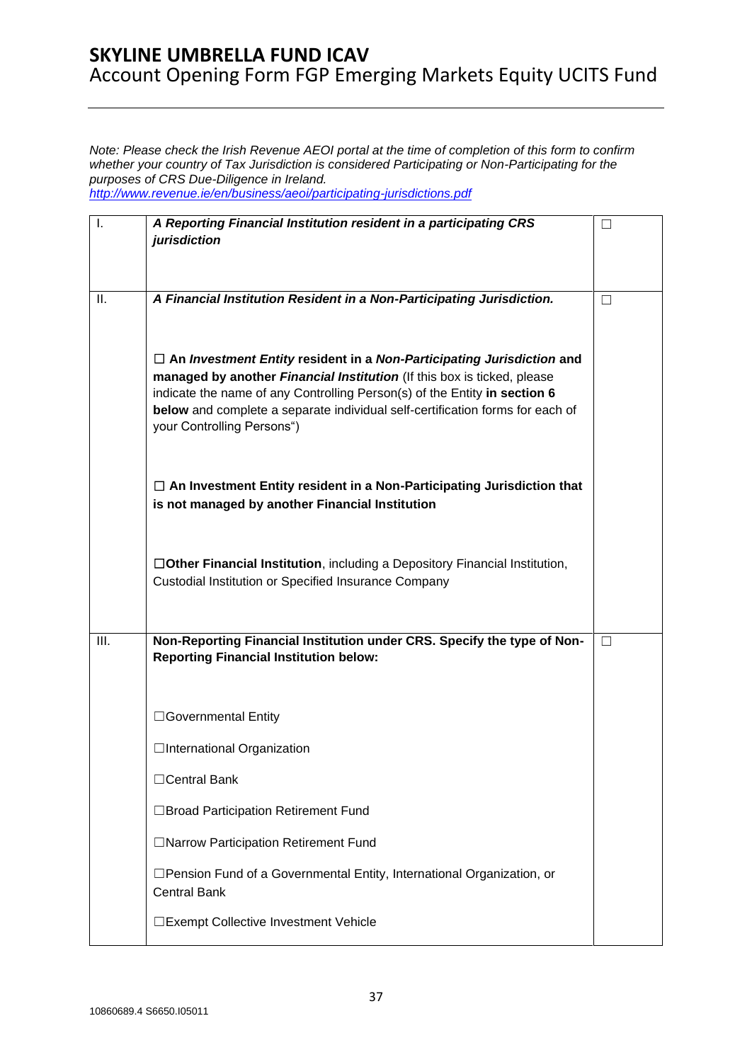*Note: Please check the Irish Revenue AEOI portal at the time of completion of this form to confirm whether your country of Tax Jurisdiction is considered Participating or Non-Participating for the purposes of CRS Due-Diligence in Ireland. <http://www.revenue.ie/en/business/aeoi/participating-jurisdictions.pdf>*

I. *A Reporting Financial Institution resident in a participating CRS jurisdiction*  ☐ II. *A Financial Institution Resident in a Non-Participating Jurisdiction.*  ☐ **An** *Investment Entity* **resident in a** *Non-Participating Jurisdiction* **and managed by another** *Financial Institution* (If this box is ticked, please indicate the name of any Controlling Person(s) of the Entity **in section 6 below** and complete a separate individual self-certification forms for each of your Controlling Persons") ☐ **An Investment Entity resident in a Non-Participating Jurisdiction that is not managed by another Financial Institution**  ☐**Other Financial Institution**, including a Depository Financial Institution, Custodial Institution or Specified Insurance Company ☐ **III.** Non-Reporting Financial Institution under CRS. Specify the type of Non-**Reporting Financial Institution below:**  ☐Governmental Entity □International Organization ☐Central Bank ☐Broad Participation Retirement Fund ☐Narrow Participation Retirement Fund ☐Pension Fund of a Governmental Entity, International Organization, or Central Bank ☐Exempt Collective Investment Vehicle ☐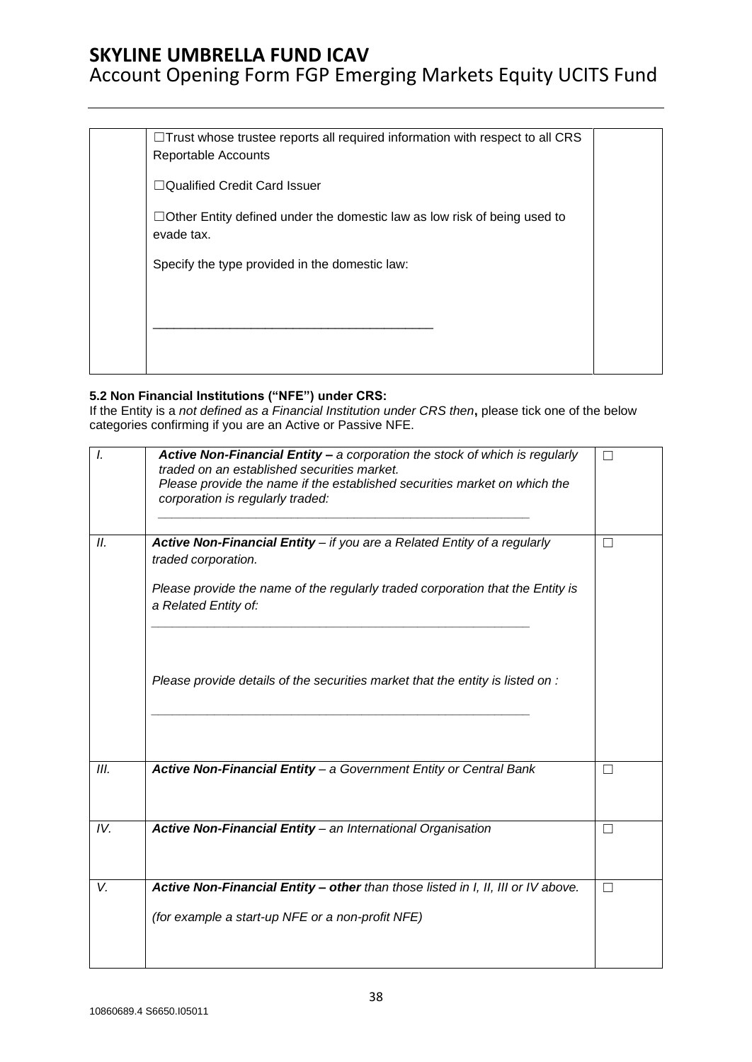# Account Opening Form FGP Emerging Markets Equity UCITS Fund

| Reportable Accounts           | $\Box$ Trust whose trustee reports all required information with respect to all CRS |
|-------------------------------|-------------------------------------------------------------------------------------|
| □Qualified Credit Card Issuer |                                                                                     |
| evade tax.                    | $\Box$ Other Entity defined under the domestic law as low risk of being used to     |
|                               | Specify the type provided in the domestic law:                                      |
|                               |                                                                                     |
|                               |                                                                                     |
|                               |                                                                                     |

## **5.2 Non Financial Institutions ("NFE") under CRS:**

If the Entity is a *not defined as a Financial Institution under CRS then***,** please tick one of the below categories confirming if you are an Active or Passive NFE.

| I.   | Active Non-Financial Entity - a corporation the stock of which is regularly<br>traded on an established securities market.<br>Please provide the name if the established securities market on which the<br>corporation is regularly traded: |                   |
|------|---------------------------------------------------------------------------------------------------------------------------------------------------------------------------------------------------------------------------------------------|-------------------|
| II.  | Active Non-Financial Entity - if you are a Related Entity of a regularly                                                                                                                                                                    | $\Box$            |
|      | traded corporation.                                                                                                                                                                                                                         |                   |
|      | Please provide the name of the regularly traded corporation that the Entity is<br>a Related Entity of:                                                                                                                                      |                   |
|      |                                                                                                                                                                                                                                             |                   |
|      |                                                                                                                                                                                                                                             |                   |
|      | Please provide details of the securities market that the entity is listed on :                                                                                                                                                              |                   |
|      |                                                                                                                                                                                                                                             |                   |
| III. | Active Non-Financial Entity - a Government Entity or Central Bank                                                                                                                                                                           | $\vert \ \ \vert$ |
| IV.  | Active Non-Financial Entity - an International Organisation                                                                                                                                                                                 | $\Box$            |
| V.   | Active Non-Financial Entity - other than those listed in I, II, III or IV above.                                                                                                                                                            | П                 |
|      |                                                                                                                                                                                                                                             |                   |
|      | (for example a start-up NFE or a non-profit NFE)                                                                                                                                                                                            |                   |
|      |                                                                                                                                                                                                                                             |                   |
|      |                                                                                                                                                                                                                                             |                   |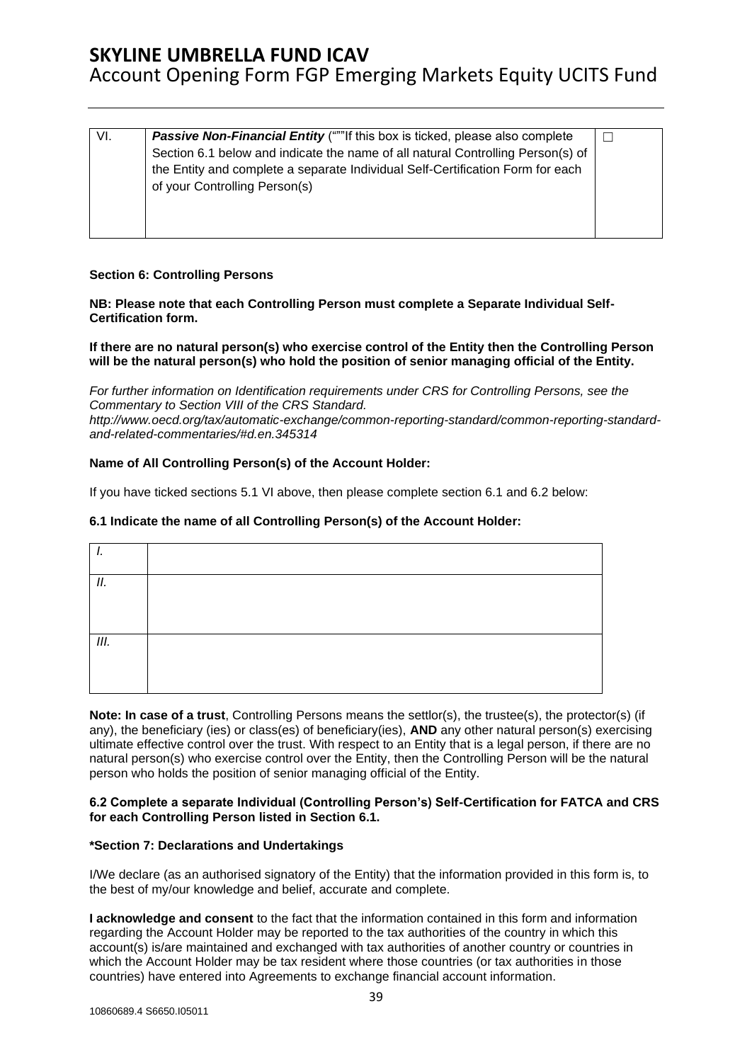|  | VI. | <b>Passive Non-Financial Entity</b> ("""If this box is ticked, please also complete<br>Section 6.1 below and indicate the name of all natural Controlling Person(s) of<br>the Entity and complete a separate Individual Self-Certification Form for each<br>of your Controlling Person(s) |  |
|--|-----|-------------------------------------------------------------------------------------------------------------------------------------------------------------------------------------------------------------------------------------------------------------------------------------------|--|
|--|-----|-------------------------------------------------------------------------------------------------------------------------------------------------------------------------------------------------------------------------------------------------------------------------------------------|--|

### **Section 6: Controlling Persons**

**NB: Please note that each Controlling Person must complete a Separate Individual Self-Certification form.** 

**If there are no natural person(s) who exercise control of the Entity then the Controlling Person will be the natural person(s) who hold the position of senior managing official of the Entity.** 

*For further information on Identification requirements under CRS for Controlling Persons, see the Commentary to Section VIII of the CRS Standard. [http://www.oecd.org/tax/automatic-exchange/common-reporting-standard/common-reporting-standard](http://www.oecd.org/tax/automatic-exchange/common-reporting-standard/common-reporting-standard-and-related-commentaries/#d.en.345314)[and-related-commentaries/#d.en.345314](http://www.oecd.org/tax/automatic-exchange/common-reporting-standard/common-reporting-standard-and-related-commentaries/#d.en.345314)*

#### **Name of All Controlling Person(s) of the Account Holder:**

If you have ticked sections 5.1 VI above, then please complete section 6.1 and 6.2 below:

### **6.1 Indicate the name of all Controlling Person(s) of the Account Holder:**

| П. |  |
|----|--|
|    |  |
| Ш. |  |
|    |  |

**Note: In case of a trust**, Controlling Persons means the settlor(s), the trustee(s), the protector(s) (if any), the beneficiary (ies) or class(es) of beneficiary(ies), **AND** any other natural person(s) exercising ultimate effective control over the trust. With respect to an Entity that is a legal person, if there are no natural person(s) who exercise control over the Entity, then the Controlling Person will be the natural person who holds the position of senior managing official of the Entity.

#### **6.2 Complete a separate Individual (Controlling Person's) Self-Certification for FATCA and CRS for each Controlling Person listed in Section 6.1.**

#### **\*Section 7: Declarations and Undertakings**

I/We declare (as an authorised signatory of the Entity) that the information provided in this form is, to the best of my/our knowledge and belief, accurate and complete.

**I acknowledge and consent** to the fact that the information contained in this form and information regarding the Account Holder may be reported to the tax authorities of the country in which this account(s) is/are maintained and exchanged with tax authorities of another country or countries in which the Account Holder may be tax resident where those countries (or tax authorities in those countries) have entered into Agreements to exchange financial account information.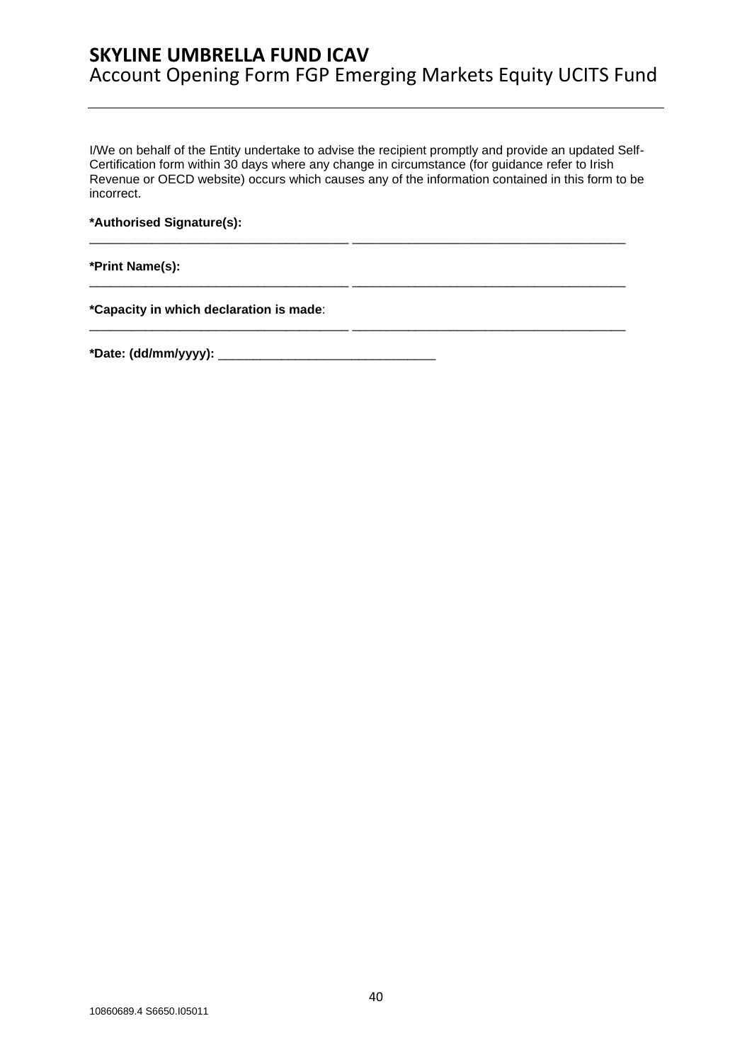I/We on behalf of the Entity undertake to advise the recipient promptly and provide an updated Self-Certification form within 30 days where any change in circumstance (for guidance refer to Irish Revenue or OECD website) occurs which causes any of the information contained in this form to be incorrect.

\_\_\_\_\_\_\_\_\_\_\_\_\_\_\_\_\_\_\_\_\_\_\_\_\_\_\_\_\_\_\_\_\_\_\_\_\_ \_\_\_\_\_\_\_\_\_\_\_\_\_\_\_\_\_\_\_\_\_\_\_\_\_\_\_\_\_\_\_\_\_\_\_\_\_\_\_

\_\_\_\_\_\_\_\_\_\_\_\_\_\_\_\_\_\_\_\_\_\_\_\_\_\_\_\_\_\_\_\_\_\_\_\_\_ \_\_\_\_\_\_\_\_\_\_\_\_\_\_\_\_\_\_\_\_\_\_\_\_\_\_\_\_\_\_\_\_\_\_\_\_\_\_\_

\_\_\_\_\_\_\_\_\_\_\_\_\_\_\_\_\_\_\_\_\_\_\_\_\_\_\_\_\_\_\_\_\_\_\_\_\_ \_\_\_\_\_\_\_\_\_\_\_\_\_\_\_\_\_\_\_\_\_\_\_\_\_\_\_\_\_\_\_\_\_\_\_\_\_\_\_

**\*Authorised Signature(s):** 

**\*Print Name(s):** 

**\*Capacity in which declaration is made**:

**\*Date: (dd/mm/yyyy):** \_\_\_\_\_\_\_\_\_\_\_\_\_\_\_\_\_\_\_\_\_\_\_\_\_\_\_\_\_\_\_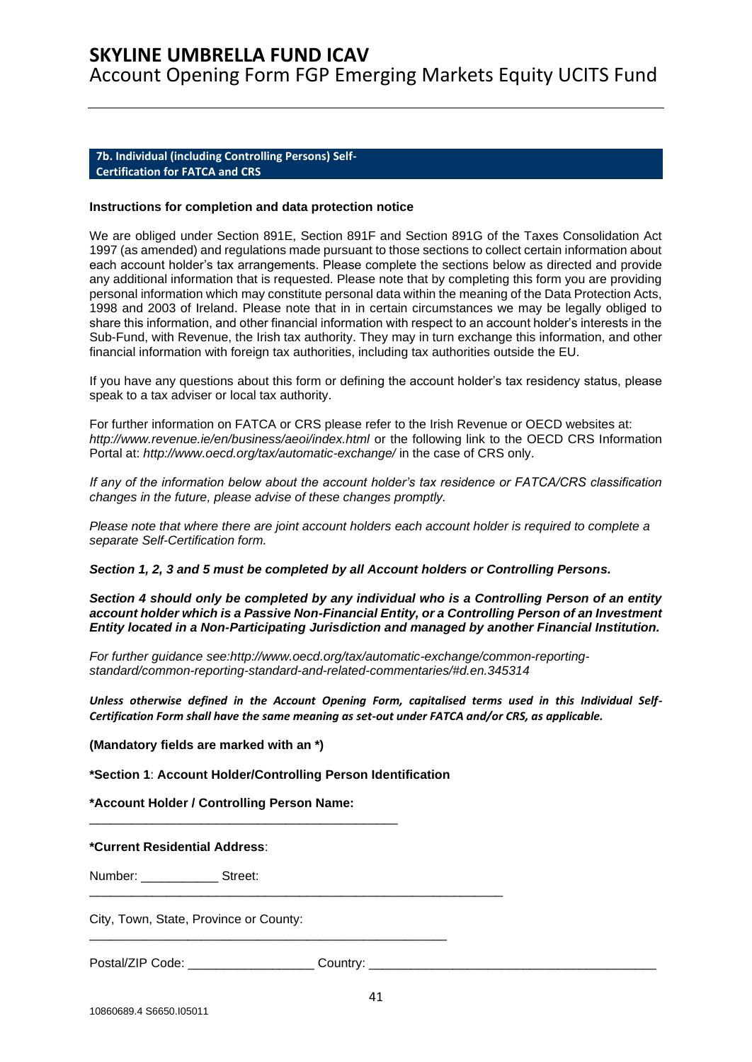Account Opening Form FGP Emerging Markets Equity UCITS Fund

#### <span id="page-40-0"></span>**7b. Individual (including Controlling Persons) Self-Certification for FATCA and CRS**

#### **Instructions for completion and data protection notice**

We are obliged under Section 891E, Section 891F and Section 891G of the Taxes Consolidation Act 1997 (as amended) and regulations made pursuant to those sections to collect certain information about each account holder's tax arrangements. Please complete the sections below as directed and provide any additional information that is requested. Please note that by completing this form you are providing personal information which may constitute personal data within the meaning of the Data Protection Acts, 1998 and 2003 of Ireland. Please note that in in certain circumstances we may be legally obliged to share this information, and other financial information with respect to an account holder's interests in the Sub-Fund, with Revenue, the Irish tax authority. They may in turn exchange this information, and other financial information with foreign tax authorities, including tax authorities outside the EU.

If you have any questions about this form or defining the account holder's tax residency status, please speak to a tax adviser or local tax authority.

For further information on FATCA or CRS please refer to the Irish Revenue or OECD websites at: *http://www.revenue.ie/en/business/aeoi/index.html* or the following link to the OECD CRS Information Portal at: *http://www.oecd.org/tax/automatic-exchange/* in the case of CRS only.

*If any of the information below about the account holder's tax residence or FATCA/CRS classification changes in the future, please advise of these changes promptly.*

*Please note that where there are joint account holders each account holder is required to complete a separate Self-Certification form.* 

*Section 1, 2, 3 and 5 must be completed by all Account holders or Controlling Persons.*

*Section 4 should only be completed by any individual who is a Controlling Person of an entity account holder which is a Passive Non-Financial Entity, or a Controlling Person of an Investment Entity located in a Non-Participating Jurisdiction and managed by another Financial Institution.* 

*For further guidance see:http://www.oecd.org/tax/automatic-exchange/common-reportingstandard/common-reporting-standard-and-related-commentaries/#d.en.345314* 

*Unless otherwise defined in the Account Opening Form, capitalised terms used in this Individual Self-Certification Form shall have the same meaning as set-out under FATCA and/or CRS, as applicable.*

**(Mandatory fields are marked with an \*)** 

**\*Section 1**: **Account Holder/Controlling Person Identification** 

\_\_\_\_\_\_\_\_\_\_\_\_\_\_\_\_\_\_\_\_\_\_\_\_\_\_\_\_\_\_\_\_\_\_\_\_\_\_\_\_\_\_\_\_\_\_\_\_\_\_\_

\_\_\_\_\_\_\_\_\_\_\_\_\_\_\_\_\_\_\_\_\_\_\_\_\_\_\_\_\_\_\_\_\_\_\_\_\_\_\_\_\_\_\_\_\_\_\_\_\_\_\_\_\_\_\_\_\_\_\_

**\*Account Holder / Controlling Person Name:** 

\_\_\_\_\_\_\_\_\_\_\_\_\_\_\_\_\_\_\_\_\_\_\_\_\_\_\_\_\_\_\_\_\_\_\_\_\_\_\_\_\_\_\_\_

**\*Current Residential Address**:

Number: \_\_\_\_\_\_\_\_\_\_\_ Street:

City, Town, State, Province or County:

Postal/ZIP Code: \_\_\_\_\_\_\_\_\_\_\_\_\_\_\_\_\_\_\_\_\_\_\_\_\_ Country: \_\_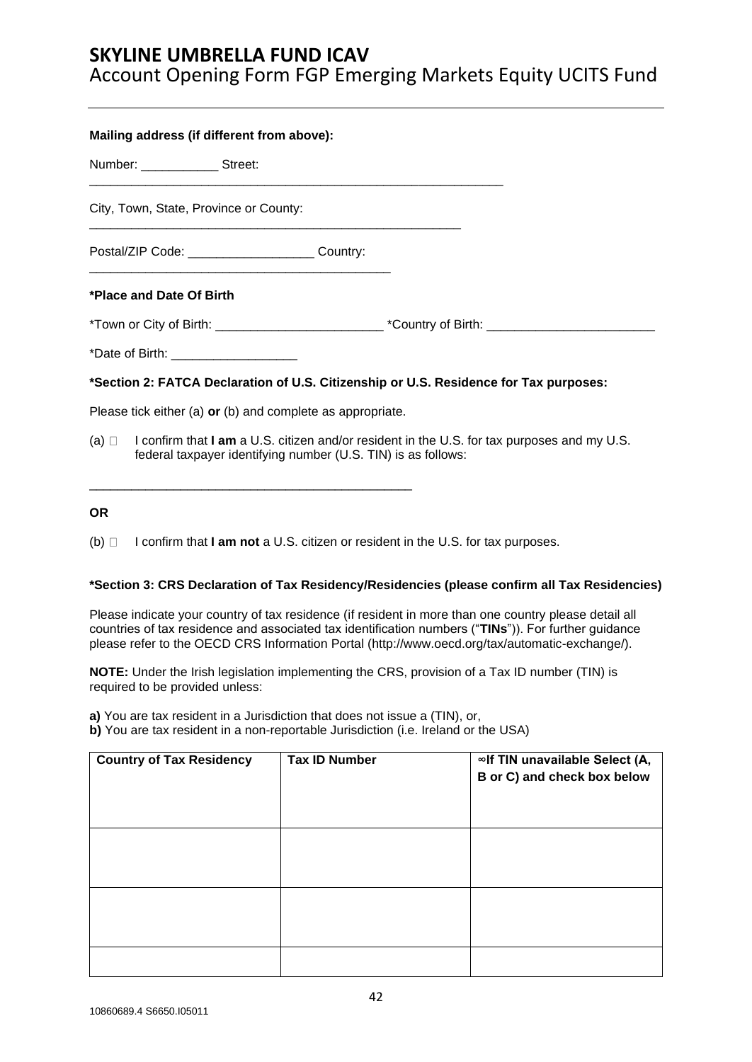Account Opening Form FGP Emerging Markets Equity UCITS Fund

| Mailing address (if different from above):                                                                |  |  |  |  |
|-----------------------------------------------------------------------------------------------------------|--|--|--|--|
| Number: ________________ Street:                                                                          |  |  |  |  |
| City, Town, State, Province or County:                                                                    |  |  |  |  |
| Postal/ZIP Code: ________________________ Country:                                                        |  |  |  |  |
| *Place and Date Of Birth                                                                                  |  |  |  |  |
| *Town or City of Birth: __________________________________*Country of Birth: ____________________________ |  |  |  |  |
| *Date of Birth: ______________________                                                                    |  |  |  |  |
| *Section 2: FATCA Declaration of U.S. Citizenship or U.S. Residence for Tax purposes:                     |  |  |  |  |
| Please tick either (a) $or$ (b) and complete as appropriate.                                              |  |  |  |  |

(a) I confirm that **I am** a U.S. citizen and/or resident in the U.S. for tax purposes and my U.S. federal taxpayer identifying number (U.S. TIN) is as follows:

### **OR**

(b) I confirm that **I am not** a U.S. citizen or resident in the U.S. for tax purposes.

\_\_\_\_\_\_\_\_\_\_\_\_\_\_\_\_\_\_\_\_\_\_\_\_\_\_\_\_\_\_\_\_\_\_\_\_\_\_\_\_\_\_\_\_\_\_

### **\*Section 3: CRS Declaration of Tax Residency/Residencies (please confirm all Tax Residencies)**

Please indicate your country of tax residence (if resident in more than one country please detail all countries of tax residence and associated tax identification numbers ("**TINs**")). For further guidance please refer to the OECD CRS Information Portal [\(http://www.oecd.org/tax/automatic-exchange/\)](http://www.oecd.org/tax/automatic-exchange/).

**NOTE:** Under the Irish legislation implementing the CRS, provision of a Tax ID number (TIN) is required to be provided unless:

**a)** You are tax resident in a Jurisdiction that does not issue a (TIN), or,

**b)** You are tax resident in a non-reportable Jurisdiction (i.e. Ireland or the USA)

| <b>Country of Tax Residency</b> | <b>Tax ID Number</b> | ∞If TIN unavailable Select (A,<br>B or C) and check box below |
|---------------------------------|----------------------|---------------------------------------------------------------|
|                                 |                      |                                                               |
|                                 |                      |                                                               |
|                                 |                      |                                                               |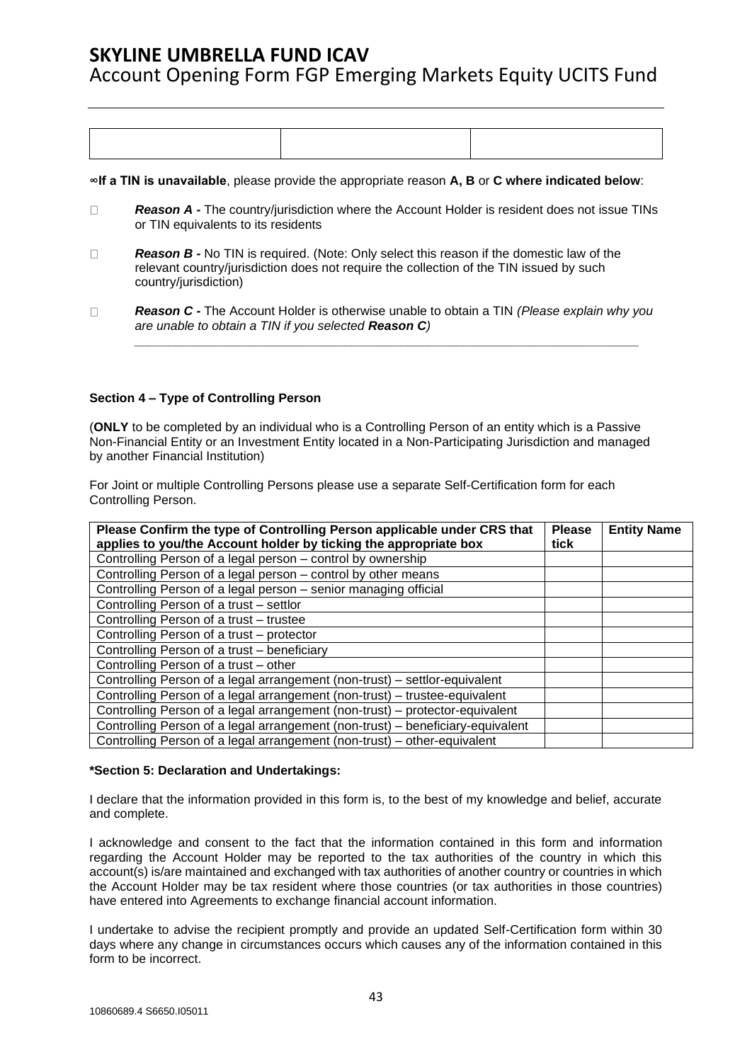Account Opening Form FGP Emerging Markets Equity UCITS Fund

**∞If a TIN is unavailable**, please provide the appropriate reason **A, B** or **C where indicated below**:

- *Reason A -* The country/jurisdiction where the Account Holder is resident does not issue TINs  $\Box$ or TIN equivalents to its residents
- $\Box$ *Reason B -* No TIN is required. (Note: Only select this reason if the domestic law of the relevant country/jurisdiction does not require the collection of the TIN issued by such country/jurisdiction)
- $\Box$ *Reason C -* The Account Holder is otherwise unable to obtain a TIN *(Please explain why you are unable to obtain a TIN if you selected Reason C)*

*\_\_\_\_\_\_\_\_\_\_\_\_\_\_\_\_\_\_\_\_\_\_\_\_\_\_\_\_\_\_\_\_\_\_\_\_\_\_\_\_\_\_\_\_\_\_\_\_\_\_\_\_\_\_\_\_\_\_\_\_\_\_\_\_\_\_\_\_\_\_\_\_*

### **Section 4 – Type of Controlling Person**

(**ONLY** to be completed by an individual who is a Controlling Person of an entity which is a Passive Non-Financial Entity or an Investment Entity located in a Non-Participating Jurisdiction and managed by another Financial Institution)

For Joint or multiple Controlling Persons please use a separate Self-Certification form for each Controlling Person.

| Please Confirm the type of Controlling Person applicable under CRS that<br>applies to you/the Account holder by ticking the appropriate box | <b>Please</b><br>tick | <b>Entity Name</b> |
|---------------------------------------------------------------------------------------------------------------------------------------------|-----------------------|--------------------|
| Controlling Person of a legal person – control by ownership                                                                                 |                       |                    |
| Controlling Person of a legal person - control by other means                                                                               |                       |                    |
| Controlling Person of a legal person - senior managing official                                                                             |                       |                    |
| Controlling Person of a trust - settlor                                                                                                     |                       |                    |
| Controlling Person of a trust - trustee                                                                                                     |                       |                    |
| Controlling Person of a trust - protector                                                                                                   |                       |                    |
| Controlling Person of a trust - beneficiary                                                                                                 |                       |                    |
| Controlling Person of a trust - other                                                                                                       |                       |                    |
| Controlling Person of a legal arrangement (non-trust) - settlor-equivalent                                                                  |                       |                    |
| Controlling Person of a legal arrangement (non-trust) - trustee-equivalent                                                                  |                       |                    |
| Controlling Person of a legal arrangement (non-trust) – protector-equivalent                                                                |                       |                    |
| Controlling Person of a legal arrangement (non-trust) - beneficiary-equivalent                                                              |                       |                    |
| Controlling Person of a legal arrangement (non-trust) – other-equivalent                                                                    |                       |                    |

### **\*Section 5: Declaration and Undertakings:**

I declare that the information provided in this form is, to the best of my knowledge and belief, accurate and complete.

I acknowledge and consent to the fact that the information contained in this form and information regarding the Account Holder may be reported to the tax authorities of the country in which this account(s) is/are maintained and exchanged with tax authorities of another country or countries in which the Account Holder may be tax resident where those countries (or tax authorities in those countries) have entered into Agreements to exchange financial account information.

I undertake to advise the recipient promptly and provide an updated Self-Certification form within 30 days where any change in circumstances occurs which causes any of the information contained in this form to be incorrect.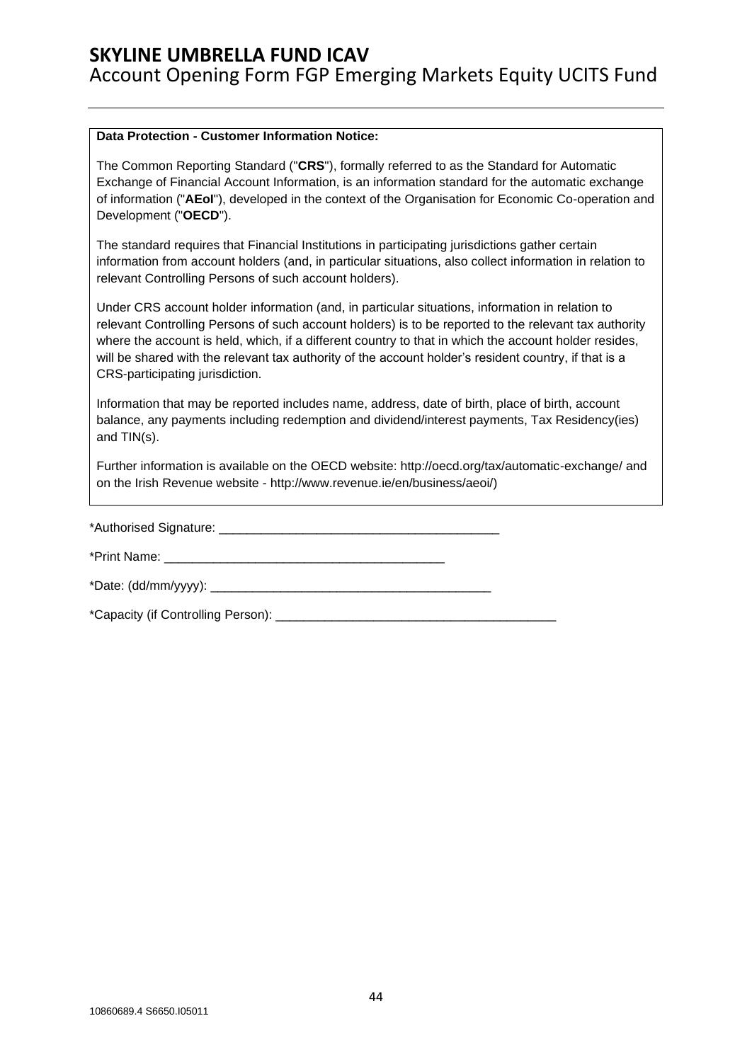#### **Data Protection - Customer Information Notice:**

The Common Reporting Standard ("**CRS**"), formally referred to as the Standard for Automatic Exchange of Financial Account Information, is an information standard for the automatic exchange of information ("**AEoI**"), developed in the context of the Organisation for Economic Co-operation and Development ("**OECD**").

The standard requires that Financial Institutions in participating jurisdictions gather certain information from account holders (and, in particular situations, also collect information in relation to relevant Controlling Persons of such account holders).

Under CRS account holder information (and, in particular situations, information in relation to relevant Controlling Persons of such account holders) is to be reported to the relevant tax authority where the account is held, which, if a different country to that in which the account holder resides, will be shared with the relevant tax authority of the account holder's resident country, if that is a CRS-participating jurisdiction.

Information that may be reported includes name, address, date of birth, place of birth, account balance, any payments including redemption and dividend/interest payments, Tax Residency(ies) and TIN(s).

Further information is available on the OECD website: http://oecd.org/tax/automatic-exchange/ and on the Irish Revenue website - [http://www.revenue.ie/en/business/aeoi/\)](http://www.revenue.ie/en/business/aeoi/)

\*Authorised Signature: **Example 2018** 

\*Print Name: <u>and the set of the set of the set of the set of the set of the set of the set of the set of the set of the set of the set of the set of the set of the set of the set of the set of the set of the set of the se</u>

\*Date: (dd/mm/yyyy): \_\_\_\_\_\_\_\_\_\_\_\_\_\_\_\_\_\_\_\_\_\_\_\_\_\_\_\_\_\_\_\_\_\_\_\_\_\_\_\_

\*Capacity (if Controlling Person): \_\_\_\_\_\_\_\_\_\_\_\_\_\_\_\_\_\_\_\_\_\_\_\_\_\_\_\_\_\_\_\_\_\_\_\_\_\_\_\_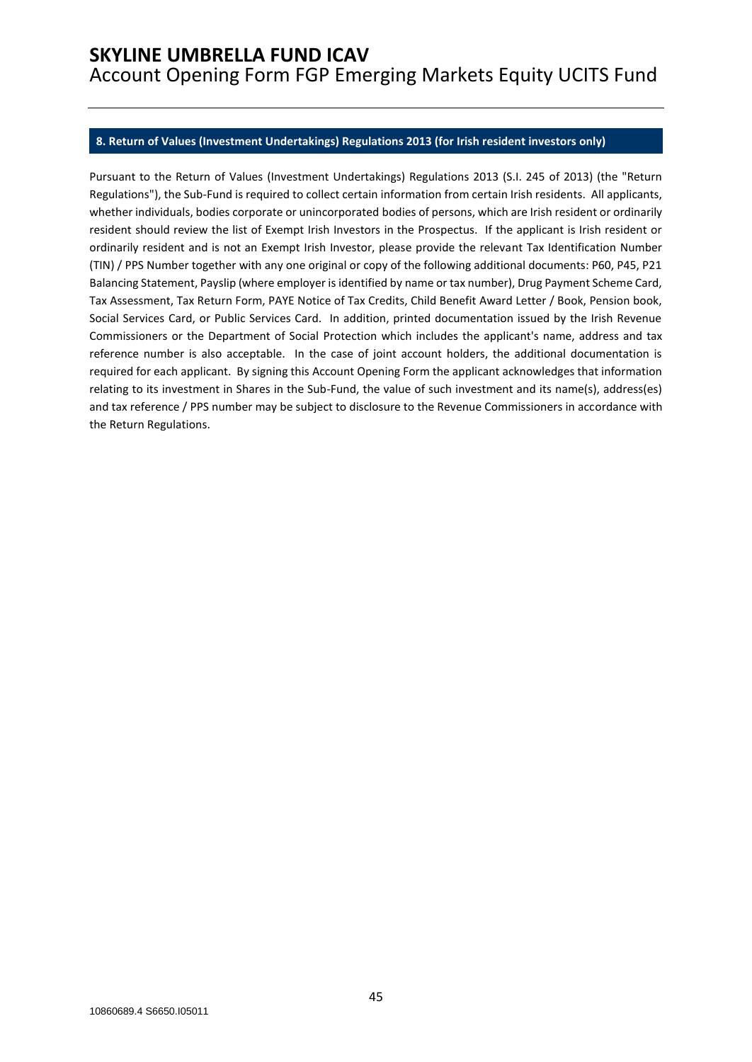#### <span id="page-44-0"></span>**8. Return of Values (Investment Undertakings) Regulations 2013 (for Irish resident investors only)**

Pursuant to the Return of Values (Investment Undertakings) Regulations 2013 (S.I. 245 of 2013) (the "Return Regulations"), the Sub-Fund is required to collect certain information from certain Irish residents. All applicants, whether individuals, bodies corporate or unincorporated bodies of persons, which are Irish resident or ordinarily resident should review the list of Exempt Irish Investors in the Prospectus. If the applicant is Irish resident or ordinarily resident and is not an Exempt Irish Investor, please provide the relevant Tax Identification Number (TIN) / PPS Number together with any one original or copy of the following additional documents: P60, P45, P21 Balancing Statement, Payslip (where employer is identified by name or tax number), Drug Payment Scheme Card, Tax Assessment, Tax Return Form, PAYE Notice of Tax Credits, Child Benefit Award Letter / Book, Pension book, Social Services Card, or Public Services Card. In addition, printed documentation issued by the Irish Revenue Commissioners or the Department of Social Protection which includes the applicant's name, address and tax reference number is also acceptable. In the case of joint account holders, the additional documentation is required for each applicant. By signing this Account Opening Form the applicant acknowledges that information relating to its investment in Shares in the Sub-Fund, the value of such investment and its name(s), address(es) and tax reference / PPS number may be subject to disclosure to the Revenue Commissioners in accordance with the Return Regulations.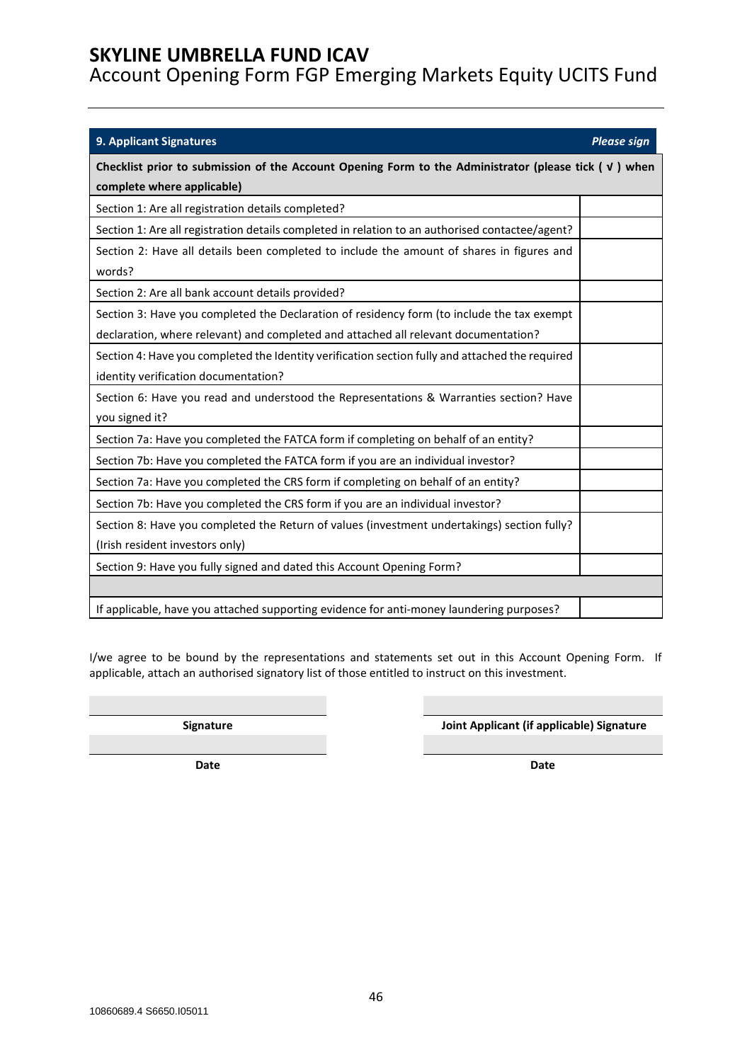Account Opening Form FGP Emerging Markets Equity UCITS Fund

<span id="page-45-0"></span>

| <b>9. Applicant Signatures</b>                                                                                                                                                    | <b>Please sign</b> |  |
|-----------------------------------------------------------------------------------------------------------------------------------------------------------------------------------|--------------------|--|
| Checklist prior to submission of the Account Opening Form to the Administrator (please tick $(\nu)$ when<br>complete where applicable)                                            |                    |  |
| Section 1: Are all registration details completed?                                                                                                                                |                    |  |
| Section 1: Are all registration details completed in relation to an authorised contactee/agent?                                                                                   |                    |  |
| Section 2: Have all details been completed to include the amount of shares in figures and<br>words?                                                                               |                    |  |
| Section 2: Are all bank account details provided?                                                                                                                                 |                    |  |
| Section 3: Have you completed the Declaration of residency form (to include the tax exempt<br>declaration, where relevant) and completed and attached all relevant documentation? |                    |  |
| Section 4: Have you completed the Identity verification section fully and attached the required<br>identity verification documentation?                                           |                    |  |
| Section 6: Have you read and understood the Representations & Warranties section? Have<br>you signed it?                                                                          |                    |  |
| Section 7a: Have you completed the FATCA form if completing on behalf of an entity?                                                                                               |                    |  |
| Section 7b: Have you completed the FATCA form if you are an individual investor?                                                                                                  |                    |  |
| Section 7a: Have you completed the CRS form if completing on behalf of an entity?                                                                                                 |                    |  |
| Section 7b: Have you completed the CRS form if you are an individual investor?                                                                                                    |                    |  |
| Section 8: Have you completed the Return of values (investment undertakings) section fully?<br>(Irish resident investors only)                                                    |                    |  |
| Section 9: Have you fully signed and dated this Account Opening Form?                                                                                                             |                    |  |
| If applicable, have you attached supporting evidence for anti-money laundering purposes?                                                                                          |                    |  |

I/we agree to be bound by the representations and statements set out in this Account Opening Form. If applicable, attach an authorised signatory list of those entitled to instruct on this investment.

**Signature Joint Applicant (if applicable) Signature**

**Date Date**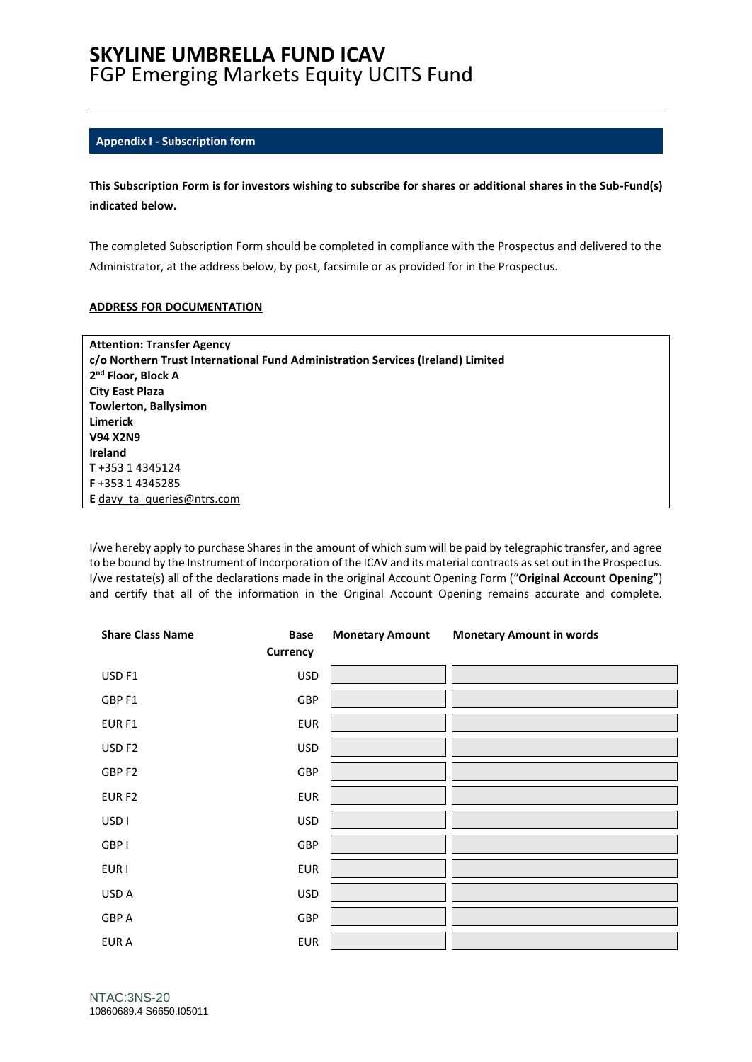## **SKYLINE UMBRELLA FUND ICAV**  FGP Emerging Markets Equity UCITS Fund

#### <span id="page-46-0"></span>**Appendix I - Subscription form**

**This Subscription Form is for investors wishing to subscribe for shares or additional shares in the Sub-Fund(s) indicated below.**

The completed Subscription Form should be completed in compliance with the Prospectus and delivered to the Administrator, at the address below, by post, facsimile or as provided for in the Prospectus.

#### **ADDRESS FOR DOCUMENTATION**

| <b>Attention: Transfer Agency</b>                                               |
|---------------------------------------------------------------------------------|
| c/o Northern Trust International Fund Administration Services (Ireland) Limited |
| 2 <sup>nd</sup> Floor, Block A                                                  |
| <b>City East Plaza</b>                                                          |
| <b>Towlerton, Ballysimon</b>                                                    |
| Limerick                                                                        |
| <b>V94 X2N9</b>                                                                 |
| Ireland                                                                         |
| T+353 14345124                                                                  |
| <b>F</b> +353 1 4345285                                                         |
| <b>E</b> davy ta queries @ ntrs.com                                             |

I/we hereby apply to purchase Shares in the amount of which sum will be paid by telegraphic transfer, and agree to be bound by the Instrument of Incorporation of the ICAV and its material contracts as set out in the Prospectus. I/we restate(s) all of the declarations made in the original Account Opening Form ("**Original Account Opening**") and certify that all of the information in the Original Account Opening remains accurate and complete.

| <b>Share Class Name</b> | <b>Base</b> | <b>Monetary Amount</b> | <b>Monetary Amount in words</b> |
|-------------------------|-------------|------------------------|---------------------------------|
|                         | Currency    |                        |                                 |
| USD <sub>F1</sub>       | <b>USD</b>  |                        |                                 |
| GBP F1                  | GBP         |                        |                                 |
| EUR <sub>F1</sub>       | <b>EUR</b>  |                        |                                 |
| USD <sub>F2</sub>       | <b>USD</b>  |                        |                                 |
| GBP F2                  | GBP         |                        |                                 |
| EUR <sub>F2</sub>       | <b>EUR</b>  |                        |                                 |
| USD <sub>I</sub>        | <b>USD</b>  |                        |                                 |
| GBP I                   | GBP         |                        |                                 |
| EUR I                   | <b>EUR</b>  |                        |                                 |
| USD A                   | <b>USD</b>  |                        |                                 |
| GBP A                   | GBP         |                        |                                 |
| <b>EURA</b>             | <b>EUR</b>  |                        |                                 |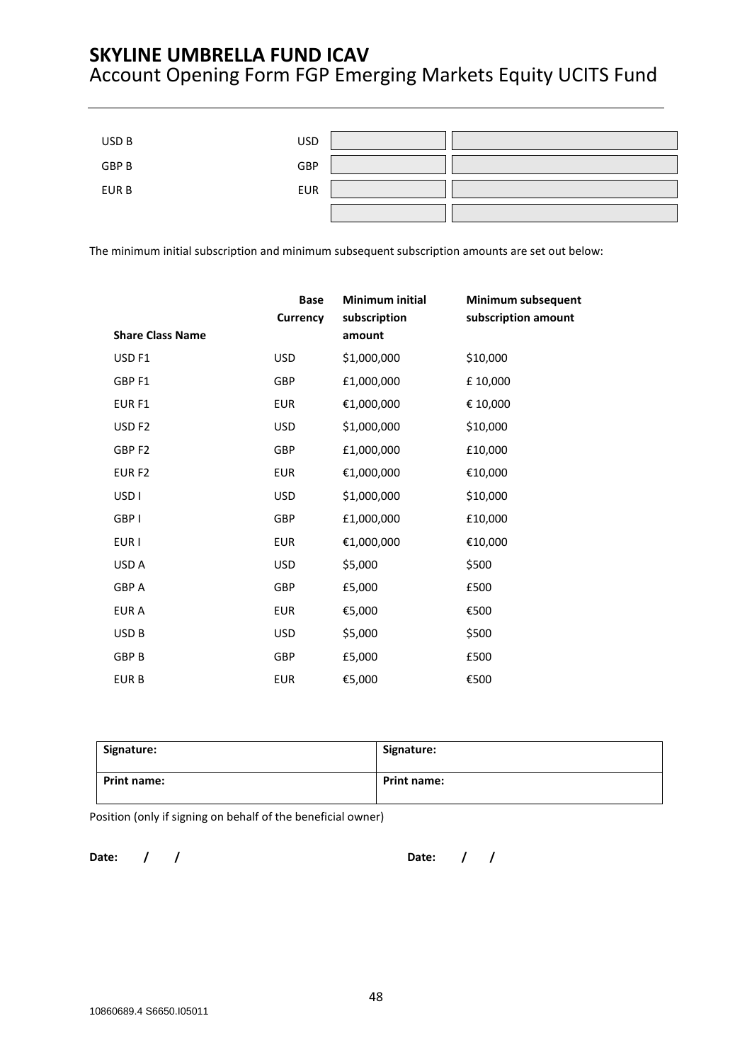| USD B | <b>USD</b> |  |
|-------|------------|--|
| GBP B | GBP        |  |
| EUR B | <b>EUR</b> |  |
|       |            |  |

The minimum initial subscription and minimum subsequent subscription amounts are set out below:

|                         | <b>Base</b><br>Currency | <b>Minimum initial</b><br>subscription | Minimum subsequent<br>subscription amount |
|-------------------------|-------------------------|----------------------------------------|-------------------------------------------|
| <b>Share Class Name</b> |                         | amount                                 |                                           |
| USD <sub>F1</sub>       | <b>USD</b>              | \$1,000,000                            | \$10,000                                  |
| GBP F1                  | GBP                     | £1,000,000                             | £10,000                                   |
| EUR <sub>F1</sub>       | <b>EUR</b>              | €1,000,000                             | € 10,000                                  |
| USD <sub>F2</sub>       | <b>USD</b>              | \$1,000,000                            | \$10,000                                  |
| GBP <sub>F2</sub>       | GBP                     | £1,000,000                             | £10,000                                   |
| EUR <sub>F2</sub>       | <b>EUR</b>              | €1,000,000                             | €10,000                                   |
| USD <sub>1</sub>        | <b>USD</b>              | \$1,000,000                            | \$10,000                                  |
| GBP I                   | GBP                     | £1,000,000                             | £10,000                                   |
| EUR I                   | <b>EUR</b>              | €1,000,000                             | €10,000                                   |
| USD A                   | <b>USD</b>              | \$5,000                                | \$500                                     |
| <b>GBP A</b>            | GBP                     | £5,000                                 | £500                                      |
| EUR A                   | <b>EUR</b>              | €5,000                                 | €500                                      |
| USD <sub>B</sub>        | <b>USD</b>              | \$5,000                                | \$500                                     |
| <b>GBP B</b>            | GBP                     | £5,000                                 | £500                                      |
| <b>EURB</b>             | <b>EUR</b>              | €5,000                                 | €500                                      |

| Signature:         | Signature:         |
|--------------------|--------------------|
| <b>Print name:</b> | <b>Print name:</b> |

Position (only if signing on behalf of the beneficial owner)

**Date: / / Date: / /**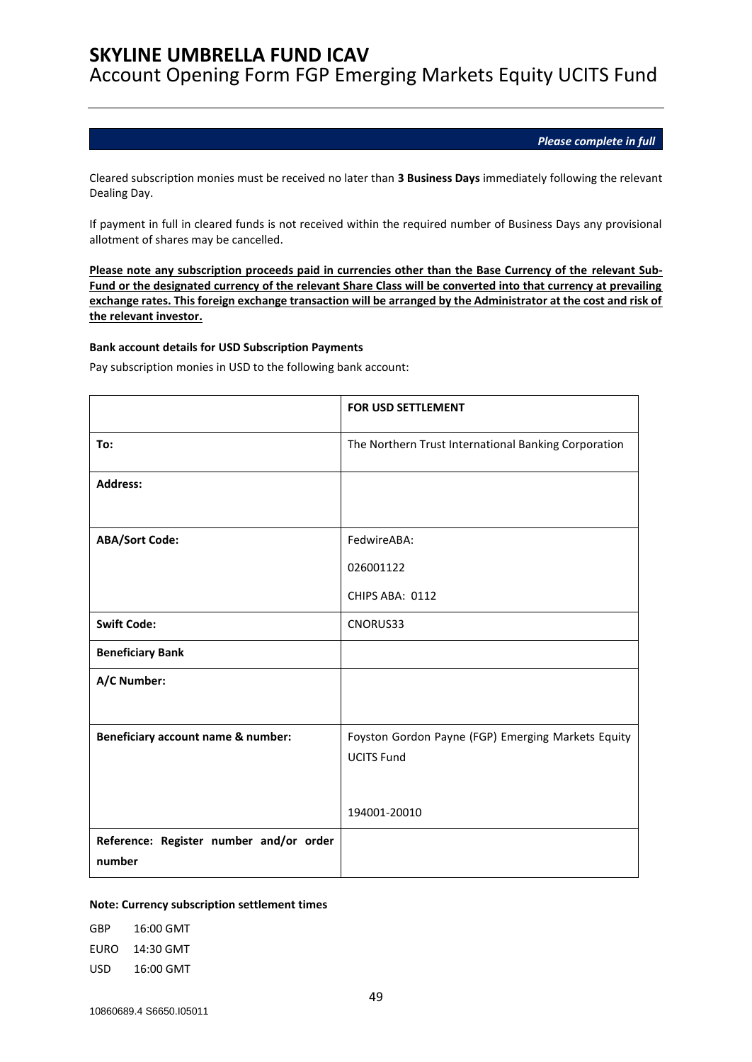Account Opening Form FGP Emerging Markets Equity UCITS Fund

*Please complete in full*

Cleared subscription monies must be received no later than **3 Business Days** immediately following the relevant Dealing Day.

If payment in full in cleared funds is not received within the required number of Business Days any provisional allotment of shares may be cancelled.

**Please note any subscription proceeds paid in currencies other than the Base Currency of the relevant Sub-Fund or the designated currency of the relevant Share Class will be converted into that currency at prevailing exchange rates. This foreign exchange transaction will be arranged by the Administrator at the cost and risk of the relevant investor.**

#### **Bank account details for USD Subscription Payments**

Pay subscription monies in USD to the following bank account:

|                                                   | <b>FOR USD SETTLEMENT</b>                                               |
|---------------------------------------------------|-------------------------------------------------------------------------|
| To:                                               | The Northern Trust International Banking Corporation                    |
| <b>Address:</b>                                   |                                                                         |
| <b>ABA/Sort Code:</b>                             | FedwireABA:                                                             |
|                                                   | 026001122                                                               |
|                                                   | CHIPS ABA: 0112                                                         |
| <b>Swift Code:</b>                                | CNORUS33                                                                |
| <b>Beneficiary Bank</b>                           |                                                                         |
| A/C Number:                                       |                                                                         |
| Beneficiary account name & number:                | Foyston Gordon Payne (FGP) Emerging Markets Equity<br><b>UCITS Fund</b> |
|                                                   | 194001-20010                                                            |
| Reference: Register number and/or order<br>number |                                                                         |

#### **Note: Currency subscription settlement times**

GBP 16:00 GMT EURO 14:30 GMT USD 16:00 GMT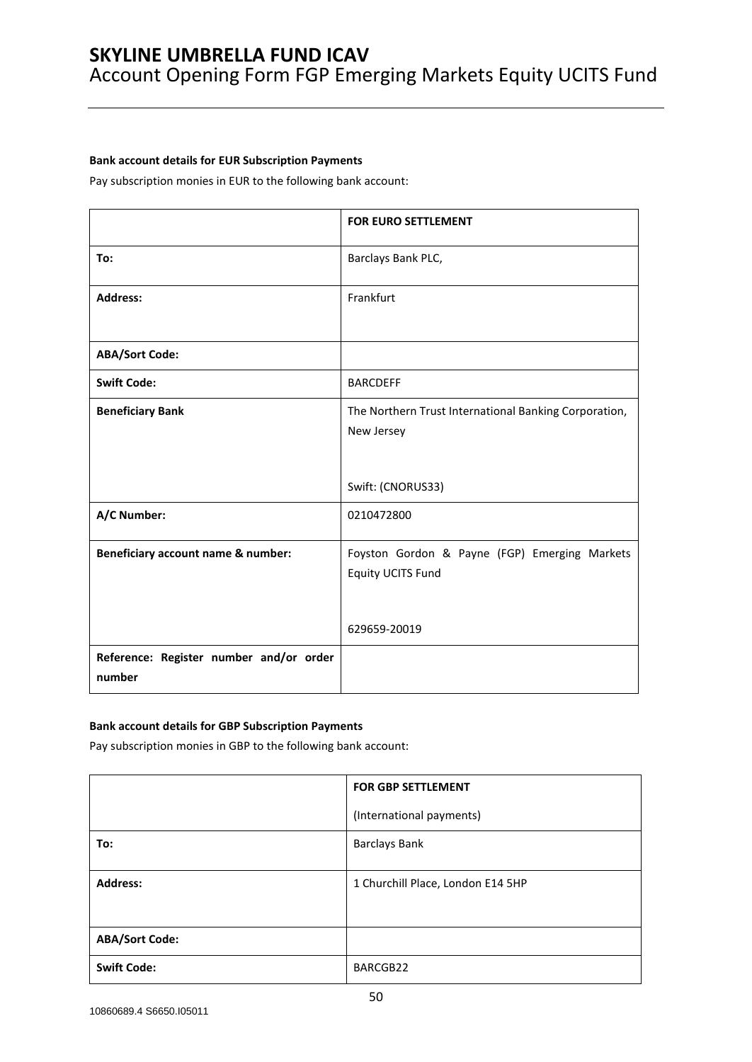### **Bank account details for EUR Subscription Payments**

Pay subscription monies in EUR to the following bank account:

|                                         | <b>FOR EURO SETTLEMENT</b>                                                               |
|-----------------------------------------|------------------------------------------------------------------------------------------|
| To:                                     | Barclays Bank PLC,                                                                       |
| <b>Address:</b>                         | Frankfurt                                                                                |
| <b>ABA/Sort Code:</b>                   |                                                                                          |
| <b>Swift Code:</b>                      | <b>BARCDEFF</b>                                                                          |
| <b>Beneficiary Bank</b>                 | The Northern Trust International Banking Corporation,<br>New Jersey<br>Swift: (CNORUS33) |
| A/C Number:                             | 0210472800                                                                               |
| Beneficiary account name & number:      | Foyston Gordon & Payne (FGP) Emerging Markets<br>Equity UCITS Fund<br>629659-20019       |
| Reference: Register number and/or order |                                                                                          |
| number                                  |                                                                                          |

#### **Bank account details for GBP Subscription Payments**

Pay subscription monies in GBP to the following bank account:

|                       | <b>FOR GBP SETTLEMENT</b>         |  |
|-----------------------|-----------------------------------|--|
|                       | (International payments)          |  |
| To:                   | <b>Barclays Bank</b>              |  |
|                       |                                   |  |
| <b>Address:</b>       | 1 Churchill Place, London E14 5HP |  |
|                       |                                   |  |
|                       |                                   |  |
| <b>ABA/Sort Code:</b> |                                   |  |
| <b>Swift Code:</b>    | BARCGB22                          |  |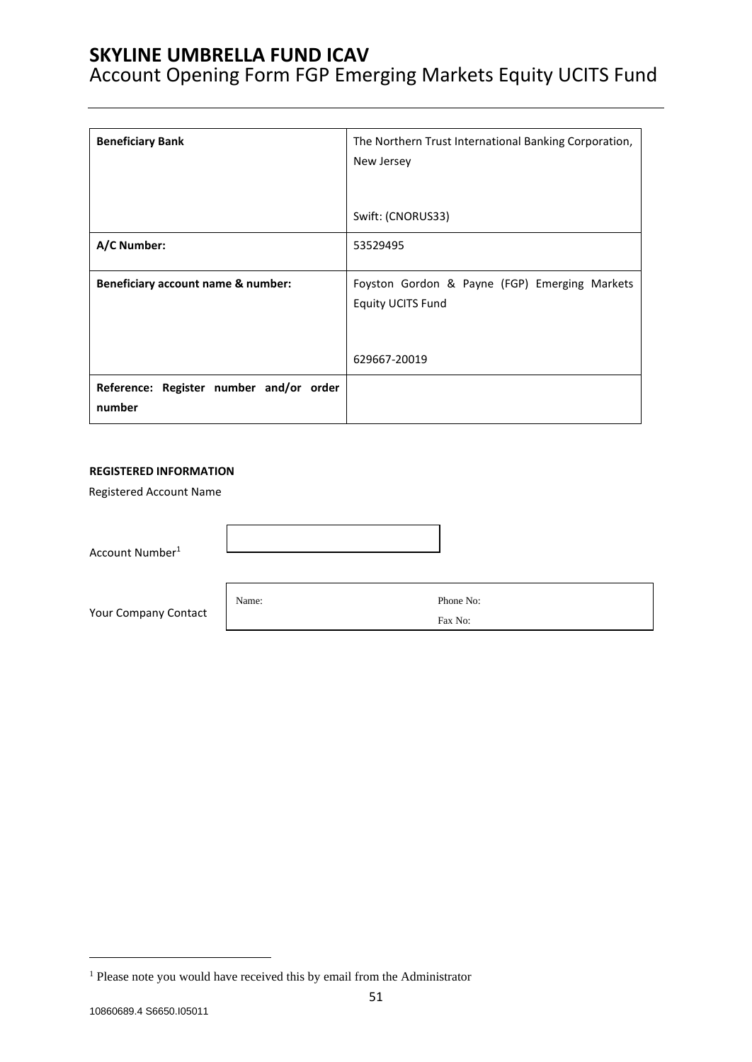Account Opening Form FGP Emerging Markets Equity UCITS Fund

| <b>Beneficiary Bank</b>                           | The Northern Trust International Banking Corporation,<br>New Jersey       |  |
|---------------------------------------------------|---------------------------------------------------------------------------|--|
|                                                   | Swift: (CNORUS33)                                                         |  |
| A/C Number:                                       | 53529495                                                                  |  |
| Beneficiary account name & number:                | Foyston Gordon & Payne (FGP) Emerging Markets<br><b>Equity UCITS Fund</b> |  |
|                                                   | 629667-20019                                                              |  |
| Reference: Register number and/or order<br>number |                                                                           |  |

#### **REGISTERED INFORMATION**

Registered Account Name

Account Number<sup>1</sup>

Your Company Contact

Name: Phone No: Fax No:

<sup>&</sup>lt;sup>1</sup> Please note you would have received this by email from the Administrator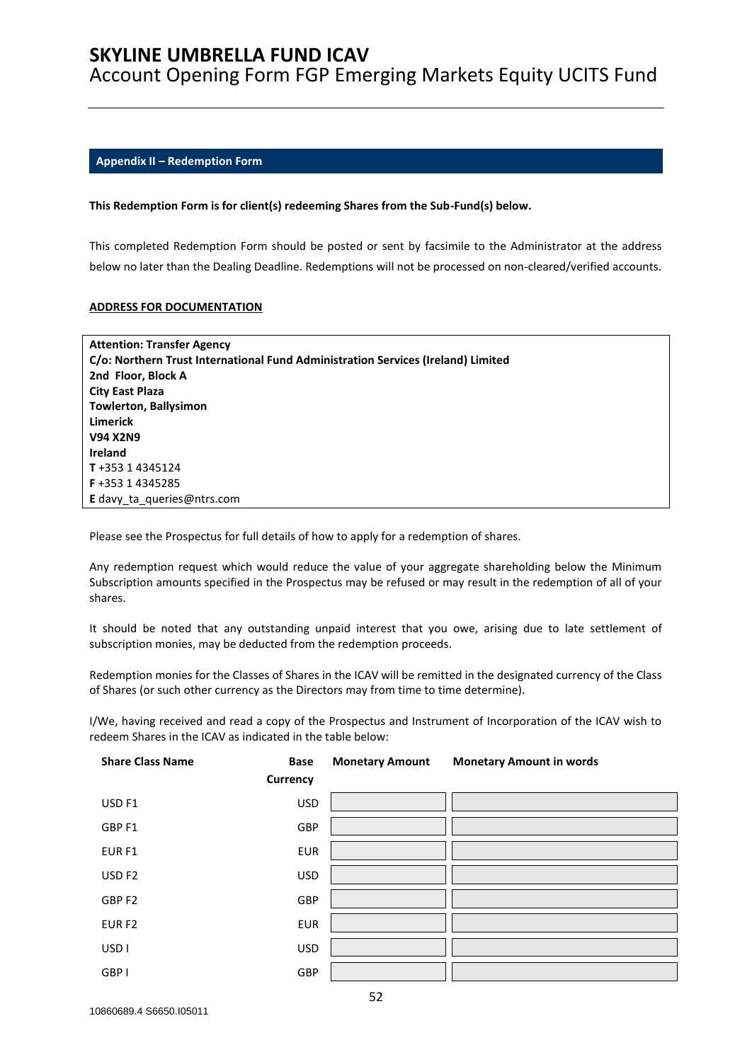Account Opening Form FGP Emerging Markets Equity UCITS Fund

### <span id="page-51-0"></span>**Appendix II – Redemption Form**

#### **This Redemption Form is for client(s) redeeming Shares from the Sub-Fund(s) below.**

This completed Redemption Form should be posted or sent by facsimile to the Administrator at the address below no later than the Dealing Deadline. Redemptions will not be processed on non-cleared/verified accounts.

#### **ADDRESS FOR DOCUMENTATION**

| <b>Attention: Transfer Agency</b>                                                |
|----------------------------------------------------------------------------------|
| C/o: Northern Trust International Fund Administration Services (Ireland) Limited |
| 2nd Floor, Block A                                                               |
| City East Plaza                                                                  |
| <b>Towlerton, Ballysimon</b>                                                     |
| Limerick                                                                         |
| <b>V94 X2N9</b>                                                                  |
| Ireland                                                                          |
| T+353 14345124                                                                   |
| F+353 14345285                                                                   |
| <b>E</b> davy ta queries@ntrs.com                                                |

Please see the Prospectus for full details of how to apply for a redemption of shares.

Any redemption request which would reduce the value of your aggregate shareholding below the Minimum Subscription amounts specified in the Prospectus may be refused or may result in the redemption of all of your shares.

It should be noted that any outstanding unpaid interest that you owe, arising due to late settlement of subscription monies, may be deducted from the redemption proceeds.

Redemption monies for the Classes of Shares in the ICAV will be remitted in the designated currency of the Class of Shares (or such other currency as the Directors may from time to time determine).

I/We, having received and read a copy of the Prospectus and Instrument of Incorporation of the ICAV wish to redeem Shares in the ICAV as indicated in the table below:

| <b>Share Class Name</b> | <b>Base</b>     | <b>Monetary Amount</b> | <b>Monetary Amount in words</b> |
|-------------------------|-----------------|------------------------|---------------------------------|
|                         | <b>Currency</b> |                        |                                 |
| USD <sub>F1</sub>       | <b>USD</b>      |                        |                                 |
| GBP <sub>F1</sub>       | GBP             |                        |                                 |
| EUR <sub>F1</sub>       | <b>EUR</b>      |                        |                                 |
| USD <sub>F2</sub>       | <b>USD</b>      |                        |                                 |
| GBP <sub>F2</sub>       | GBP             |                        |                                 |
| EUR <sub>F2</sub>       | <b>EUR</b>      |                        |                                 |
| USD <sub>I</sub>        | <b>USD</b>      |                        |                                 |
| GBP I                   | GBP             |                        |                                 |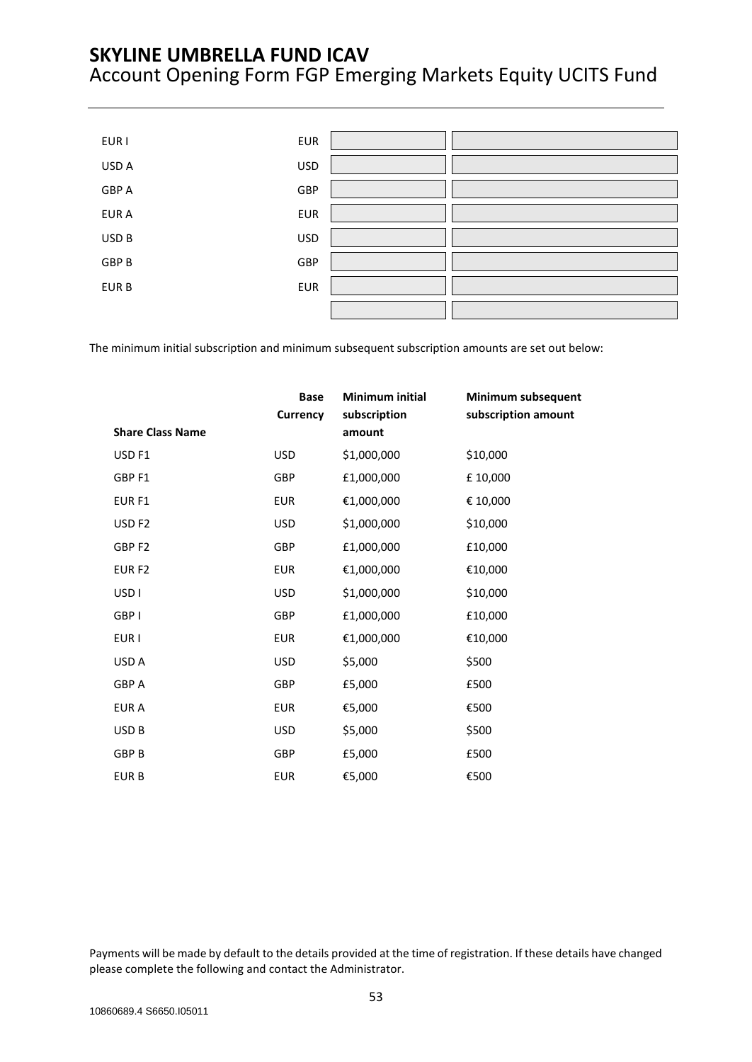| EUR I        | <b>EUR</b> |  |
|--------------|------------|--|
| USD A        | <b>USD</b> |  |
| <b>GBP A</b> | GBP        |  |
| EUR A        | <b>EUR</b> |  |
| USD B        | <b>USD</b> |  |
| GBP B        | GBP        |  |
| EUR B        | <b>EUR</b> |  |
|              |            |  |

The minimum initial subscription and minimum subsequent subscription amounts are set out below:

|                         | <b>Base</b><br>Currency | Minimum initial<br>subscription | Minimum subsequent<br>subscription amount |
|-------------------------|-------------------------|---------------------------------|-------------------------------------------|
| <b>Share Class Name</b> |                         | amount                          |                                           |
| USD <sub>F1</sub>       | <b>USD</b>              | \$1,000,000                     | \$10,000                                  |
| GBP F1                  | GBP                     | £1,000,000                      | £10,000                                   |
| EUR <sub>F1</sub>       | <b>EUR</b>              | €1,000,000                      | € 10,000                                  |
| USD <sub>F2</sub>       | <b>USD</b>              | \$1,000,000                     | \$10,000                                  |
| GBP <sub>F2</sub>       | GBP                     | £1,000,000                      | £10,000                                   |
| EUR <sub>F2</sub>       | <b>EUR</b>              | €1,000,000                      | €10,000                                   |
| USD <sub>I</sub>        | <b>USD</b>              | \$1,000,000                     | \$10,000                                  |
| GBP I                   | GBP                     | £1,000,000                      | £10,000                                   |
| EUR I                   | <b>EUR</b>              | €1,000,000                      | €10,000                                   |
| USD A                   | <b>USD</b>              | \$5,000                         | \$500                                     |
| <b>GBP A</b>            | GBP                     | £5,000                          | £500                                      |
| <b>EURA</b>             | <b>EUR</b>              | €5,000                          | €500                                      |
| USD <sub>B</sub>        | <b>USD</b>              | \$5,000                         | \$500                                     |
| <b>GBP B</b>            | GBP                     | £5,000                          | £500                                      |
| <b>EURB</b>             | <b>EUR</b>              | €5,000                          | €500                                      |

Payments will be made by default to the details provided at the time of registration. If these details have changed please complete the following and contact the Administrator.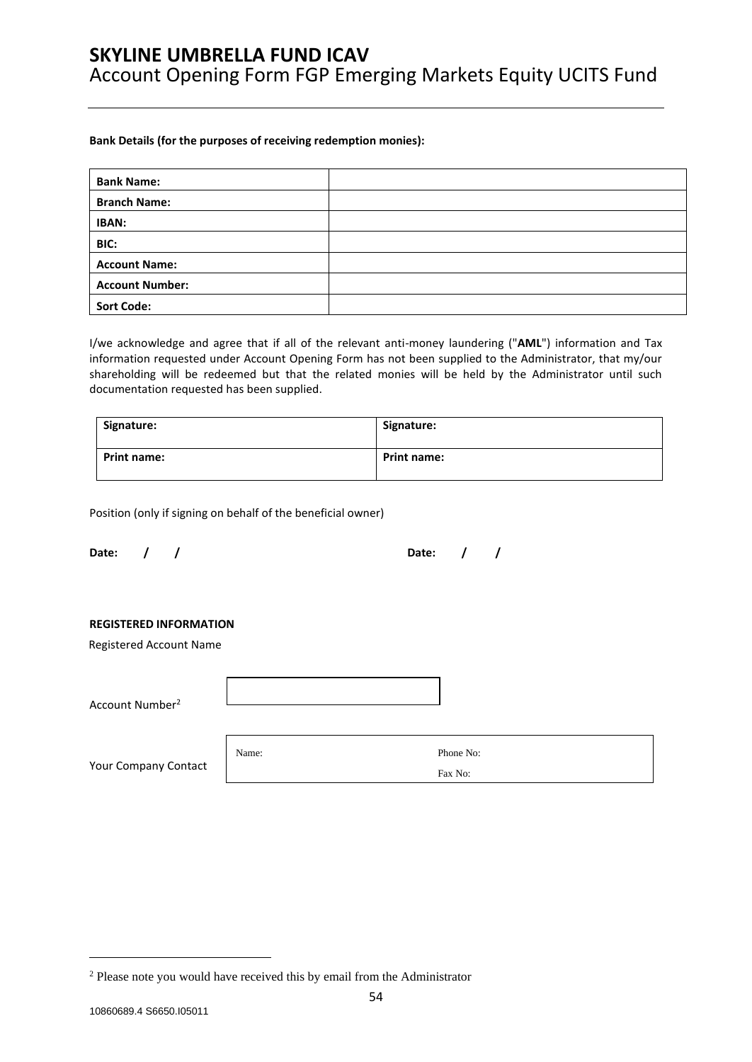#### **Bank Details (for the purposes of receiving redemption monies):**

| <b>Bank Name:</b>      |  |
|------------------------|--|
| <b>Branch Name:</b>    |  |
| IBAN:                  |  |
| BIC:                   |  |
| <b>Account Name:</b>   |  |
| <b>Account Number:</b> |  |
| <b>Sort Code:</b>      |  |

I/we acknowledge and agree that if all of the relevant anti-money laundering ("**AML**") information and Tax information requested under Account Opening Form has not been supplied to the Administrator, that my/our shareholding will be redeemed but that the related monies will be held by the Administrator until such documentation requested has been supplied.

| Signature:         | Signature:  |
|--------------------|-------------|
| <b>Print name:</b> | Print name: |

Position (only if signing on behalf of the beneficial owner)

**Date: / / Date: / /**

#### **REGISTERED INFORMATION**

Registered Account Name

| Account Number <sup>2</sup> |       |                      |  |
|-----------------------------|-------|----------------------|--|
| Your Company Contact        | Name: | Phone No:<br>Fax No: |  |

<sup>2</sup> Please note you would have received this by email from the Administrator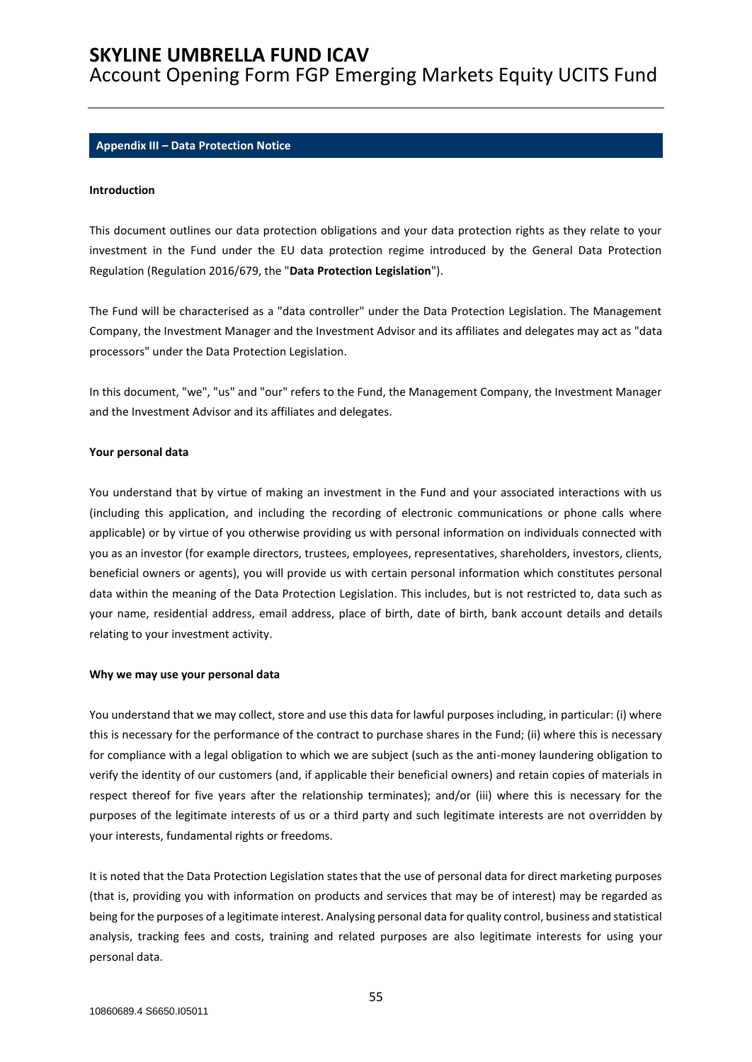Account Opening Form FGP Emerging Markets Equity UCITS Fund

#### <span id="page-54-0"></span>**Appendix III – Data Protection Notice**

### **Introduction**

This document outlines our data protection obligations and your data protection rights as they relate to your investment in the Fund under the EU data protection regime introduced by the General Data Protection Regulation (Regulation 2016/679, the "**Data Protection Legislation**").

The Fund will be characterised as a "data controller" under the Data Protection Legislation. The Management Company, the Investment Manager and the Investment Advisor and its affiliates and delegates may act as "data processors" under the Data Protection Legislation.

In this document, "we", "us" and "our" refers to the Fund, the Management Company, the Investment Manager and the Investment Advisor and its affiliates and delegates.

#### **Your personal data**

You understand that by virtue of making an investment in the Fund and your associated interactions with us (including this application, and including the recording of electronic communications or phone calls where applicable) or by virtue of you otherwise providing us with personal information on individuals connected with you as an investor (for example directors, trustees, employees, representatives, shareholders, investors, clients, beneficial owners or agents), you will provide us with certain personal information which constitutes personal data within the meaning of the Data Protection Legislation. This includes, but is not restricted to, data such as your name, residential address, email address, place of birth, date of birth, bank account details and details relating to your investment activity.

#### **Why we may use your personal data**

You understand that we may collect, store and use this data for lawful purposes including, in particular: (i) where this is necessary for the performance of the contract to purchase shares in the Fund; (ii) where this is necessary for compliance with a legal obligation to which we are subject (such as the anti-money laundering obligation to verify the identity of our customers (and, if applicable their beneficial owners) and retain copies of materials in respect thereof for five years after the relationship terminates); and/or (iii) where this is necessary for the purposes of the legitimate interests of us or a third party and such legitimate interests are not overridden by your interests, fundamental rights or freedoms.

It is noted that the Data Protection Legislation states that the use of personal data for direct marketing purposes (that is, providing you with information on products and services that may be of interest) may be regarded as being for the purposes of a legitimate interest. Analysing personal data for quality control, business and statistical analysis, tracking fees and costs, training and related purposes are also legitimate interests for using your personal data.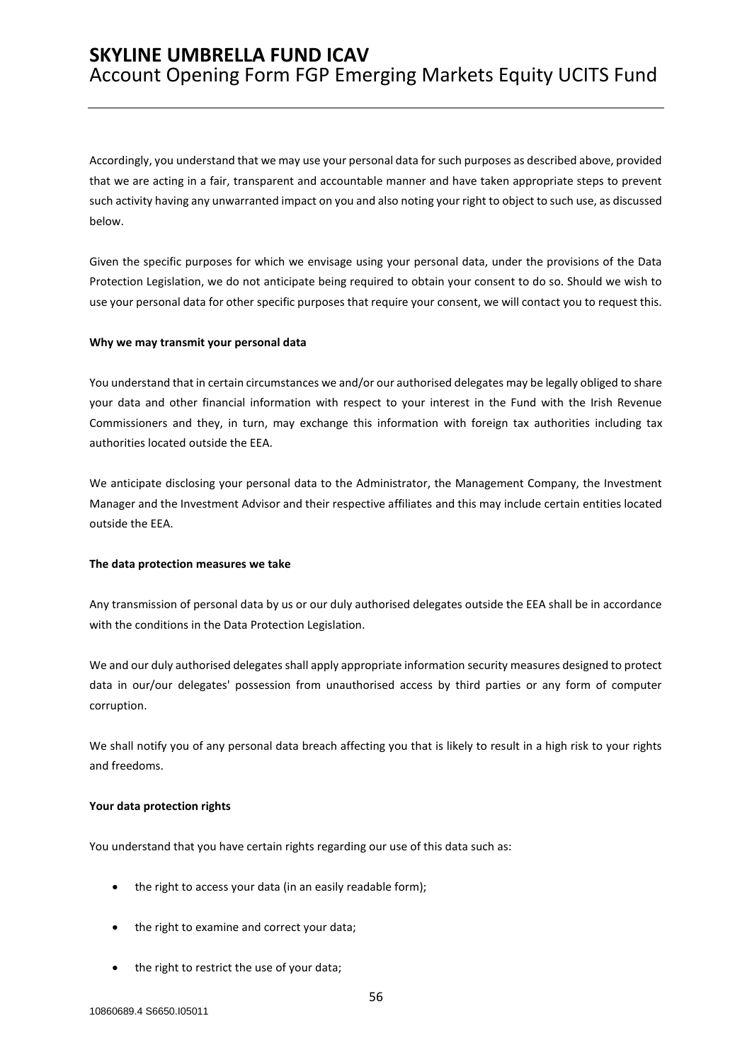Accordingly, you understand that we may use your personal data for such purposes as described above, provided that we are acting in a fair, transparent and accountable manner and have taken appropriate steps to prevent such activity having any unwarranted impact on you and also noting your right to object to such use, as discussed below.

Given the specific purposes for which we envisage using your personal data, under the provisions of the Data Protection Legislation, we do not anticipate being required to obtain your consent to do so. Should we wish to use your personal data for other specific purposes that require your consent, we will contact you to request this.

#### **Why we may transmit your personal data**

You understand that in certain circumstances we and/or our authorised delegates may be legally obliged to share your data and other financial information with respect to your interest in the Fund with the Irish Revenue Commissioners and they, in turn, may exchange this information with foreign tax authorities including tax authorities located outside the EEA.

We anticipate disclosing your personal data to the Administrator, the Management Company, the Investment Manager and the Investment Advisor and their respective affiliates and this may include certain entities located outside the EEA.

#### **The data protection measures we take**

Any transmission of personal data by us or our duly authorised delegates outside the EEA shall be in accordance with the conditions in the Data Protection Legislation.

We and our duly authorised delegates shall apply appropriate information security measures designed to protect data in our/our delegates' possession from unauthorised access by third parties or any form of computer corruption.

We shall notify you of any personal data breach affecting you that is likely to result in a high risk to your rights and freedoms.

#### **Your data protection rights**

You understand that you have certain rights regarding our use of this data such as:

- the right to access your data (in an easily readable form);
- the right to examine and correct your data;
- the right to restrict the use of your data;